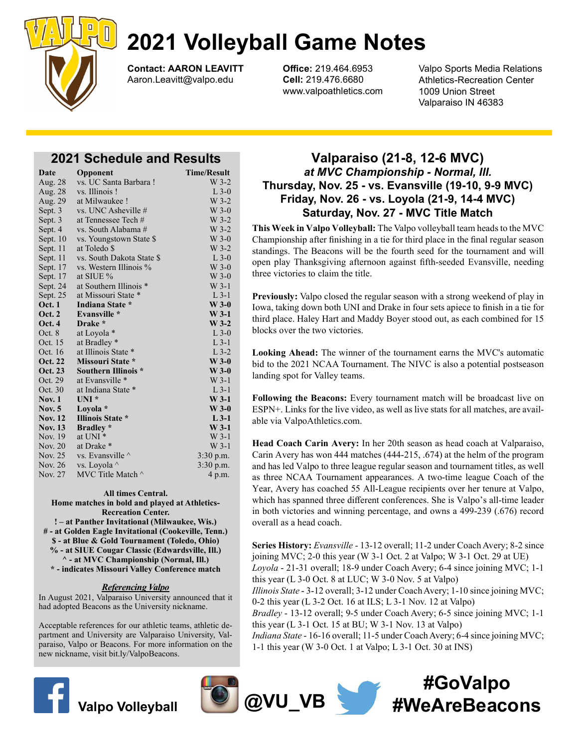

Contact: AARON LEAVITT Aaron.Leavitt@valpo.edu

Office: 219.464.6953 Cell: 219.476.6680 www.valpoathletics.com Valpo Sports Media Relations Athletics-Recreation Center 1009 Union Street Valparaiso IN 46383

# 2021 Schedule and Results

| Date           | Opponent                   | <b>Time/Result</b> |
|----------------|----------------------------|--------------------|
| Aug. 28        | vs. UC Santa Barbara!      | $W$ 3-2            |
| Aug. 28        | vs. Illinois!              | $L$ 3-0            |
| Aug. 29        | at Milwaukee !             | $W$ 3-2            |
| Sept. 3        | vs. UNC Asheville #        | $W$ 3-0            |
| Sept. 3        | at Tennessee Tech #        | W 3-2              |
| Sept. 4        | vs. South Alabama #        | $W$ 3-2            |
| Sept. 10       | vs. Youngstown State \$    | $W$ 3-0            |
| Sept. 11       | at Toledo \$               | $W$ 3-2            |
| Sept. 11       | vs. South Dakota State \$  | $L$ 3-0            |
| Sept. 17       | vs. Western Illinois %     | $W$ 3-0            |
| Sept. 17       | at SIUE %                  | $W$ 3-0            |
| Sept. 24       | at Southern Illinois *     | $W$ 3-1            |
| Sept. 25       | at Missouri State *        | $L$ 3-1            |
| <b>Oct. 1</b>  | Indiana State *            | $W$ 3-0            |
| <b>Oct. 2</b>  | Evansville *               | $W$ 3-1            |
| Oct. 4         | Drake *                    | $W$ 3-2            |
| Oct. 8         | at Loyola *                | $L$ 3-0            |
| Oct. 15        | at Bradley *               | $L$ 3-1            |
| Oct. 16        | at Illinois State *        | $L$ 3-2            |
| <b>Oct. 22</b> | Missouri State *           | $W$ 3-0            |
| <b>Oct. 23</b> | <b>Southern Illinois *</b> | $W$ 3-0            |
| Oct. 29        | at Evansville *            | $W$ 3-1            |
| Oct. 30        | at Indiana State *         | $L$ 3-1            |
| Nov. $1$       | $UNI^*$                    | $W$ 3-1            |
| <b>Nov.</b> 5  | Loyola *                   | $W$ 3-0            |
| <b>Nov. 12</b> | <b>Illinois State *</b>    | $L$ 3-1            |
| <b>Nov. 13</b> | <b>Bradley</b> *           | $W$ 3-1            |
| Nov. 19        | at UNI *                   | $W$ 3-1            |
| Nov. 20        | at Drake *                 | $W$ 3-1            |
| Nov. 25        | vs. Evansville $\wedge$    | $3:30$ p.m.        |
| Nov. 26        | vs. Loyola ^               | 3:30 p.m.          |
| Nov. 27        | MVC Title Match ^          | 4 p.m.             |

### All times Central.

Home matches in bold and played at Athletics-Recreation Center.

! – at Panther Invitational (Milwaukee, Wis.) # - at Golden Eagle Invitational (Cookeville, Tenn.) \$ - at Blue & Gold Tournament (Toledo, Ohio) % - at SIUE Cougar Classic (Edwardsville, Ill.)

^ - at MVC Championship (Normal, Ill.) \* - indicates Missouri Valley Conference match

### Referencing Valpo

In August 2021, Valparaiso University announced that it had adopted Beacons as the University nickname.

Acceptable references for our athletic teams, athletic department and University are Valparaiso University, Valparaiso, Valpo or Beacons. For more information on the new nickname, visit bit.ly/ValpoBeacons.





# Valparaiso (21-8, 12-6 MVC) at MVC Championship - Normal, Ill. Thursday, Nov. 25 - vs. Evansville (19-10, 9-9 MVC) Friday, Nov. 26 - vs. Loyola (21-9, 14-4 MVC) Saturday, Nov. 27 - MVC Title Match

This Week in Valpo Volleyball: The Valpo volleyball team heads to the MVC Championship after finishing in a tie for third place in the final regular season standings. The Beacons will be the fourth seed for the tournament and will open play Thanksgiving afternoon against fifth-seeded Evansville, needing three victories to claim the title.

Previously: Valpo closed the regular season with a strong weekend of play in Iowa, taking down both UNI and Drake in four sets apiece to finish in a tie for third place. Haley Hart and Maddy Boyer stood out, as each combined for 15 blocks over the two victories.

Looking Ahead: The winner of the tournament earns the MVC's automatic bid to the 2021 NCAA Tournament. The NIVC is also a potential postseason landing spot for Valley teams.

Following the Beacons: Every tournament match will be broadcast live on ESPN+. Links for the live video, as well as live stats for all matches, are available via ValpoAthletics.com.

Head Coach Carin Avery: In her 20th season as head coach at Valparaiso, Carin Avery has won 444 matches (444-215, .674) at the helm of the program and has led Valpo to three league regular season and tournament titles, as well as three NCAA Tournament appearances. A two-time league Coach of the Year, Avery has coached 55 All-League recipients over her tenure at Valpo, which has spanned three different conferences. She is Valpo's all-time leader in both victories and winning percentage, and owns a 499-239 (.676) record overall as a head coach.

Series History: Evansville - 13-12 overall; 11-2 under Coach Avery; 8-2 since joining MVC; 2-0 this year (W 3-1 Oct. 2 at Valpo; W 3-1 Oct. 29 at UE) Loyola - 21-31 overall; 18-9 under Coach Avery; 6-4 since joining MVC; 1-1 this year (L 3-0 Oct. 8 at LUC; W 3-0 Nov. 5 at Valpo) Illinois State - 3-12 overall; 3-12 under Coach Avery; 1-10 since joining MVC; 0-2 this year (L 3-2 Oct. 16 at ILS; L 3-1 Nov. 12 at Valpo) Bradley - 13-12 overall; 9-5 under Coach Avery; 6-5 since joining MVC; 1-1 this year  $(L 3-1$  Oct. 15 at BU; W 3-1 Nov. 13 at Valpo) Indiana State - 16-16 overall; 11-5 under Coach Avery; 6-4 since joining MVC; 1-1 this year (W 3-0 Oct. 1 at Valpo; L 3-1 Oct. 30 at INS)

# Valpo Volleyball  $\bigcirc \hspace{-3.9mm} \bigcirc \hspace{-3.9mm} \bigcirc \hspace{-3.9mm} \bigcirc \hspace{-3.9mm} \bigcirc \hspace{-3.9mm} \bigcirc \hspace{-3.9mm} \bigcirc \hspace{-3.9mm} \bigcirc \hspace{-3.9mm} \bigcirc \hspace{-3.9mm} \bigcirc \hspace{-3.9mm} \bigcirc \hspace{-3.9mm} \bigcirc \hspace{-3.9mm} \bigcirc \hspace{-3.9mm} \bigcirc \hspace{-3.9mm} \bigcirc \hspace{-3.9mm} \bigcirc \hspace{-3.9mm} \bigcirc \hspace{-3.9mm}$ #GoValpo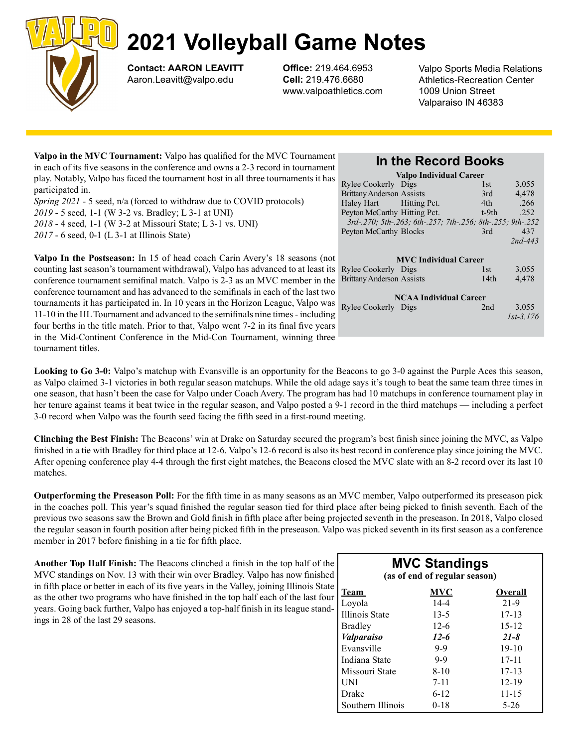

Contact: AARON LEAVITT Aaron.Leavitt@valpo.edu

Office: 219.464.6953 Cell: 219.476.6680 www.valpoathletics.com Valpo Sports Media Relations Athletics-Recreation Center 1009 Union Street Valparaiso IN 46383

| Valpo in the MVC Tournament: Valpo has qualified for the MVC Tournament                 |     |
|-----------------------------------------------------------------------------------------|-----|
| in each of its five seasons in the conference and owns a 2-3 record in tournament       |     |
| play. Notably, Valpo has faced the tournament host in all three tournaments it has $Ry$ |     |
| participated in.                                                                        | Bri |
| Spring 2021 - 5 seed, n/a (forced to withdraw due to COVID protocols)                   | Ha  |
| 2019 - 5 seed, 1-1 (W 3-2 vs. Bradley; L 3-1 at UNI)                                    | Pey |

2018 - 4 seed, 1-1 (W 3-2 at Missouri State; L 3-1 vs. UNI) 2017 - 6 seed, 0-1 (L 3-1 at Illinois State)

Valpo In the Postseason: In 15 of head coach Carin Avery's 18 seasons (not counting last season's tournament withdrawal), Valpo has advanced to at least its conference tournament semifinal match. Valpo is 2-3 as an MVC member in the conference tournament and has advanced to the semifinals in each of the last two tournaments it has participated in. In 10 years in the Horizon League, Valpo was 11-10 in the HL Tournament and advanced to the semifinals nine times - including four berths in the title match. Prior to that, Valpo went 7-2 in its final five years in the Mid-Continent Conference in the Mid-Con Tournament, winning three tournament titles.

# In the Record Books

| <b>Valpo Individual Career</b>                             |         |               |  |  |  |  |
|------------------------------------------------------------|---------|---------------|--|--|--|--|
| Rylee Cookerly Digs                                        | 1st     | 3,055         |  |  |  |  |
| <b>Brittany Anderson Assists</b>                           | 3rd     | 4,478         |  |  |  |  |
| Haley Hart Hitting Pct.                                    | 4th     | .266          |  |  |  |  |
| Peyton McCarthy Hitting Pct.                               | $t-9th$ | .252          |  |  |  |  |
| 3rd-.270; 5th-.263; 6th-.257; 7th-.256; 8th-.255; 9th-.252 |         |               |  |  |  |  |
| Peyton McCarthy Blocks                                     | 3rd     | 437           |  |  |  |  |
|                                                            |         | $2nd - 443$   |  |  |  |  |
|                                                            |         |               |  |  |  |  |
| <b>MVC</b> Individual Career                               |         |               |  |  |  |  |
| <b>Rylee Cookerly</b> Digs                                 | 1st     | 3,055         |  |  |  |  |
| <b>Brittany Anderson Assists</b>                           | 14th    | 4,478         |  |  |  |  |
|                                                            |         |               |  |  |  |  |
| <b>NCAA Individual Career</b>                              |         |               |  |  |  |  |
| Rylee Cookerly Digs                                        | 2nd     | 3,055         |  |  |  |  |
|                                                            |         | $1st - 3.176$ |  |  |  |  |
|                                                            |         |               |  |  |  |  |

Looking to Go 3-0: Valpo's matchup with Evansville is an opportunity for the Beacons to go 3-0 against the Purple Aces this season, as Valpo claimed 3-1 victories in both regular season matchups. While the old adage says it's tough to beat the same team three times in one season, that hasn't been the case for Valpo under Coach Avery. The program has had 10 matchups in conference tournament play in her tenure against teams it beat twice in the regular season, and Valpo posted a 9-1 record in the third matchups — including a perfect 3-0 record when Valpo was the fourth seed facing the fifth seed in a first-round meeting.

Clinching the Best Finish: The Beacons' win at Drake on Saturday secured the program's best finish since joining the MVC, as Valpo finished in a tie with Bradley for third place at 12-6. Valpo's 12-6 record is also its best record in conference play since joining the MVC. After opening conference play 4-4 through the first eight matches, the Beacons closed the MVC slate with an 8-2 record over its last 10 matches.

Outperforming the Preseason Poll: For the fifth time in as many seasons as an MVC member, Valpo outperformed its preseason pick in the coaches poll. This year's squad finished the regular season tied for third place after being picked to finish seventh. Each of the previous two seasons saw the Brown and Gold finish in fifth place after being projected seventh in the preseason. In 2018, Valpo closed the regular season in fourth position after being picked fifth in the preseason. Valpo was picked seventh in its first season as a conference member in 2017 before finishing in a tie for fifth place.

Another Top Half Finish: The Beacons clinched a finish in the top half of the MVC standings on Nov. 13 with their win over Bradley. Valpo has now finished in fifth place or better in each of its five years in the Valley, joining Illinois State as the other two programs who have finished in the top half each of the last four years. Going back further, Valpo has enjoyed a top-half finish in its league standings in 28 of the last 29 seasons.

| <b>MVC Standings</b><br>(as of end of regular season) |          |                |  |  |  |  |
|-------------------------------------------------------|----------|----------------|--|--|--|--|
| Team                                                  | MVC      | <b>Overall</b> |  |  |  |  |
| Loyola                                                | $14 - 4$ | 21-9           |  |  |  |  |
| Illinois State                                        | $13-5$   | $17 - 13$      |  |  |  |  |
| Bradley                                               | $12-6$   | $15 - 12$      |  |  |  |  |
| <i>Valparaiso</i>                                     | $12 - 6$ | $21 - 8$       |  |  |  |  |
| Evansville                                            | $9 - 9$  | $19-10$        |  |  |  |  |
| Indiana State                                         | $9 - 9$  | 17-11          |  |  |  |  |
| Missouri State                                        | $8 - 10$ | $17 - 13$      |  |  |  |  |
| UNI                                                   | $7 - 11$ | $12 - 19$      |  |  |  |  |
| Drake                                                 | $6 - 12$ | 11-15          |  |  |  |  |
| Southern Illinois                                     | $0 - 18$ | $5-26$         |  |  |  |  |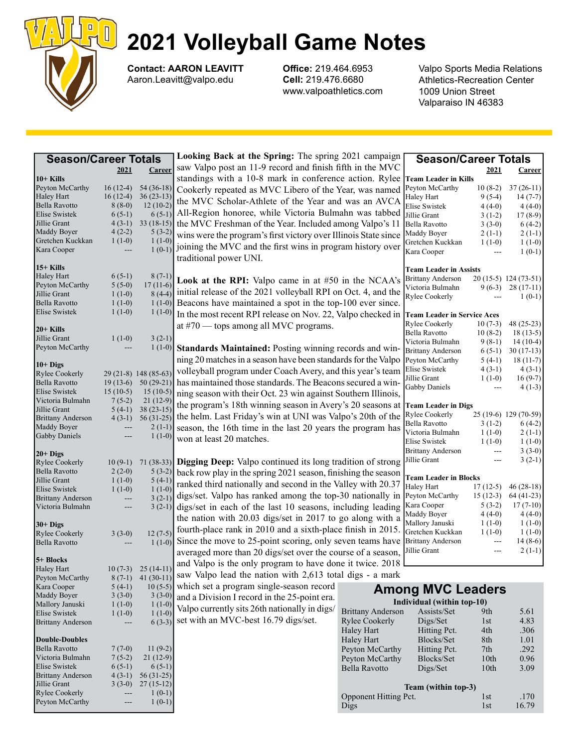

Contact: AARON LEAVITT Aaron.Leavitt@valpo.edu

Office: 219.464.6953 Cell: 219.476.6680 www.valpoathletics.com Valpo Sports Media Relations Athletics-Recreation Center 1009 Union Street Valparaiso IN 46383

| <b>Season/Career Totals</b>      |                                                                                                                                                                                                                   |                       | Looking Back at the Spring: The spring 2021 campaign                        |                          | <b>Season/Career Totals</b>        |                       |                          |
|----------------------------------|-------------------------------------------------------------------------------------------------------------------------------------------------------------------------------------------------------------------|-----------------------|-----------------------------------------------------------------------------|--------------------------|------------------------------------|-----------------------|--------------------------|
|                                  | 2021                                                                                                                                                                                                              | Career                | saw Valpo post an 11-9 record and finish fifth in the MVC                   |                          |                                    | 2021                  | <b>Career</b>            |
| $10+$ Kills                      |                                                                                                                                                                                                                   |                       | standings with a 10-8 mark in conference action. Rylee                      |                          | <b>Team Leader in Kills</b>        |                       |                          |
| Peyton McCarthy                  | $16(12-4)$                                                                                                                                                                                                        | $54(36-18)$           | Cookerly repeated as MVC Libero of the Year, was named                      |                          | Peyton McCarthy                    | $10(8-2)$             | $37(26-11)$              |
| Haley Hart                       | $16(12-4)$                                                                                                                                                                                                        | $36(23-13)$           |                                                                             |                          | Haley Hart                         | $9(5-4)$              | $14(7-7)$                |
| Bella Ravotto                    | $8(8-0)$                                                                                                                                                                                                          | $12(10-2)$            | the MVC Scholar-Athlete of the Year and was an AVCA                         |                          | Elise Swistek                      | $4(4-0)$              | $4(4-0)$                 |
| <b>Elise Swistek</b>             | $6(5-1)$                                                                                                                                                                                                          | $6(5-1)$              | All-Region honoree, while Victoria Bulmahn was tabbed                       |                          | Jillie Grant                       | $3(1-2)$              | $17(8-9)$                |
| Jillie Grant                     | $4(3-1)$                                                                                                                                                                                                          | $33(18-15)$           | the MVC Freshman of the Year. Included among Valpo's 11                     |                          | Bella Ravotto                      | $3(3-0)$              | $6(4-2)$                 |
| Maddy Boyer                      | $4(2-2)$                                                                                                                                                                                                          | $5(3-2)$              | wins were the program's first victory over Illinois State since             |                          | Maddy Boyer                        | $2(1-1)$              | $2(1-1)$                 |
| Gretchen Kuckkan                 | $1(1-0)$                                                                                                                                                                                                          | $1(1-0)$              | joining the MVC and the first wins in program history over                  |                          | Gretchen Kuckkan                   | $1(1-0)$              | $1(1-0)$                 |
| Kara Cooper                      |                                                                                                                                                                                                                   | $1(0-1)$              |                                                                             |                          | Kara Cooper                        | ---                   | $1(0-1)$                 |
|                                  |                                                                                                                                                                                                                   |                       | traditional power UNI.                                                      |                          |                                    |                       |                          |
| $15+$ Kills<br><b>Haley Hart</b> | $6(5-1)$                                                                                                                                                                                                          | $8(7-1)$              |                                                                             |                          | <b>Team Leader in Assists</b>      |                       |                          |
| Peyton McCarthy                  | $5(5-0)$                                                                                                                                                                                                          | $17(11-6)$            | Look at the RPI: Valpo came in at #50 in the NCAA's                         |                          | <b>Brittany Anderson</b>           |                       | 20 (15-5) 124 (73-51)    |
| Jillie Grant                     | $1(1-0)$                                                                                                                                                                                                          | $8(4-4)$              | initial release of the 2021 volleyball RPI on Oct. 4, and the               |                          | Victoria Bulmahn                   | $9(6-3)$              | $28(17-11)$              |
| Bella Ravotto                    | $1(1-0)$                                                                                                                                                                                                          | $1(1-0)$              | Beacons have maintained a spot in the top-100 ever since.                   |                          | Rylee Cookerly                     |                       | $1(0-1)$                 |
| Elise Swistek                    | $1(1-0)$                                                                                                                                                                                                          | $1(1-0)$              |                                                                             |                          |                                    |                       |                          |
|                                  |                                                                                                                                                                                                                   |                       | In the most recent RPI release on Nov. 22, Valpo checked in                 |                          | <b>Team Leader in Service Aces</b> |                       |                          |
| $20+$ Kills                      |                                                                                                                                                                                                                   |                       | at #70 — tops among all MVC programs.                                       |                          | Rylee Cookerly                     | $10(7-3)$             | $48(25-23)$              |
| Jillie Grant                     | $1(1-0)$                                                                                                                                                                                                          | $3(2-1)$              |                                                                             |                          | Bella Ravotto<br>Victoria Bulmahn  | $10(8-2)$<br>$9(8-1)$ | $18(13-5)$<br>$14(10-4)$ |
| Peyton McCarthy                  | $\qquad \qquad - -$                                                                                                                                                                                               | $1(1-0)$              | Standards Maintained: Posting winning records and win-                      |                          | <b>Brittany Anderson</b>           |                       | $30(17-13)$              |
|                                  |                                                                                                                                                                                                                   |                       | ning 20 matches in a season have been standards for the Valpo               |                          | Peyton McCarthy                    | $6(5-1)$<br>$5(4-1)$  | $18(11-7)$               |
| $10+$ Digs                       |                                                                                                                                                                                                                   |                       |                                                                             |                          | Elise Swistek                      | $4(3-1)$              | $4(3-1)$                 |
| <b>Rylee Cookerly</b>            |                                                                                                                                                                                                                   | 29 (21-8) 148 (85-63) | volleyball program under Coach Avery, and this year's team                  |                          | Jillie Grant                       | $1(1-0)$              | $16(9-7)$                |
| Bella Ravotto                    | $19(13-6)$                                                                                                                                                                                                        | $50(29-21)$           | has maintained those standards. The Beacons secured a win-                  |                          | Gabby Daniels                      |                       | $4(1-3)$                 |
| Elise Swistek                    | $15(10-5)$                                                                                                                                                                                                        | $15(10-5)$            | ning season with their Oct. 23 win against Southern Illinois,               |                          |                                    |                       |                          |
| Victoria Bulmahn                 | $7(5-2)$                                                                                                                                                                                                          | $21(12-9)$            | the program's 18th winning season in Avery's 20 seasons at                  |                          | <b>Team Leader in Digs</b>         |                       |                          |
| Jillie Grant                     | $5(4-1)$                                                                                                                                                                                                          | $38(23-15)$           | the helm. Last Friday's win at UNI was Valpo's 20th of the                  |                          | <b>Rylee Cookerly</b>              |                       | 25 (19-6) 129 (70-59)    |
| <b>Brittany Anderson</b>         | $4(3-1)$                                                                                                                                                                                                          | $56(31-25)$           |                                                                             |                          | Bella Ravotto                      | $3(1-2)$              | $6(4-2)$                 |
| <b>Maddy Boyer</b>               | $\qquad \qquad - -$                                                                                                                                                                                               | $2(1-1)$              | season, the 16th time in the last 20 years the program has                  |                          | Victoria Bulmahn                   | $1(1-0)$              | $2(1-1)$                 |
| <b>Gabby Daniels</b>             |                                                                                                                                                                                                                   | $1(1-0)$              | won at least 20 matches.                                                    |                          | Elise Swistek                      | $1(1-0)$              | $1(1-0)$                 |
| $20+$ Digs                       |                                                                                                                                                                                                                   |                       |                                                                             |                          | <b>Brittany Anderson</b>           | $\sim$ $\sim$ $\sim$  | $3(3-0)$                 |
| <b>Rylee Cookerly</b>            | $10(9-1)$                                                                                                                                                                                                         | $71(38-33)$           | Digging Deep: Valpo continued its long tradition of strong                  |                          | Jillie Grant                       | $---$                 | $3(2-1)$                 |
| <b>Bella Ravotto</b>             | $2(2-0)$                                                                                                                                                                                                          | $5(3-2)$              | back row play in the spring 2021 season, finishing the season               |                          |                                    |                       |                          |
| Jillie Grant                     | $1(1-0)$                                                                                                                                                                                                          | $5(4-1)$              |                                                                             |                          | <b>Team Leader in Blocks</b>       |                       |                          |
| Elise Swistek                    | $1(1-0)$                                                                                                                                                                                                          | $1(1-0)$              | ranked third nationally and second in the Valley with 20.37                 |                          | Haley Hart                         | $17(12-5)$            | $46(28-18)$              |
| <b>Brittany Anderson</b>         | $\hspace{0.02in} \hspace{0.02in} \hspace{0.02in} \hspace{0.02in} \hspace{0.02in} \hspace{0.02in} \hspace{0.02in} \hspace{0.02in} \hspace{0.02in} \hspace{0.02in} \hspace{0.02in} \hspace{0.02in}$                 | $3(2-1)$              | digs/set. Valpo has ranked among the top-30 nationally in                   |                          | Peyton McCarthy                    | $15(12-3)$            | 64 (41-23)               |
| Victoria Bulmahn                 | $\hspace{0.02in} \hspace{0.02in} \hspace{0.02in} \hspace{0.02in} \hspace{0.02in} \hspace{0.02in} \hspace{0.02in} \hspace{0.02in} \hspace{0.02in} \hspace{0.02in} \hspace{0.02in} \hspace{0.02in} \hspace{0.02in}$ | $3(2-1)$              | digs/set in each of the last 10 seasons, including leading                  |                          | Kara Cooper                        | $5(3-2)$              | $17(7-10)$               |
|                                  |                                                                                                                                                                                                                   |                       | the nation with 20.03 digs/set in 2017 to go along with a                   |                          | Maddy Boyer                        | $4(4-0)$              | $4(4-0)$                 |
| $30+$ Digs                       |                                                                                                                                                                                                                   |                       | fourth-place rank in 2010 and a sixth-place finish in 2015.                 |                          | Mallory Januski                    | $1(1-0)$              | $1(1-0)$                 |
| <b>Rylee Cookerly</b>            | $3(3-0)$                                                                                                                                                                                                          | $12(7-5)$             |                                                                             |                          | Gretchen Kuckkan                   | $1(1-0)$              | $1(1-0)$                 |
| Bella Ravotto                    | $---$                                                                                                                                                                                                             | $1(1-0)$              | Since the move to 25-point scoring, only seven teams have Brittany Anderson |                          |                                    | $\sim$ $\sim$         | $14(8-6)$                |
|                                  |                                                                                                                                                                                                                   |                       | averaged more than 20 digs/set over the course of a season,                 |                          | Jillie Grant                       | $---$                 | $2(1-1)$                 |
| 5+ Blocks                        |                                                                                                                                                                                                                   |                       | and Valpo is the only program to have done it twice. 2018                   |                          |                                    |                       |                          |
| <b>Haley Hart</b>                | $10(7-3)$                                                                                                                                                                                                         | $25(14-11)$           | saw Valpo lead the nation with 2,613 total digs - a mark                    |                          |                                    |                       |                          |
| Peyton McCarthy                  | $8(7-1)$                                                                                                                                                                                                          | 41 $(30-11)$          |                                                                             |                          |                                    |                       |                          |
| Kara Cooper<br>Maddy Boyer       | $5(4-1)$<br>$3(3-0)$                                                                                                                                                                                              | $10(5-5)$<br>$3(3-0)$ | which set a program single-season record                                    |                          | <b>Among MVC Leaders</b>           |                       |                          |
| Mallory Januski                  | $1(1-0)$                                                                                                                                                                                                          | $1(1-0)$              | and a Division I record in the 25-point era.                                |                          | Individual (within top-10)         |                       |                          |
| Elise Swistek                    | $1(1-0)$                                                                                                                                                                                                          | $1(1-0)$              | Valpo currently sits 26th nationally in digs/                               | <b>Brittany Anderson</b> | Assists/Set                        | 9th                   | 5.61                     |
| <b>Brittany Anderson</b>         | $---$                                                                                                                                                                                                             | $6(3-3)$              | set with an MVC-best 16.79 digs/set.                                        | <b>Rylee Cookerly</b>    | Digs/Set                           | 1st                   | 4.83                     |
|                                  |                                                                                                                                                                                                                   |                       |                                                                             | Haley Hart               | Hitting Pct.                       | 4th                   | .306                     |
| <b>Double-Doubles</b>            |                                                                                                                                                                                                                   |                       |                                                                             | Haley Hart               | Blocks/Set                         | 8th                   | 1.01                     |
| Bella Ravotto                    | $7(7-0)$                                                                                                                                                                                                          | $11(9-2)$             |                                                                             | Peyton McCarthy          | Hitting Pct.                       | 7th                   | .292                     |
| Victoria Bulmahn                 | $7(5-2)$                                                                                                                                                                                                          | $21(12-9)$            |                                                                             | Peyton McCarthy          | Blocks/Set                         | 10th                  | 0.96                     |
| <b>Elise Swistek</b>             | $6(5-1)$                                                                                                                                                                                                          | $6(5-1)$              |                                                                             | Bella Ravotto            | Digs/Set                           | 10 <sup>th</sup>      | 3.09                     |
| <b>Brittany Anderson</b>         | $4(3-1)$                                                                                                                                                                                                          | $56(31-25)$           |                                                                             |                          |                                    |                       |                          |
| Jillie Grant                     | $3(3-0)$                                                                                                                                                                                                          | $27(15-12)$           |                                                                             |                          | Team (within top-3)                |                       |                          |
| <b>Rylee Cookerly</b>            | $---$                                                                                                                                                                                                             | $1(0-1)$              |                                                                             | Opponent Hitting Pct.    |                                    | 1 <sub>st</sub>       | .170                     |
| Peyton McCarthy                  | $---$                                                                                                                                                                                                             | $1(0-1)$              |                                                                             | Digs                     |                                    | 1st                   | 16.79                    |
|                                  |                                                                                                                                                                                                                   |                       |                                                                             |                          |                                    |                       |                          |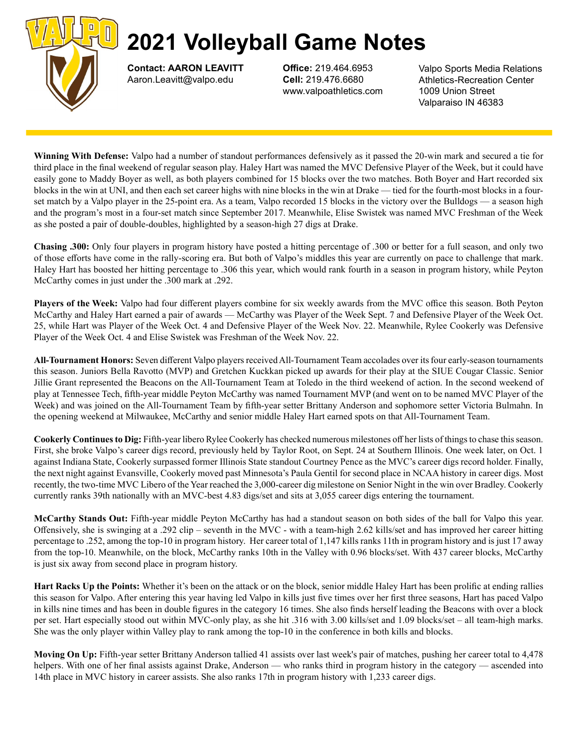

Contact: AARON LEAVITT Aaron.Leavitt@valpo.edu

Office: 219.464.6953 Cell: 219.476.6680 www.valpoathletics.com Valpo Sports Media Relations Athletics-Recreation Center 1009 Union Street Valparaiso IN 46383

Winning With Defense: Valpo had a number of standout performances defensively as it passed the 20-win mark and secured a tie for third place in the final weekend of regular season play. Haley Hart was named the MVC Defensive Player of the Week, but it could have easily gone to Maddy Boyer as well, as both players combined for 15 blocks over the two matches. Both Boyer and Hart recorded six blocks in the win at UNI, and then each set career highs with nine blocks in the win at Drake — tied for the fourth-most blocks in a fourset match by a Valpo player in the 25-point era. As a team, Valpo recorded 15 blocks in the victory over the Bulldogs — a season high and the program's most in a four-set match since September 2017. Meanwhile, Elise Swistek was named MVC Freshman of the Week as she posted a pair of double-doubles, highlighted by a season-high 27 digs at Drake.

Chasing .300: Only four players in program history have posted a hitting percentage of .300 or better for a full season, and only two of those efforts have come in the rally-scoring era. But both of Valpo's middles this year are currently on pace to challenge that mark. Haley Hart has boosted her hitting percentage to .306 this year, which would rank fourth in a season in program history, while Peyton McCarthy comes in just under the .300 mark at .292.

Players of the Week: Valpo had four different players combine for six weekly awards from the MVC office this season. Both Peyton McCarthy and Haley Hart earned a pair of awards — McCarthy was Player of the Week Sept. 7 and Defensive Player of the Week Oct. 25, while Hart was Player of the Week Oct. 4 and Defensive Player of the Week Nov. 22. Meanwhile, Rylee Cookerly was Defensive Player of the Week Oct. 4 and Elise Swistek was Freshman of the Week Nov. 22.

All-Tournament Honors: Seven different Valpo players received All-Tournament Team accolades over its four early-season tournaments this season. Juniors Bella Ravotto (MVP) and Gretchen Kuckkan picked up awards for their play at the SIUE Cougar Classic. Senior Jillie Grant represented the Beacons on the All-Tournament Team at Toledo in the third weekend of action. In the second weekend of play at Tennessee Tech, fifth-year middle Peyton McCarthy was named Tournament MVP (and went on to be named MVC Player of the Week) and was joined on the All-Tournament Team by fifth-year setter Brittany Anderson and sophomore setter Victoria Bulmahn. In the opening weekend at Milwaukee, McCarthy and senior middle Haley Hart earned spots on that All-Tournament Team.

Cookerly Continues to Dig: Fifth-year libero Rylee Cookerly has checked numerous milestones off her lists of things to chase this season. First, she broke Valpo's career digs record, previously held by Taylor Root, on Sept. 24 at Southern Illinois. One week later, on Oct. 1 against Indiana State, Cookerly surpassed former Illinois State standout Courtney Pence as the MVC's career digs record holder. Finally, the next night against Evansville, Cookerly moved past Minnesota's Paula Gentil for second place in NCAA history in career digs. Most recently, the two-time MVC Libero of the Year reached the 3,000-career dig milestone on Senior Night in the win over Bradley. Cookerly currently ranks 39th nationally with an MVC-best 4.83 digs/set and sits at 3,055 career digs entering the tournament.

McCarthy Stands Out: Fifth-year middle Peyton McCarthy has had a standout season on both sides of the ball for Valpo this year. Offensively, she is swinging at a .292 clip – seventh in the MVC - with a team-high 2.62 kills/set and has improved her career hitting percentage to .252, among the top-10 in program history. Her career total of 1,147 kills ranks 11th in program history and is just 17 away from the top-10. Meanwhile, on the block, McCarthy ranks 10th in the Valley with 0.96 blocks/set. With 437 career blocks, McCarthy is just six away from second place in program history.

Hart Racks Up the Points: Whether it's been on the attack or on the block, senior middle Haley Hart has been prolific at ending rallies this season for Valpo. After entering this year having led Valpo in kills just five times over her first three seasons, Hart has paced Valpo in kills nine times and has been in double figures in the category 16 times. She also finds herself leading the Beacons with over a block per set. Hart especially stood out within MVC-only play, as she hit .316 with 3.00 kills/set and 1.09 blocks/set – all team-high marks. She was the only player within Valley play to rank among the top-10 in the conference in both kills and blocks.

Moving On Up: Fifth-year setter Brittany Anderson tallied 41 assists over last week's pair of matches, pushing her career total to 4,478 helpers. With one of her final assists against Drake, Anderson — who ranks third in program history in the category — ascended into 14th place in MVC history in career assists. She also ranks 17th in program history with 1,233 career digs.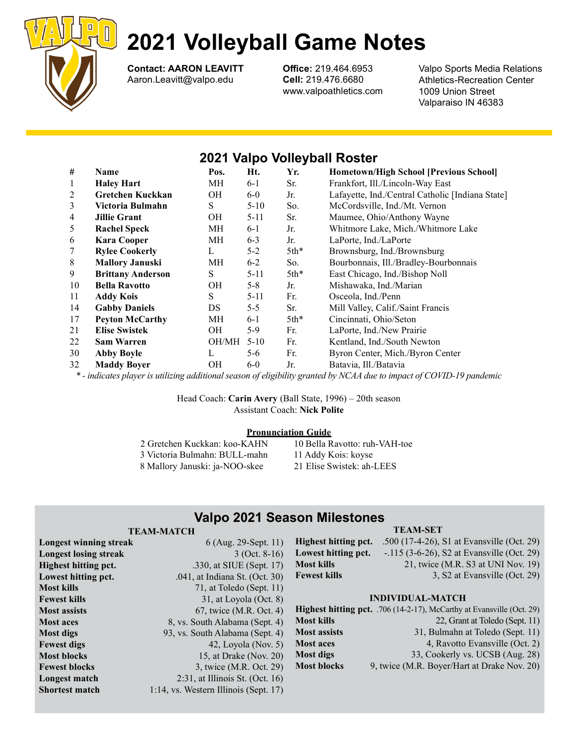

Contact: AARON LEAVITT Aaron.Leavitt@valpo.edu

Office: 219.464.6953 Cell: 219.476.6680 www.valpoathletics.com

Valpo Sports Media Relations Athletics-Recreation Center 1009 Union Street Valparaiso IN 46383

# 2021 Valpo Volleyball Roster

| #  | Name                     | Pos.      | Ht.      | Yr.    | <b>Hometown/High School [Previous School]</b>    |
|----|--------------------------|-----------|----------|--------|--------------------------------------------------|
| 1  | <b>Haley Hart</b>        | MH        | $6-1$    | Sr.    | Frankfort, Ill./Lincoln-Way East                 |
| 2  | Gretchen Kuckkan         | OН        | $6-0$    | Jr.    | Lafayette, Ind./Central Catholic [Indiana State] |
| 3  | Victoria Bulmahn         | S         | $5-10$   | So.    | McCordsville, Ind./Mt. Vernon                    |
| 4  | <b>Jillie Grant</b>      | <b>OH</b> | $5 - 11$ | Sr.    | Maumee, Ohio/Anthony Wayne                       |
| 5  | <b>Rachel Speck</b>      | МH        | $6-1$    | Jr.    | Whitmore Lake, Mich./Whitmore Lake               |
| 6  | <b>Kara Cooper</b>       | MH        | $6 - 3$  | Jr.    | LaPorte, Ind./LaPorte                            |
| 7  | <b>Rylee Cookerly</b>    | L         | $5 - 2$  | $5th*$ | Brownsburg, Ind./Brownsburg                      |
| 8  | <b>Mallory Januski</b>   | МH        | $6-2$    | So.    | Bourbonnais, Ill./Bradley-Bourbonnais            |
| 9  | <b>Brittany Anderson</b> | S         | $5 - 11$ | $5th*$ | East Chicago, Ind./Bishop Noll                   |
| 10 | <b>Bella Ravotto</b>     | OН        | $5 - 8$  | Jr.    | Mishawaka, Ind./Marian                           |
| 11 | <b>Addy Kois</b>         | S         | $5 - 11$ | Fr.    | Osceola, Ind./Penn                               |
| 14 | <b>Gabby Daniels</b>     | DS        | $5 - 5$  | Sr.    | Mill Valley, Calif./Saint Francis                |
| 17 | <b>Peyton McCarthy</b>   | МH        | $6-1$    | $5th*$ | Cincinnati, Ohio/Seton                           |
| 21 | <b>Elise Swistek</b>     | OН        | 5-9      | Fr.    | LaPorte, Ind./New Prairie                        |
| 22 | <b>Sam Warren</b>        | OH/MH     | $5 - 10$ | Fr.    | Kentland, Ind./South Newton                      |
| 30 | <b>Abby Boyle</b>        | L         | $5-6$    | Fr.    | Byron Center, Mich./Byron Center                 |
| 32 | <b>Maddy Boyer</b>       | <b>OH</b> | $6-0$    | Jr.    | Batavia, Ill./Batavia                            |

\* - indicates player is utilizing additional season of eligibility granted by NCAA due to impact of COVID-19 pandemic

Head Coach: Carin Avery (Ball State, 1996) – 20th season Assistant Coach: Nick Polite

### Pronunciation Guide

| 2 Gretchen Kuckkan: koo-KAHN   | 10 Bella Ravotto: ruh-VAH-toe |
|--------------------------------|-------------------------------|
| 3 Victoria Bulmahn: BULL-mahn  | 11 Addy Kois: koyse           |
| 8 Mallory Januski: ja-NOO-skee | 21 Elise Swistek: ah-LEES     |

# Valpo 2021 Season Milestones

## TEAM-MATCH

| <b>Longest winning streak</b> | 6 (Aug. 29-Sept. 11)                  |              |
|-------------------------------|---------------------------------------|--------------|
| <b>Longest losing streak</b>  | $3$ (Oct. 8-16)                       |              |
| <b>Highest hitting pct.</b>   | .330, at SIUE (Sept. 17)              | $\mathbf{I}$ |
| Lowest hitting pct.           | .041, at Indiana St. (Oct. 30)        | J.           |
| Most kills                    | 71, at Toledo (Sept. 11)              |              |
| Fewest kills                  | 31, at Loyola $(Oct. 8)$              |              |
| <b>Most assists</b>           | 67, twice (M.R. Oct. 4)               |              |
| <b>Most aces</b>              | 8, vs. South Alabama (Sept. 4)        | $\mathbf{I}$ |
| Most digs                     | 93, vs. South Alabama (Sept. 4)       | $\mathbf l$  |
| Fewest digs                   | 42, Loyola (Nov. $5$ )                | ľ            |
| <b>Most blocks</b>            | 15, at Drake (Nov. 20)                | $\mathbf{I}$ |
| <b>Fewest blocks</b>          | 3, twice (M.R. Oct. 29)               | $\mathbf{I}$ |
| Longest match                 | $2:31$ , at Illinois St. (Oct. 16)    |              |
| <b>Shortest match</b>         | 1:14, vs. Western Illinois (Sept. 17) |              |

## TEAM-SET

Highest hitting pct. .500 (17-4-26), S1 at Evansville (Oct. 29) Lowest hitting pct.  $-.115 (3-6-26)$ , S2 at Evansville (Oct. 29) Most kills 21, twice (M.R. S3 at UNI Nov. 19) Fewest kills 3, S2 at Evansville (Oct. 29)

### INDIVIDUAL-MATCH

|                     | Highest hitting pct. .706 (14-2-17), McCarthy at Evansville (Oct. 29) |
|---------------------|-----------------------------------------------------------------------|
| Most kills          | 22, Grant at Toledo (Sept. 11)                                        |
| <b>Most assists</b> | 31, Bulmahn at Toledo (Sept. 11)                                      |
| <b>Most aces</b>    | 4, Ravotto Evansville (Oct. 2)                                        |
| Most digs           | 33, Cookerly vs. UCSB (Aug. 28)                                       |
| <b>Most blocks</b>  | 9, twice (M.R. Boyer/Hart at Drake Nov. 20)                           |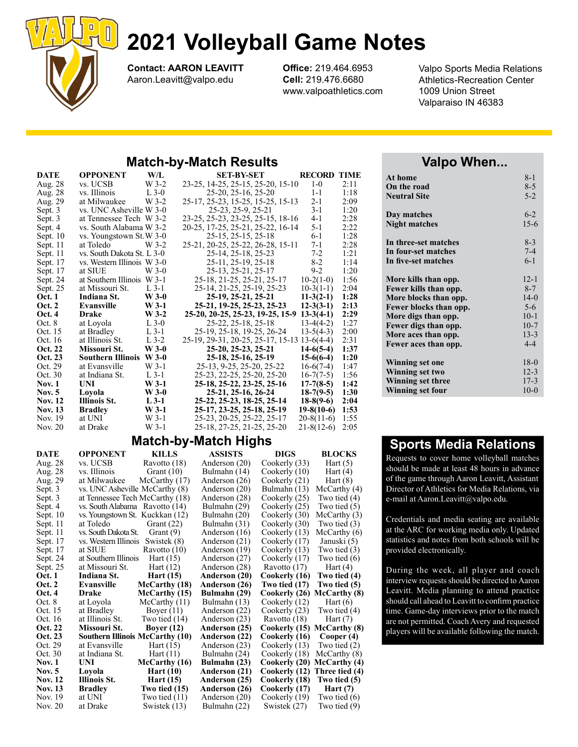

Contact: AARON LEAVITT Aaron.Leavitt@valpo.edu

Office: 219.464.6953 Cell: 219.476.6680 www.valpoathletics.com

**RECORD TIME**  $1-0$   $2:11$ 

Valpo Sports Media Relations Athletics-Recreation Center 1009 Union Street Valparaiso IN 46383

# Match-by-Match Results

| DATE               | <b>OPPONENT</b>            | W/L            | SET-BY-SET                                               | <b>RECORD</b>                    | <b>TIME</b>  |
|--------------------|----------------------------|----------------|----------------------------------------------------------|----------------------------------|--------------|
| Aug. 28            | vs. UCSB                   | $W$ 3-2        | 23-25, 14-25, 25-15, 25-20, 15-10                        | $1-0$                            | 2:11         |
| Aug. 28            | vs. Illinois               | $L$ 3-0        | 25-20, 25-16, 25-20                                      | $1 - 1$                          | 1:18         |
| Aug. 29            | at Milwaukee               | $W$ 3-2        | 25-17, 25-23, 15-25, 15-25, 15-13                        | $2 - 1$                          | 2:09         |
| Sept. 3            | vs. UNC Asheville W 3-0    |                | 25-23, 25-9, 25-21                                       | $3-1$                            | 1:20         |
| Sept. 3            | at Tennessee Tech W 3-2    |                | 23-25, 25-23, 23-25, 25-15, 18-16                        | 4-1                              | 2:28         |
| Sept. 4            | vs. South Alabama W 3-2    |                | 20-25, 17-25, 25-21, 25-22, 16-14                        | $5 - 1$                          | 2:22         |
| Sept. $10$         | vs. Youngstown St.W 3-0    |                | 25-15, 25-15, 25-18                                      | 6-1                              | 1:28         |
| Sept. 11           | at Toledo                  | W 3-2          | 25-21, 20-25, 25-22, 26-28, 15-11                        | 7-1                              | 2:28         |
| Sept. 11           | vs. South Dakota St. L 3-0 |                | 25-14, 25-18, 25-23                                      | $7-2$                            | 1:21         |
| Sept. 17           | vs. Western Illinois W 3-0 |                | 25-11, 25-19, 25-18                                      | $8-2$                            | 1:14         |
| Sept. 17           | at SIUE                    | W 3-0          | 25-13, 25-21, 25-17                                      | $9-2$                            | 1:20         |
| Sept. 24           | at Southern Illinois W 3-1 |                | 25-18, 21-25, 25-21, 25-17                               | $10-2(1-0)$                      | 1:56         |
| Sept. 25           | at Missouri St.            | $L$ 3-1        | 25-14, 21-25, 25-19, 25-23                               | $10-3(1-1)$                      | 2:04         |
| <b>Oct.</b> 1      | Indiana St.                | $W$ 3-0        | 25-19, 25-21, 25-21                                      | $11-3(2-1)$                      | 1:28         |
| Oct. 2             | Evansville                 | $W$ 3-1        | 25-21, 19-25, 25-23, 25-23                               | $12-3(3-1)$                      | 2:13         |
| Oct. 4             | <b>Drake</b>               | $W$ 3-2        | 25-20, 20-25, 25-23, 19-25, 15-9                         | $13-3(4-1)$                      | 2:29         |
| Oct. 8             | at Loyola                  | $L$ 3-0        | 25-22, 25-18, 25-18                                      | $13-4(4-2)$                      | 1:27         |
| Oct. 15            | at Bradley                 | $L$ 3-1        | 25-19, 25-18, 19-25, 26-24                               | $13-5(4-3)$                      | 2:00         |
| Oct. 16            | at Illinois St.            | $L$ 3-2        | 25-19, 29-31, 20-25, 25-17, 15-13 13-6(4-4)              |                                  | 2:31         |
| Oct. 22            | Missouri St.               | $W$ 3-0        | 25-20, 25-23, 25-21                                      | $14-6(5-4)$                      | 1:37         |
| Oct. 23            | <b>Southern Illinois</b>   | $W$ 3-0        | 25-18, 25-16, 25-19                                      | $15-6(6-4)$                      | 1:20         |
| Oct. 29            | at Evansville              | $W_3-1$        | 25-13, 9-25, 25-20, 25-22                                | $16-6(7-4)$                      | 1:47         |
| Oct. 30            | at Indiana St.             | $L$ 3-1        | 25-23, 22-25, 25-20, 25-20                               | $16-7(7-5)$                      | 1:56         |
| <b>Nov. 1</b>      | UNI                        | $W$ 3-1        | 25-18, 25-22, 23-25, 25-16                               | $17-7(8-5)$                      | 1:42         |
| <b>Nov. 5</b>      | Loyola                     | $W$ 3-0        | 25-21, 25-16, 26-24                                      | $18-7(9-5)$                      | 1:30         |
| <b>Nov. 12</b>     | <b>Illinois St.</b>        | $L$ 3-1        | 25-22, 25-23, 18-25, 25-14                               | $18-8(9-6)$                      | 2:04         |
| <b>Nov. 13</b>     | <b>Bradley</b>             | $W$ 3-1        | 25-17, 23-25, 25-18, 25-19                               | $19-8(10-6)$                     | 1:53         |
|                    |                            |                |                                                          |                                  |              |
| Nov. 19<br>Nov. 20 | at UNI<br>at Drake         | W 3-1<br>W 3-1 | 25-23, 20-25, 25-22, 25-17<br>25-18, 27-25, 21-25, 25-20 | $20-8(11-6)$<br>$21 - 8(12 - 6)$ | 1:55<br>2:05 |

# Match-by-Match Highs

|                    |                                  |                 | ັ              |               |                              |
|--------------------|----------------------------------|-----------------|----------------|---------------|------------------------------|
| <b>DATE</b>        | <b>OPPONENT</b>                  | <b>KILLS</b>    | <b>ASSISTS</b> | <b>DIGS</b>   | <b>BLOCKS</b>                |
| Aug. 28            | vs. UCSB                         | Ravotto (18)    | Anderson (20)  | Cookerly (33) | Hart $(5)$                   |
| Aug. 28            | vs. Illinois                     | Grant $(10)$    | Bulmahn (14)   | Cookerly (10) | Hart $(4)$                   |
| Aug. 29            | at Milwaukee                     | McCarthy (17)   | Anderson (26)  | Cookerly (21) | Hart $(8)$                   |
| Sept. 3            | vs. UNC Asheville McCarthy (8)   |                 | Anderson (20)  | Bulmahn (13)  | McCarthy (4)                 |
| Sept. 3            | at Tennessee Tech McCarthy (18)  |                 | Anderson (28)  | Cookerly (25) | Two tied $(4)$               |
| Sept. 4            | vs. South Alabama Ravotto (14)   |                 | Bulmahn (29)   | Cookerly (25) | Two tied (5)                 |
| Sept. $10$         | vs. Youngstown St. Kuckkan (12)  |                 | Bulmahn (20)   | Cookerly (30) | McCarthy (3)                 |
| Sept. 11           | at Toledo                        | Grant $(22)$    | Bulmahn (31)   | Cookerly (30) | Two tied $(3)$               |
| Sept. 11           | vs. South Dakota St.             | Grant $(9)$     | Anderson (16)  | Cookerly (13) | McCarthy(6)                  |
| Sept. 17           | vs. Western Illinois Swistek (8) |                 | Anderson (21)  | Cookerly (17) | Januski (5)                  |
| Sept. 17           | at SIUE                          | Ravotto (10)    | Anderson (19)  | Cookerly (13) | Two tied (3)                 |
| Sept. 24           | at Southern Illinois             | Hart $(15)$     | Anderson (27)  | Cookerly (17) | Two tied $(6)$               |
| Sept. 25           | at Missouri St.                  | Hart $(12)$     | Anderson (28)  | Ravotto (17)  | Hart $(4)$                   |
| <b>Oct.</b> 1      | Indiana St.                      | Hart $(15)$     | Anderson (20)  | Cookerly (16) | Two tied (4)                 |
| <b>Oct. 2</b>      | Evansville                       | McCarthy (18)   | Anderson (26)  | Two tied (17) | Two tied (5)                 |
| <b>Oct. 4</b>      | <b>Drake</b>                     | McCarthy (15)   | Bulmahn (29)   | Cookerly (26) | McCarthy (8)                 |
| Oct. 8             | at Loyola                        | McCarthy (11)   | Bulmahn (13)   | Cookerly (12) | Hart $(6)$                   |
| Oct. 15            | at Bradley                       | Boyer $(11)$    | Anderson (22)  | Cookerly (23) | Two tied $(4)$               |
| Oct. 16            | at Illinois St.                  | Two tied $(14)$ | Anderson (23)  | Ravotto (18)  | Hart $(7)$                   |
| Oct. 22            | Missouri St.                     | Boyer $(12)$    | Anderson (25)  | Cookerly (15) | McCarthy (8)                 |
| Oct. 23            | Southern Illinois McCarthy (10)  |                 | Anderson (22)  | Cookerly (16) | Cooper (4)                   |
| Oct. 29            | at Evansville                    | Hart $(15)$     | Anderson (23)  | Cookerly (13) | Two tied (2)                 |
| Oct. 30            | at Indiana St.                   | Hart $(11)$     | Bulmahn (24)   | Cookerly (18) | McCarthy (8)                 |
| <b>Nov. 1</b>      | UNI                              | McCarthy (16)   | Bulmahn (23)   | Cookerly (20) | McCarthy (4)                 |
| <b>Nov.</b> 5      | Loyola                           | Hart $(10)$     | Anderson (21)  | Cookerly (12) | Three tied (4)               |
| <b>Nov. 12</b>     | <b>Illinois St.</b>              | Hart $(15)$     | Anderson (25)  | Cookerly (18) | Two tied (5)                 |
|                    |                                  |                 |                |               |                              |
| <b>Nov. 13</b>     | <b>Bradley</b>                   | Two tied (15)   | Anderson (26)  | Cookerly (17) | Hart $(7)$                   |
| Nov. 19<br>Nov. 20 | at UNI                           | Two tied $(11)$ | Anderson (20)  | Cookerly (19) | Two tied (6)<br>Two tied (9) |

# Valpo When...

| At home                  | $8 - 1$  |
|--------------------------|----------|
| On the road              | $8 - 5$  |
| <b>Neutral Site</b>      | $5 - 2$  |
| Day matches              | $6 - 2$  |
| Night matches            | $15-6$   |
| In three-set matches     | $8-3$    |
| In four-set matches      | $7 - 4$  |
| In five-set matches      | $6 - 1$  |
| More kills than opp.     | $12 - 1$ |
| Fewer kills than opp.    | $8 - 7$  |
| More blocks than opp.    | $14-0$   |
| Fewer blocks than opp.   | $5-6$    |
| More digs than opp.      | $10-1$   |
| Fewer digs than opp.     | $10-7$   |
| More aces than opp.      | $13 - 3$ |
| Fewer aces than opp.     | $4 - 4$  |
| <b>Winning set one</b>   | $18-0$   |
| Winning set two          | $12 - 3$ |
| <b>Winning set three</b> | $17 - 3$ |
| <b>Winning set four</b>  | $10-0$   |

# Sports Media Relations

Requests to cover home volleyball matches should be made at least 48 hours in advance of the game through Aaron Leavitt, Assistant Director of Athletics for Media Relations, via e-mail at Aaron.Leavitt@valpo.edu.

Credentials and media seating are available at the ARC for working media only. Updated statistics and notes from both schools will be provided electronically.

During the week, all player and coach interview requests should be directed to Aaron Leavitt. Media planning to attend practice should call ahead to Leavitt to confirm practice time. Game-day interviews prior to the match are not permitted. Coach Avery and requested players will be available following the match.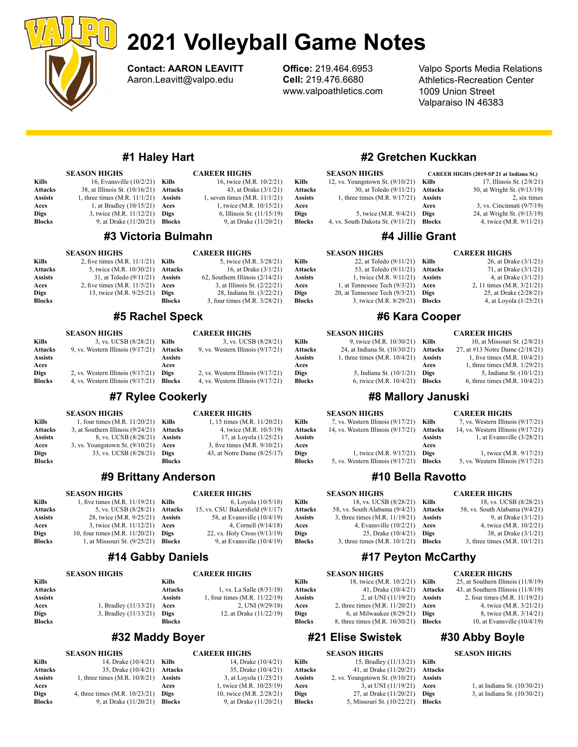

Contact: AARON LEAVITT Aaron.Leavitt@valpo.edu

Office: 219.464.6953 Cell: 219.476.6680 www.valpoathletics.com

> Attacks Assists Aces Digs **Blocks**

Aces

Ass Ace Valpo Sports Media Relations Athletics-Recreation Center 1009 Union Street Valparaiso IN 46383

CAREER HIGHS (2019-SP 21 at Indiana St.)

CAREER HIGHS

26, at Drake (3/1/21)

# #1 Haley Hart

| <b>SEASON HIGHS</b> |                                         | <b>CAREER HIGHS</b> |                                 |
|---------------------|-----------------------------------------|---------------------|---------------------------------|
| Kills               | 16, Evansville (10/2/21)                | Kills               | 16, twice (M.R. 10/2/21)        |
| <b>Attacks</b>      | 38, at Illinois St. (10/16/21)          | Attacks             | 43, at Drake (3/1/21)           |
| <b>Assists</b>      | 1, three times $(M.R. 11/1/21)$ Assists |                     | 1, seven times $(M.R. 11/1/21)$ |
| Aces                | 1, at Bradley $(10/15/21)$              | Aces                | 1, twice (M.R. 10/15/21)        |
| <b>Digs</b>         | 3, twice (M.R. 11/12/21)                | <b>Digs</b>         | 6, Illinois St. (11/15/19)      |
| <b>Blocks</b>       | 9, at Drake (11/20/21)                  | <b>Blocks</b>       | 9, at Drake (11/20/21)          |
|                     |                                         |                     |                                 |

## #3 Victoria Bulmahn

|                | <b>SEASON HIGHS</b>            |                | <b>CAREER HIGHS</b>               |
|----------------|--------------------------------|----------------|-----------------------------------|
| Kills          | 2, five times $(M.R. 11/1/21)$ | Kills          | 5, twice (M.R. 3/28/21)           |
| <b>Attacks</b> | 5, twice (M.R. 10/30/21)       | Attacks        | 16, at Drake (3/1/21)             |
| <b>Assists</b> | 31, at Toledo (9/11/21)        | <b>Assists</b> | 62, Southern Illinois $(2/14/21)$ |
| Aces           | 2, five times (M.R. 11/5/21)   | Aces           | 3, at Illinois St. (2/22/21)      |
| <b>Digs</b>    | 13, twice (M.R. 9/25/21)       | <b>Digs</b>    | 28, Indiana St. (3/22/21)         |
| <b>Blocks</b>  |                                | <b>Blocks</b>  | 3, four times (M.R. 3/28/21)      |

## #5 Rachel Speck

#### SEASON HIGHS Kills 3, vs. UCSB (8/28/21) Kills Attacks 9, vs. Western Illinois (9/17/21) Assists Aces Digs 2, vs. Western Illinois (9/17/21) Blocks 4, vs. Western Illinois (9/17/21) Blocks CAREER HIGHS 3, vs. UCSB (8/28/21) Attacks 9, vs. Western Illinois (9/17/21) Assists Aces Digs 2, vs. Western Illinois (9/17/21) 4, vs. Western Illinois (9/17/21)

# #7 Rylee Cookerly

## SEASON HIGHS

SEASON HIGHS

| Kills          | 1, four times $(M.R. 11/20/21)$ Kills     |               | 1, 15 times (M.R. 11/20/21)  |
|----------------|-------------------------------------------|---------------|------------------------------|
| <b>Attacks</b> | 3, at Southern Illinois (9/24/21) Attacks |               | 4, twice (M.R. 10/5/19)      |
| <b>Assists</b> | 8. vs. UCSB (8/28/21) Assists             |               | 17, at Loyola (1/25/21)      |
| Aces           | 3, vs. Youngstown St. $(9/10/21)$ Aces    |               | 3, five times (M.R. 9/10/21) |
| <b>Digs</b>    | 33. vs. UCSB (8/28/21)                    | Digs          | 43. at Notre Dame (8/25/17)  |
| <b>Blocks</b>  |                                           | <b>Blocks</b> |                              |

# #9 Brittany Anderson

#### SEASON HIGHS Kills  $1, 6$  ve times  $(MR, 11/19/21)$  Kills Attacks 5, vs. UCSB (8/28/21) Attacks Assists 28, twice (M.R. 9/25/21) Aces 3, twice (M.R. 11/12/21) **Digs** 10, four times (M.R. 11/20/21) Blocks 1, at Missouri St. (9/25/21) CAREER HIGHS 6, Loyola (10/5/18) 15, vs. CSU Bakersfield  $(9/1/17)$ Assists 58, at Evansville (10/4/19)<br>Aces 4, Cornell (9/14/18) **Aces** 4, Cornell (9/14/18)<br>Dies 22, vs. Holy Cross (9/13/19) 22, vs. Holy Cross (9/13/19) **Blocks** 9, at Evansville  $(10/4/19)$

# #14 Gabby Daniels

#### CAREER HIGHS

CAREER HIGHS

| Kills          |                         | Kills          |                               |
|----------------|-------------------------|----------------|-------------------------------|
| <b>Attacks</b> |                         | <b>Attacks</b> | 1, vs. La Salle (8/31/18)     |
| <b>Assists</b> |                         | <b>Assists</b> | 1, four times (M.R. 11/22/19) |
| Aces           | 1, Bradley $(11/13/21)$ | Aces           | 2, UNI $(9/29/18)$            |
| <b>Digs</b>    | 3, Bradley $(11/13/21)$ | Digs           | 12, at Drake (11/22/19)       |
| <b>Blocks</b>  |                         | <b>Blocks</b>  |                               |

# #32 Maddy Boyer

#### SEASON HIGHS **Kills** 14, Drake (10/4/21) **Kills Attacks** 35, Drake (10/4/21)<br>**Assists** 1, three times (M.R. 10/8/21) 1, three times  $(M.R. 10/8/21)$ Aces **Digs** 4, three times (M.R. 10/23/21) **Blocks** 9, at Drake (11/20/21) **Blocks** 9, at Drake (11/20/21)

#### CAREER HIGHS 14, Drake (10/4/21) **Attacks** 35, Drake (10/4/21)<br>**Assists** 3, at Loyola (1/25/21) 3, at Loyola (1/25/21) **Aces** 1, twice (M.R. 10/25/19)<br> **Digs** 10, twice (M.R. 2/28/21) 10, twice (M.R. 2/28/21)

# #2 Gretchen Kuckkan

#4 Jillie Grant

#### SEASON HIGHS

|                                   |        | 17, Illinois St. (2/8/21)                                                                                                |
|-----------------------------------|--------|--------------------------------------------------------------------------------------------------------------------------|
|                                   |        | 50, at Wright St. (9/13/19)                                                                                              |
|                                   |        | 2, six times                                                                                                             |
|                                   | Aces   | 3, vs. Cincinnati (9/7/19)                                                                                               |
| 5, twice (M.R. 9/4/21)            | Digs   | 24, at Wright St. (9/13/19)                                                                                              |
| 4, vs. South Dakota St. (9/11/21) | Blocks | 4, twice (M.R. 9/11/21)                                                                                                  |
|                                   |        | 12, vs. Youngstown St. $(9/10/21)$ Kills<br>30, at Toledo $(9/11/21)$ Attacks<br>1, three times $(M.R. 9/17/21)$ Assists |

#### Digs 24, at Wright St. (9/13/19) Blocks 4, twice (M.R. 9/11/21)

#### SEASON HIGHS

SEASON HIGHS

#### Kills 22, at Toledo (9/11/21) Kills Attacks 53, at Toledo (9/11/21) Assists 1, twice (M.R. 9/11/21) Aces 1, at Tennessee Tech (9/3/21) Digs 20, at Tennessee Tech (9/3/21) **Blocks** 3, twice (M.R. 8/29/21) Attacks  $71$ , at Drake  $(3/1/21)$ Assists  $4$ , at Drake  $(3/1/21)$ Aces 2, 11 times (M.R. 3/21/21) **Digs** 25, at Drake (2/28/21) **Blocks** 4, at Loyola (1/25/21)

# #6 Kara Cooper

### CAREER HIGHS

| Kills         | 9, twice (M.R. 10/30/21) Kills          |      | 10, at Missouri St. (2/8/21)    |
|---------------|-----------------------------------------|------|---------------------------------|
| Attacks       | 24, at Indiana St. $(10/30/21)$ Attacks |      | 27, at #13 Notre Dame (2/18/21) |
| Assists       | 1, three times $(M.R. 10/4/21)$ Assists |      | 1, five times (M.R. 10/4/21)    |
| Aces          |                                         | Aces | 1, three times (M.R. 1/29/21)   |
| Digs          | 5, Indiana St. (10/1/21)                | Digs | 5, Indiana St. (10/1/21)        |
| <b>Blocks</b> | 6, twice (M.R. 10/4/21) Blocks          |      | 6, three times $(M.R. 10/4/21)$ |
|               |                                         |      |                                 |

# #8 Mallory Januski

|               | <b>SEASON HIGHS</b>                  |                | <b>CAREER HIGHS</b>                  |
|---------------|--------------------------------------|----------------|--------------------------------------|
| Kills         | 7, vs. Western Illinois $(9/17/21)$  | Kills          | 7, vs. Western Illinois $(9/17/21)$  |
| Attacks       | 14, vs. Western Illinois $(9/17/21)$ | <b>Attacks</b> | 14, vs. Western Illinois $(9/17/21)$ |
| Assists       |                                      | <b>Assists</b> | 1, at Evansville $(3/28/21)$         |
| Aces          |                                      | Aces           |                                      |
| Digs          | 1, twice (M.R. 9/17/21)              | Digs           | 1, twice (M.R. 9/17/21)              |
| <b>Blocks</b> | 5, vs. Western Illinois $(9/17/21)$  | <b>Blocks</b>  | 5, vs. Western Illinois $(9/17/21)$  |
|               |                                      |                |                                      |

# #10 Bella Ravotto

## CAREER HIGHS

| Kills          | 18, vs. UCSB (8/28/21)         |
|----------------|--------------------------------|
| <b>Attacks</b> | 58, vs. South Alabama (9/4/21) |
| Assists        | 9, at Drake (3/1/21)           |
| Aces           | 4, twice (M.R. 10/2/21)        |
| Digs           | 38, at Drake (3/1/21)          |
| <b>Blocks</b>  | 3, three times (M.R. 10/1/21)  |

# 1cCarthy

| Kills         | 18, twice (M.R. 10/2/21)       | Kills       |
|---------------|--------------------------------|-------------|
| Attacks       | 41, Drake (10/4/21)            | Attac       |
| Assists       | 2, at UNI (11/19/21)           | Assis       |
| Aces          | 2, three times (M.R. 11/20/21) | Aces        |
| Digs          | 6, at Milwaukee (8/29/21)      | <b>Digs</b> |
| <b>Blocks</b> | 8, three times (M.R. 10/30/21) | Block       |
|               |                                |             |

# #21 Elise Swistek

|               | <b>SEASON HIGHS</b>               |                |
|---------------|-----------------------------------|----------------|
| Kills         | 15, Bradley (11/13/21)            | Kills          |
| Attacks       | 41, at Drake (11/20/21)           | <b>Attacks</b> |
| Assists       | 2, vs. Youngstown St. $(9/10/21)$ | <b>Assists</b> |
| Aces          | 3, at UNI (11/19/21)              | Aces           |
| Digs          | 27, at Drake (11/20/21)           | <b>Digs</b>    |
| <b>Blocks</b> | 5, Missouri St. (10/22/21)        | <b>Blocks</b>  |

# CAREER HIGHS

25, at Southern Illinois (11/8/19) 43, at Southern Illinois  $(11/8/19)$  $\text{Its}$  2, four times (M.R. 11/19/21) 4, twice (M.R. 3/21/21) 8, twice (M.R. 3/14/21)  $ks$  10, at Evansville  $(10/4/19)$ 

# #30 Abby Boyle

### SEASON HIGHS

ces  $1$ , at Indiana St.  $(10/30/21)$ igs  $3$ , at Indiana St.  $(10/30/21)$ 

| #17 Peyton N                 |     |
|------------------------------|-----|
| <b>SEASON HIGHS</b>          |     |
| 18, twice (M.R. 10/2/21) Kil |     |
| 41, Drake (10/4/21)          | Att |
| 2. at UNI $(11/19/21)$       | Ass |

# Attacl Assist

Digs **Blocks** 

SEASON HIGHS

Kills 18, vs. UCSB (8/28/21) Kills Attacks 58, vs. South Alabama (9/4/21) Attacks 58, vs. South Alabama (9/4/21) Assists 3, three times (M.R. 11/19/21) Aces 4, Evansville (10/2/21) **Digs** 25, Drake (10/4/21)

**Blocks** 3, three times  $(M.R. 10/1/21)$  **Blocks** 3, three times  $(M.R. 10/1/21)$ Assists



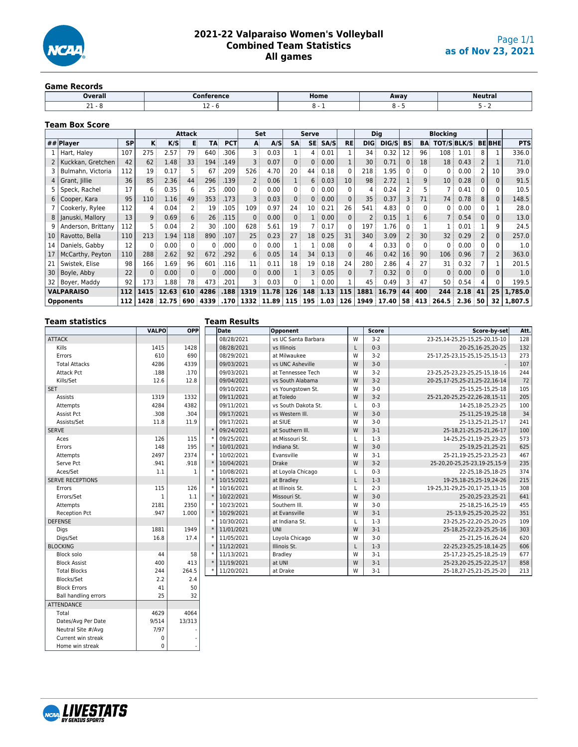

### **2021-22 Valparaiso Women's Volleyball Combined Team Statistics All games**

#### **Game Records**

| --------------            |            |      |      |                     |  |
|---------------------------|------------|------|------|---------------------|--|
| Overall                   | Conference | Home | Away | Neutra <sub>1</sub> |  |
| $\sim$ $\sim$<br><u>_</u> | <b></b>    |      |      |                     |  |
|                           |            |      |      |                     |  |

#### **Team Box Score**

|    |                    |           |                   |       | <b>Attack</b> |          |            |                   | <b>Set</b> |                   | Serve           |          |           |                 | <b>Dig</b> |           |                | <b>Blocking</b>    |                   |          |              |            |
|----|--------------------|-----------|-------------------|-------|---------------|----------|------------|-------------------|------------|-------------------|-----------------|----------|-----------|-----------------|------------|-----------|----------------|--------------------|-------------------|----------|--------------|------------|
|    | ## Player          | <b>SP</b> | K.                | K/S   | в             | TA       | <b>PCT</b> | A                 | A/S        | <b>SA</b>         | SE:             | SA/S     | <b>RE</b> | <b>DIG</b>      | DIG/S      | <b>BS</b> | BA             | <b>TOT/S BLK/S</b> |                   |          | <b>BEBHE</b> | <b>PTS</b> |
|    | Hart, Haley        | 107       | 275               | 2.57  | 79            | 640      | .306       | 3                 | 0.03       |                   | 4:              | 0.01     |           | 34              | 0.32       | 12        | 96             | 108 <sub>1</sub>   | 1.01              | 8        |              | 336.0      |
|    | Kuckkan, Gretchen  | 42        | 62                | 1.48  | 33            | 194      | .149       | 3                 | 0.07       | 0 <sup>3</sup>    | 0               | 0.00     |           | 30 <sup>2</sup> | 0.71       |           | 18             | 18 <sup>3</sup>    | 0.43              |          |              | 71.0       |
|    | Bulmahn, Victoria  | 112       | 19                | 0.17  |               | 67       | .209       | 526               | 4.70       | 20                | 44              | 0.18     |           | 218             | 1.95       |           | $\Omega$       | 0:                 | 0.00              |          | 10           | 39.0       |
|    | Grant, Jillie      | 36        | 85                | 2.36  | 44            | 296      | .139       | 2                 | 0.06       |                   | 6               | 0.03     | 10        | 98              | 2.72       |           | 9:             | 10 <sup>1</sup>    | 0.28              | 0        | 0            | 91.5       |
|    | Speck, Rachel      | 17        | 6                 | 0.35  | 6             | 25       | .000       | 0                 | 0.00       | $\mathbf{0}$      | 0:              | 0.00     | 0         | 4               | 0.24       |           | 5              | 7 :                | 0.41              | 0        |              | 10.5       |
| 6  | Cooper, Kara       | 95        | 110               | 1.16  | 49            | 353      | .173       | 3                 | 0.03       | $0^{\frac{1}{2}}$ | $\Omega$        | 0.00     | $\Omega$  | 35              | 0.37       |           | 71             | 74:                | 0.78              | 8        | $\mathbf{0}$ | 148.5      |
|    | Cookerly, Rylee    | 112       | 4                 | 0.04  |               | 19       | .105       | 109               | 0.97       | 24                | 10 <sup>1</sup> | 0.21     | 26        | 541             | 4.83       |           | 0              | 0:                 | 0.00              | 0        |              | 28.0       |
| 8  | Januski, Mallory   | 13        | 9:                | 0.69  | 6             | 26       | .115       | $\mathbf{0}$      | 0.00       | 0                 | 1:              | 0.00     | $\Omega$  | $\overline{2}$  | 0.15       |           | 6:             | 7:                 | 0.54              | $\Omega$ | 0            | 13.0       |
|    | Anderson, Brittany | 112       | 5                 | 0.04  |               | 30       | .100       | 628               | 5.61       | 19                |                 | 0.17     | 0         | 197             | 1.76       |           |                |                    | 0.01              |          | 9            | 24.5       |
| 10 | Ravotto, Bella     | 110       | 213               | 1.94  | 118           | 890      | .107       | 25                | 0.23       | 27                | 18 <sup>3</sup> | 0.25     | 31        | 340:            | 3.09       |           | 30             | 32 <sup>3</sup>    | 0.29              | 2        | 0            | 257.0      |
| 14 | Daniels, Gabby     | 12        | $\mathbf{0}$      | 0.00  | $\Omega$      | 0        | .000       | 0                 | 0.00       |                   |                 | 0.08     | 0         | $\overline{4}$  | 0.33       | 0         | $\mathbf{0}$   | 0:                 | 0.00              | 0        |              | 1.0        |
| 17 | McCarthy, Peyton   | 110       | 288               | 2.62  | 92            | 672      | .292       | $6^{\frac{1}{3}}$ | 0.05       | 14                | 34              | 0.13     | $\Omega$  | 46              | 0.42       | 16        | 90             | 106                | 0.96              |          |              | 363.0      |
| 21 | Swistek, Elise     | 98        | 166               | 1.69  | 96            | 601      | .116       | 11                | 0.11       | 18                | 19 <sup>3</sup> | 0.18     | 24        | 280             | 2.86       |           | 27             | 31                 | 0.32              |          |              | 201.5      |
| 30 | Boyle, Abby        | 22        | $0^{\frac{1}{2}}$ | 0.00  | $\Omega$      | 0        | .000       | 0                 | 0.00       |                   | 3               | 0.05     | 0         |                 | 0.32       |           | 0 <sup>1</sup> | 0:                 | 0.00              | 0        |              | 1.0        |
|    | Boyer, Maddy       | 92        | 173               | 1.88  | 78            | 473      | .201       | 3                 | 0.03       | 0                 | 1 :             | 0.00     |           | 45              | 0.49       |           | 47             | 50                 | 0.54              |          |              | 199.5      |
|    | <b>VALPARAISO</b>  | 112       | 1415              | 12.63 | 610           | 4286     | .188       | 1319              | 11.78      | 126               | 148             | 1.13     | 115       | 1881            | 16.79      | 44        | 400            | 244                | 2.18              | 41       | 25           | 1,785.0    |
|    | <b>Opponents</b>   | 112       | 1428              | 12.75 | 690           | 4339 170 |            |                   | 1332 11.89 | 115               |                 | 195 1.03 | 126       | 1949            | 17.40      | 58        | 413            | 264.5              | 2.36 <sup>2</sup> | 50       | 32           | 1,807.5    |

| <b>Team statistics</b>      |              |              | <b>Team Results</b> |                     |   |              |                                   |      |
|-----------------------------|--------------|--------------|---------------------|---------------------|---|--------------|-----------------------------------|------|
|                             | <b>VALPO</b> | <b>OPP</b>   | Date                | Opponent            |   | <b>Score</b> | Score-by-set                      | Att. |
| ATTACK                      |              |              | 08/28/2021          | vs UC Santa Barbara | W | $3 - 2$      | 23-25.14-25.25-15.25-20.15-10     | 128  |
| <b>Kills</b>                | 1415         | 1428         | 08/28/2021          | vs Illinois         | L | $0 - 3$      | 20-25, 16-25, 20-25               | 132  |
| Errors                      | 610          | 690          | 08/29/2021          | at Milwaukee        | W | $3 - 2$      | 25-17.25-23.15-25.15-25.15-13     | 273  |
| <b>Total Attacks</b>        | 4286         | 4339         | 09/03/2021          | vs UNC Asheville    | W | $3 - 0$      |                                   | 107  |
| <b>Attack Pct</b>           | .188         | .170         | 09/03/2021          | at Tennessee Tech   | W | $3 - 2$      | 23-25.25-23.23-25.25-15.18-16     | 244  |
| Kills/Set                   | 12.6         | 12.8         | 09/04/2021          | vs South Alabama    | W | $3 - 2$      | 20-25,17-25,25-21,25-22,16-14     | 72   |
| <b>SET</b>                  |              |              | 09/10/2021          | vs Youngstown St.   | W | $3 - 0$      | 25-15.25-15.25-18                 | 105  |
| Assists                     | 1319         | 1332         | 09/11/2021          | at Toledo           | W | $3 - 2$      | 25-21,20-25,25-22,26-28,15-11     | 205  |
| Attempts                    | 4284         | 4382         | 09/11/2021          | vs South Dakota St. | L | $0 - 3$      | 14-25,18-25,23-25                 | 100  |
| Assist Pct                  | .308         | .304         | 09/17/2021          | vs Western III.     | W | $3 - 0$      | 25-11,25-19,25-18                 | 34   |
| Assists/Set                 | 11.8         | 11.9         | 09/17/2021          | at SIUE             | W | $3 - 0$      | 25-13,25-21,25-17                 | 241  |
| <b>SERVE</b>                |              |              | 09/24/2021          | at Southern III.    | W | $3 - 1$      | 25-18,21-25,25-21,26-17           | 100  |
| Aces                        | 126          | 115          | 09/25/2021          | at Missouri St.     | L | $1-3$        | 14-25, 25-21, 19-25, 23-25        | 573  |
| Errors                      | 148          | 195          | 10/01/2021          | Indiana St.         | W | $3-0$        | 25-19,25-21,25-21                 | 625  |
| Attempts                    | 2497         | 2374         | 10/02/2021          | Evansville          | W | $3 - 1$      | 25-21,19-25,25-23,25-23           | 467  |
| Serve Pct                   | .941         | .918         | 10/04/2021          | <b>Drake</b>        | W | $3 - 2$      | 25-20, 20-25, 25-23, 19-25, 15-9  | 235  |
| Aces/Set                    | 1.1          | $\mathbf{1}$ | 10/08/2021          | at Loyola Chicago   | L | $0 - 3$      | 22-25,18-25,18-25                 | 374  |
| <b>SERVE RECEPTIONS</b>     |              |              | 10/15/2021          | at Bradley          | L | $1 - 3$      | 19-25, 18-25, 25-19, 24-26        | 215  |
| Errors                      | 115          | 126          | 10/16/2021          | at Illinois St.     | L | $2 - 3$      | 19-25, 31-29, 25-20, 17-25, 13-15 | 308  |
| Errors/Set                  | $\mathbf{1}$ | 1.1          | 10/22/2021          | Missouri St.        | W | $3 - 0$      | 25-20,25-23,25-21                 | 641  |
| Attempts                    | 2181         | 2350         | 10/23/2021          | Southern III.       | W | $3-0$        | 25-18,25-16,25-19                 | 455  |
| Reception Pct               | .947         | 1.000        | 10/29/2021          | at Evansville       | W | $3 - 1$      | 25-13,9-25,25-20,25-22            | 351  |
| <b>DEFENSE</b>              |              |              | 10/30/2021          | at Indiana St.      | L | $1-3$        | 23-25,25-22,20-25,20-25           | 109  |
| Digs                        | 1881         | 1949         | 11/01/2021          | <b>UNI</b>          | W | $3 - 1$      | 25-18,25-22,23-25,25-16           | 303  |
| Digs/Set                    | 16.8         | 17.4         | 11/05/2021          | Loyola Chicago      | W | $3-0$        | 25-21,25-16,26-24                 | 620  |
| <b>BLOCKING</b>             |              |              | 11/12/2021          | Illinois St.        | L | $1 - 3$      | 22-25, 23-25, 25-18, 14-25        | 606  |
| Block solo                  | 44           | 58           | 11/13/2021          | <b>Bradley</b>      | W | $3-1$        | 25-17,23-25,25-18,25-19           | 677  |
| <b>Block Assist</b>         | 400          | 413          | 11/19/2021          | at UNI              | W | $3 - 1$      | 25-23, 20-25, 25-22, 25-17        | 858  |
| <b>Total Blocks</b>         | 244          | 264.5        | 11/20/2021          | at Drake            | W | $3-1$        | 25-18,27-25,21-25,25-20           | 213  |
| Blocks/Set                  | 2.2          | 2.4          |                     |                     |   |              |                                   |      |
| <b>Block Errors</b>         | 41           | 50           |                     |                     |   |              |                                   |      |
| <b>Ball handling errors</b> | 25           | 32           |                     |                     |   |              |                                   |      |
| <b>ATTENDANCE</b>           |              |              |                     |                     |   |              |                                   |      |

| $A \cup L \cup L \cup L \cup L$ |       |        |  |
|---------------------------------|-------|--------|--|
| Total                           | 4629  | 4064   |  |
| Dates/Avg Per Date              | 9/514 | 13/313 |  |
| Neutral Site #/Avg              | 7/97  |        |  |
| Current win streak              |       | ٠      |  |
| Home win streak                 |       |        |  |

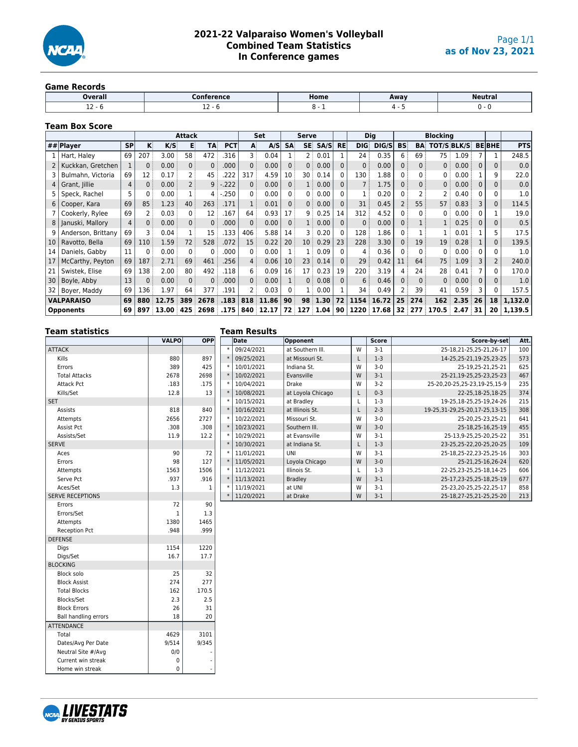

### **2021-22 Valparaiso Women's Volleyball Combined Team Statistics In Conference games**

#### **Game Records**

| Overall<br>-----  | .       | Home | Away |     |
|-------------------|---------|------|------|-----|
| $\sim$<br><b></b> | <b></b> |      |      | . . |

### **Team Box Score**

|    |                    |           |            |       | <b>Attack</b>  |          |            |                   | Set   |              | <b>Serve</b>      |          |           |                   | <b>Dig</b> |                 |              | <b>Blocking</b> |                   |          |                 |            |
|----|--------------------|-----------|------------|-------|----------------|----------|------------|-------------------|-------|--------------|-------------------|----------|-----------|-------------------|------------|-----------------|--------------|-----------------|-------------------|----------|-----------------|------------|
|    | ## $Player$        | <b>SP</b> | κŧ         | K/S   | E              | TA:      | <b>PCT</b> | A                 | A/S   | <b>SA</b>    | SE:               | SA/S     | <b>RE</b> | <b>DIG:</b>       | DIG/S      | <b>BS</b>       | BA           | TOT/S BLK/S     |                   |          | <b>BEBHE</b>    | <b>PTS</b> |
|    | Hart, Haley        | 69        | 207        | 3.00  | 58             | 472      | 316        | 3 :               | 0.04  |              | 2:                | 0.01     |           | 24:               | 0.35       | 6               | 69           | 75              | 1.09              |          |                 | 248.5      |
|    | Kuckkan, Gretchen  |           |            | 0.00  | 0 <sup>3</sup> | $\Omega$ | .000       | $\Omega$          | 0.00  | 0            | 0:                | 0.00     |           | 0:                | 0.00       |                 | $\Omega$     | 0:              | 0.00              |          | 0               | 0.0        |
|    | Bulmahn, Victoria  | 69        | 12         | 0.17  | $\overline{2}$ | 45       | 222        | 317               | 4.59  | 10           | 30 <sup>1</sup>   | 0.14     |           | 130               | 1.88       |                 | 0            | 0               | 0.00              |          | q               | 22.0       |
| 4  | Grant, Jillie      | 4         |            | 0.00  | $\overline{2}$ | 9        | .222       | 0:                | 0.00  | 0            | 1:                | 0.00     |           |                   | 1.75       |                 | $\Omega$     | $\mathbf{0}$    | 0.00              | 0        | 0               | 0.0        |
|    | Speck, Rachel      | 5         |            | 0.00  | 1:             | 4 :      | .250       | 0                 | 0.00  | $\Omega$     | 0:                | 0.00     |           |                   | 0.20       |                 |              | 2               | 0.40              |          |                 | 1.0        |
| 6  | Cooper, Kara       | 69        | 85         | 1.23  | 40             | 263      | .171       |                   | 0.01  | $\Omega$     | $0^{\frac{1}{2}}$ | 0.00     | $\Omega$  | 31                | 0.45       |                 | 55           | 57:             | 0.83              |          | $\Omega$        | 114.5      |
|    | Cookerly, Rylee    | 69        |            | 0.03  | $\overline{0}$ | 12       | 167        | 64                | 0.93  | 17           | 9:                | 0.25     | 14        | 312               | 4.52       |                 | $\Omega$     | 0               | 0.00              | 0        |                 | 19.0       |
| 8  | Januski, Mallory   | 4         | $\Omega$ : | 0.00  | 0 <sup>3</sup> | 0:       | .000       | 0                 | 0.00  | $\mathbf{0}$ | 1:                | 0.00     | $\Omega$  | 0                 | 0.00       | 0               |              |                 | 0.25              | $\Omega$ | 0               | 0.5        |
| q  | Anderson, Brittany | 69        |            | 0.04  | 1:             | 15       | .133       | 406               | 5.88  | 14           | 3 :               | 0.20     | $\Omega$  | 128               | 1.86       |                 |              |                 | 0.01              |          | 5               | 17.5       |
| 10 | Ravotto, Bella     | 69        | 110        | 1.59  | 72             | 528      | .072       | 15                | 0.22  | 20           | 10 <sup>1</sup>   | 0.29     | 23        | 228               | 3.30       | 0:              | 19           | 19 <sup>1</sup> | 0.28              |          | $\Omega$        | 139.5      |
| 14 | Daniels, Gabby     | 11        |            | 0.00  | $\overline{0}$ | 0        | .000       | 0:                | 0.00  |              | 1:                | 0.09     |           | 4                 | 0.36       |                 | $\Omega$     | 0               | 0.00              | 0        | 0               | 1.0        |
| 17 | McCarthy, Peyton   | 69        | 187        | 2.71  | 69             | 461      | .256       | 4:                | 0.06  | 10           | 23:               | 0.14     |           | 29                | 0.42       | 11              | 64           | 75:             | 1.09              | 3        |                 | 240.0      |
| 21 | Swistek, Elise     | 69        | 138        | 2.00  | 80             | 492      | 118        | 6                 | 0.09  | 16           | 17 <sup>1</sup>   | 0.23     | 19        | 220               | 3.19       | 4               | 24           | 28 <sup>3</sup> | 0.41              |          | 0               | 170.0      |
| 30 | Boyle, Abby        | 13        |            | 0.00  | $\overline{0}$ | $\Omega$ | .000       | $0^{\frac{1}{2}}$ | 0.00  |              | $0^{\frac{1}{2}}$ | 0.08     |           | $6^{\frac{1}{3}}$ | 0.46       |                 | $\mathbf{0}$ | 0:              | 0.00              | $\Omega$ |                 | 1.0        |
| 32 | Boyer, Maddy       | 69        | 136        | 1.97  | 64             | 377      | 191        |                   | 0.03  | $\Omega$     | 1:                | 0.00     |           | 34                | 0.49       |                 | 39           | 41              | 0.59              |          |                 | 157.5      |
|    | <b>VALPARAISO</b>  | 69        | 880        | 12.75 | 389            | 2678     | .183       | 818               | 11.86 | 90           |                   | 98 1.30  | 72        | 1154              | 16.72      | 25 <sup>3</sup> | 274          | 162             | 2.35              | : 26     | 18 <sup>1</sup> | 1,132.0    |
|    | <b>Opponents</b>   | 69        | 897        | 13.00 | 425            | 2698     | .175       | 840               | 12.17 | 72 :         |                   | 127 1.04 | 90        | 1220              | 17.68      |                 | 32 277       | 170.5           | 2.47 <sup>°</sup> | 31       | 20              | 1,139.5    |

| <b>Team statistics</b>      |              |       | <b>Team Results</b> |                   |   |              |                                   |      |
|-----------------------------|--------------|-------|---------------------|-------------------|---|--------------|-----------------------------------|------|
|                             | <b>VALPO</b> | OPP   | Date                | Opponent          |   | <b>Score</b> | Score-by-set                      | Att. |
| <b>ATTACK</b>               |              |       | 09/24/2021          | at Southern III.  | W | $3-1$        | 25-18,21-25,25-21,26-17           | 100  |
| Kills                       | 880          | 897   | 09/25/2021          | at Missouri St.   | L | $1-3$        | 14-25,25-21,19-25,23-25           | 573  |
| Errors                      | 389          | 425   | 10/01/2021          | Indiana St.       | W | $3 - 0$      | 25-19,25-21,25-21                 | 625  |
| <b>Total Attacks</b>        | 2678         | 2698  | 10/02/2021          | Evansville        | W | $3-1$        | 25-21,19-25,25-23,25-23           | 467  |
| <b>Attack Pct</b>           | .183         | .175  | 10/04/2021          | <b>Drake</b>      | W | $3-2$        | 25-20, 20-25, 25-23, 19-25, 15-9  | 235  |
| Kills/Set                   | 12.8         | 13    | 10/08/2021          | at Loyola Chicago | L | $0 - 3$      | 22-25, 18-25, 18-25               | 374  |
| <b>SET</b>                  |              |       | 10/15/2021          | at Bradley        | L | $1-3$        | 19-25, 18-25, 25-19, 24-26        | 215  |
| Assists                     | 818          | 840   | 10/16/2021          | at Illinois St.   | L | $2 - 3$      | 19-25, 31-29, 25-20, 17-25, 13-15 | 308  |
| Attempts                    | 2656         | 2727  | 10/22/2021          | Missouri St.      | W | $3-0$        | 25-20, 25-23, 25-21               | 641  |
| Assist Pct                  | .308         | .308  | 10/23/2021          | Southern III.     | W | $3 - 0$      | 25-18,25-16,25-19                 | 455  |
| Assists/Set                 | 11.9         | 12.2  | 10/29/2021          | at Evansville     | W | $3-1$        | 25-13,9-25,25-20,25-22            | 351  |
| <b>SERVE</b>                |              |       | 10/30/2021          | at Indiana St.    | L | $1-3$        | 23-25,25-22,20-25,20-25           | 109  |
| Aces                        | 90           | 72    | 11/01/2021          | UNI               | W | $3-1$        | 25-18,25-22,23-25,25-16           | 303  |
| Errors                      | 98           | 127   | 11/05/2021          | Loyola Chicago    | W | $3 - 0$      | 25-21, 25-16, 26-24               | 620  |
| Attempts                    | 1563         | 1506  | 11/12/2021          | Illinois St.      | Г | $1-3$        | 22-25, 23-25, 25-18, 14-25        | 606  |
| Serve Pct                   | .937         | .916  | 11/13/2021          | <b>Bradley</b>    | W | $3-1$        | 25-17,23-25,25-18,25-19           | 677  |
| Aces/Set                    | 1.3          | $1\,$ | 11/19/2021          | at UNI            | W | $3-1$        | 25-23, 20-25, 25-22, 25-17        | 858  |
| <b>SERVE RECEPTIONS</b>     |              |       | 11/20/2021          | at Drake          | W | $3-1$        | 25-18,27-25,21-25,25-20           | 213  |
| Errors                      | 72           | 90    |                     |                   |   |              |                                   |      |
| Errors/Set                  | 1            | 1.3   |                     |                   |   |              |                                   |      |
| Attempts                    | 1380         | 1465  |                     |                   |   |              |                                   |      |
| <b>Reception Pct</b>        | .948         | .999  |                     |                   |   |              |                                   |      |
| <b>DEFENSE</b>              |              |       |                     |                   |   |              |                                   |      |
| Digs                        | 1154         | 1220  |                     |                   |   |              |                                   |      |
| Digs/Set                    | 16.7         | 17.7  |                     |                   |   |              |                                   |      |
| <b>BLOCKING</b>             |              |       |                     |                   |   |              |                                   |      |
| <b>Block solo</b>           | 25           | 32    |                     |                   |   |              |                                   |      |
| <b>Block Assist</b>         | 274          | 277   |                     |                   |   |              |                                   |      |
| <b>Total Blocks</b>         | 162          | 170.5 |                     |                   |   |              |                                   |      |
| Blocks/Set                  | 2.3          | 2.5   |                     |                   |   |              |                                   |      |
| <b>Block Errors</b>         | 26           | 31    |                     |                   |   |              |                                   |      |
| <b>Ball handling errors</b> | 18           | 20    |                     |                   |   |              |                                   |      |
| <b>ATTENDANCE</b>           |              |       |                     |                   |   |              |                                   |      |
| Total                       | 4629         | 3101  |                     |                   |   |              |                                   |      |
| Dates/Avg Per Date          | 9/514        | 9/345 |                     |                   |   |              |                                   |      |
| Neutral Site #/Avg          | 0/0          |       |                     |                   |   |              |                                   |      |
| Current win streak          | $\mathbf 0$  |       |                     |                   |   |              |                                   |      |



Home win streak  $\begin{array}{ccc} \vert & \vert & \vert & \vert \end{array}$  -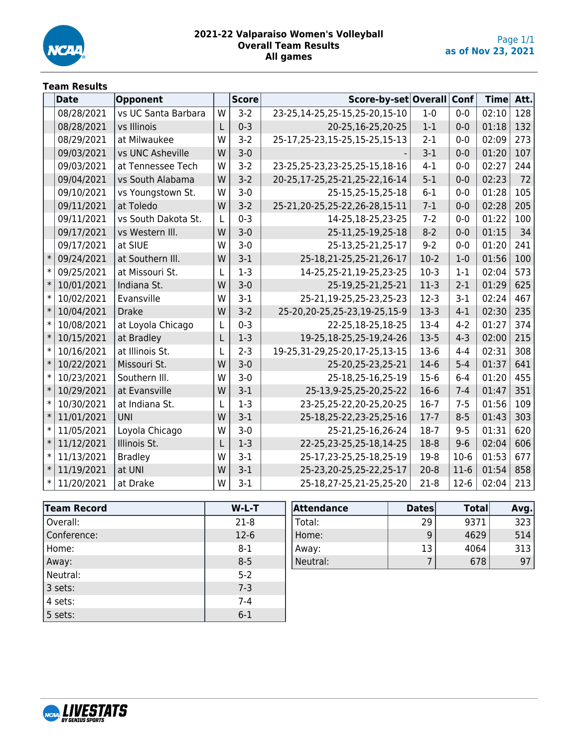

### **2021-22 Valparaiso Women's Volleyball Overall Team Results All games**

## **Team Results**

|        | <b>Date</b> | Opponent            |   | <b>Score</b> | Score-by-set Overall              |          | Conf    | Time  | Att. |
|--------|-------------|---------------------|---|--------------|-----------------------------------|----------|---------|-------|------|
|        | 08/28/2021  | vs UC Santa Barbara | W | $3-2$        | 23-25,14-25,25-15,25-20,15-10     | $1-0$    | $0-0$   | 02:10 | 128  |
|        | 08/28/2021  | vs Illinois         | L | $0 - 3$      | 20-25,16-25,20-25                 | $1 - 1$  | $0 - 0$ | 01:18 | 132  |
|        | 08/29/2021  | at Milwaukee        | W | $3-2$        | 25-17, 25-23, 15-25, 15-25, 15-13 | $2 - 1$  | $0-0$   | 02:09 | 273  |
|        | 09/03/2021  | vs UNC Asheville    | W | $3 - 0$      |                                   | $3-1$    | $0 - 0$ | 01:20 | 107  |
|        | 09/03/2021  | at Tennessee Tech   | W | $3-2$        | 23-25, 25-23, 23-25, 25-15, 18-16 | $4 - 1$  | $0-0$   | 02:27 | 244  |
|        | 09/04/2021  | vs South Alabama    | W | $3-2$        | 20-25, 17-25, 25-21, 25-22, 16-14 | $5 - 1$  | $0 - 0$ | 02:23 | 72   |
|        | 09/10/2021  | vs Youngstown St.   | W | $3 - 0$      | 25-15,25-15,25-18                 | $6 - 1$  | $0-0$   | 01:28 | 105  |
|        | 09/11/2021  | at Toledo           | W | $3-2$        | 25-21, 20-25, 25-22, 26-28, 15-11 | $7-1$    | $0 - 0$ | 02:28 | 205  |
|        | 09/11/2021  | vs South Dakota St. | L | $0 - 3$      | 14-25,18-25,23-25                 | $7 - 2$  | $0-0$   | 01:22 | 100  |
|        | 09/17/2021  | vs Western III.     | W | $3 - 0$      | 25-11,25-19,25-18                 | $8 - 2$  | $0 - 0$ | 01:15 | 34   |
|        | 09/17/2021  | at SIUE             | W | $3 - 0$      | 25-13,25-21,25-17                 | $9 - 2$  | $0-0$   | 01:20 | 241  |
| $\ast$ | 09/24/2021  | at Southern III.    | W | $3-1$        | 25-18,21-25,25-21,26-17           | $10-2$   | $1-0$   | 01:56 | 100  |
| $\ast$ | 09/25/2021  | at Missouri St.     | L | $1 - 3$      | 14-25,25-21,19-25,23-25           | $10-3$   | $1 - 1$ | 02:04 | 573  |
| $\ast$ | 10/01/2021  | Indiana St.         | W | $3 - 0$      | 25-19,25-21,25-21                 | $11-3$   | $2 - 1$ | 01:29 | 625  |
| $\ast$ | 10/02/2021  | Evansville          | W | $3 - 1$      | 25-21,19-25,25-23,25-23           | $12-3$   | $3 - 1$ | 02:24 | 467  |
| $\ast$ | 10/04/2021  | <b>Drake</b>        | W | $3-2$        | 25-20, 20-25, 25-23, 19-25, 15-9  | $13-3$   | $4 - 1$ | 02:30 | 235  |
| $\ast$ | 10/08/2021  | at Loyola Chicago   | L | $0 - 3$      | 22-25,18-25,18-25                 | $13-4$   | $4 - 2$ | 01:27 | 374  |
| $\ast$ | 10/15/2021  | at Bradley          | L | $1-3$        | 19-25, 18-25, 25-19, 24-26        | $13-5$   | $4 - 3$ | 02:00 | 215  |
| $\ast$ | 10/16/2021  | at Illinois St.     | L | $2 - 3$      | 19-25, 31-29, 25-20, 17-25, 13-15 | $13-6$   | $4 - 4$ | 02:31 | 308  |
| $\ast$ | 10/22/2021  | Missouri St.        | W | $3 - 0$      | 25-20, 25-23, 25-21               | $14-6$   | $5 - 4$ | 01:37 | 641  |
| $\ast$ | 10/23/2021  | Southern III.       | W | $3 - 0$      | 25-18,25-16,25-19                 | $15-6$   | $6 - 4$ | 01:20 | 455  |
| $\ast$ | 10/29/2021  | at Evansville       | W | $3-1$        | 25-13,9-25,25-20,25-22            | $16-6$   | $7 - 4$ | 01:47 | 351  |
| $\ast$ | 10/30/2021  | at Indiana St.      | L | $1 - 3$      | 23-25,25-22,20-25,20-25           | $16-7$   | $7 - 5$ | 01:56 | 109  |
| $\ast$ | 11/01/2021  | <b>UNI</b>          | W | $3 - 1$      | 25-18,25-22,23-25,25-16           | $17 - 7$ | $8 - 5$ | 01:43 | 303  |
| $\ast$ | 11/05/2021  | Loyola Chicago      | W | $3 - 0$      | 25-21,25-16,26-24                 | $18-7$   | $9 - 5$ | 01:31 | 620  |
| $\ast$ | 11/12/2021  | Illinois St.        | L | $1 - 3$      | 22-25, 23-25, 25-18, 14-25        | $18 - 8$ | $9 - 6$ | 02:04 | 606  |
| $\ast$ | 11/13/2021  | <b>Bradley</b>      | W | $3-1$        | 25-17,23-25,25-18,25-19           | $19-8$   | $10-6$  | 01:53 | 677  |
| $\ast$ | 11/19/2021  | at UNI              | W | $3 - 1$      | 25-23, 20-25, 25-22, 25-17        | $20 - 8$ | $11-6$  | 01:54 | 858  |
| $\ast$ | 11/20/2021  | at Drake            | W | $3-1$        | 25-18,27-25,21-25,25-20           | $21-8$   | $12-6$  | 02:04 | 213  |

| <b>Team Record</b> | $W-L-T$ |
|--------------------|---------|
| Overall:           | $21-8$  |
| Conference:        | $12-6$  |
| Home:              | $8 - 1$ |
| Away:              | $8 - 5$ |
| Neutral:           | $5 - 2$ |
| 3 sets:            | $7 - 3$ |
| 4 sets:            | $7 - 4$ |
| 5 sets:            | $6 - 1$ |

| Attendance | <b>Dates</b> | <b>Total</b> | Avg. |
|------------|--------------|--------------|------|
| Total:     | 29           | 9371         | 323  |
| Home:      | 9            | 4629         | 514  |
| Away:      | 13           | 4064         | 313  |
| Neutral:   |              | 678          | 97   |

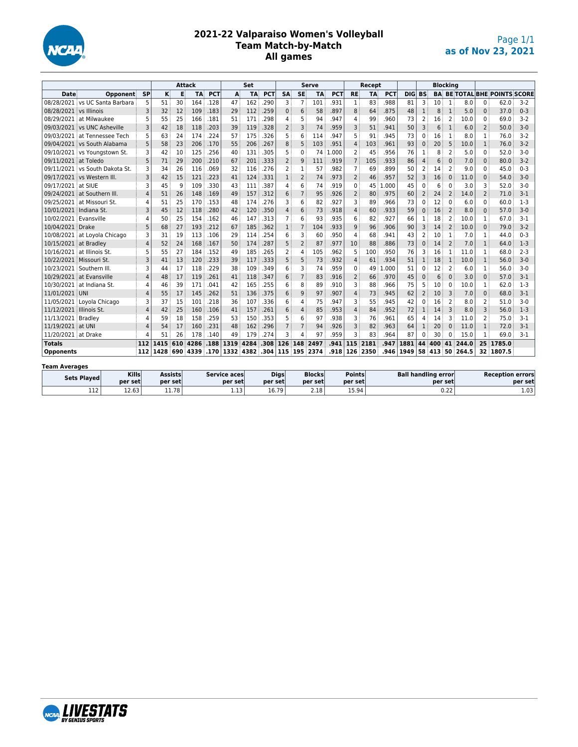

### **2021-22 Valparaiso Women's Volleyball Team Match-by-Match All games**

| <b>Attack</b>           |                                |                |      |     | Set       |            |                             |           | Serve             |                |                | Recept    |            |                |           |            | <b>Blocking</b> |                |        |                          |               |                 |                                     |         |
|-------------------------|--------------------------------|----------------|------|-----|-----------|------------|-----------------------------|-----------|-------------------|----------------|----------------|-----------|------------|----------------|-----------|------------|-----------------|----------------|--------|--------------------------|---------------|-----------------|-------------------------------------|---------|
| <b>Date</b>             | Opponent                       | <b>SP</b>      | κ    | Е   | <b>TA</b> | <b>PCT</b> | A                           | <b>TA</b> | <b>PCT</b>        | <b>SA</b>      | <b>SE</b>      | <b>TA</b> | <b>PCT</b> | <b>RE</b>      | <b>TA</b> | <b>PCT</b> | DIG             | <b>BS</b>      |        |                          |               |                 | <b>BA BE TOTAL BHE POINTS SCORE</b> |         |
|                         | 08/28/2021 vs UC Santa Barbara | 5              | 51   | 30  | 164       | .128       | 47                          | 162       | .290              | 3              | 7              | 101       | .931       | 1              | 83        | .988       | 81              | 3              | 10     | -1                       | 8.0           | $\Omega$        | 62.0                                | $3-2$   |
| 08/28/2021 vs Illinois  |                                | 3              | 32   | 12  | 109       | .183       | 29                          | 112       | .259              | $\mathbf{0}$   | 6              | 58        | .897       | 8              | 64        | .875       | 48              | $\mathbf{1}$   | 8      | $\mathbf{1}$             | 5.0           | $\mathbf{0}$    | 37.0                                | $0 - 3$ |
| 08/29/2021              | at Milwaukee                   | 5              | 55   | 25  | 166       | .181       | 51                          | 171       | .298              | 4              | 5              | 94        | .947       | 4              | 99        | .960       | 73              | 2              | 16     | $\overline{2}$           | 10.0          | $\Omega$        | 69.0                                | $3-2$   |
|                         | 09/03/2021 vs UNC Asheville    | 3              | 42   | 18  | 118       | .203       | 39                          | 119       | .328              | $\overline{2}$ | 3              | 74        | .959       | 3              | 51        | .941       | 50              | 3              | 6      | $\mathbf{1}$             | 6.0           | $\overline{2}$  | 50.0                                | $3-0$   |
|                         | 09/03/2021 at Tennessee Tech   | 5              | 63   | 24  | 174       | .224       | 57                          | 175       | .326              | 5              | 6              | 114       | .947       | 5              | 91        | .945       | 73              | <sup>0</sup>   | 16     | 1                        | 8.0           | 1               | 76.0                                | $3-2$   |
|                         | 09/04/2021 vs South Alabama    | 5              | 58   | 23  | 206       | .170       | 55                          | 206       | .267              | 8              | 5              | 103       | .951       | 4              | 103       | .961       | 93              | 0              | 20     | 5                        | 10.0          | $\mathbf{1}$    | 76.0                                | $3-2$   |
|                         | 09/10/2021 vs Youngstown St.   | 3              | 42   | 10  | 125       | .256       | 40                          | 131       | .305              | 5              | $\Omega$       | 74        | .000       | $\overline{2}$ | 45        | .956       | 76              | 1              | 8      | $\overline{2}$           | 5.0           | $\Omega$        | 52.0                                | $3-0$   |
| 09/11/2021 at Toledo    |                                | 5              | 71   | 29  | 200       | .210       | 67                          | 201       | .333              | $\overline{2}$ | 9              | 111       | .919       | $\overline{7}$ | 105       | .933       | 86              | 4              | 6      | $\Omega$                 | 7.0           | $\Omega$        | 80.0                                | $3-2$   |
|                         | 09/11/2021 vs South Dakota St. | 3              | 34   | 26  | 116       | .069       | 32                          | 116       | .276              | $\overline{2}$ | $\mathbf{1}$   | 57        | .982       | $\overline{7}$ | 69        | .899       | 50              | 2              | 14     | $\overline{\phantom{a}}$ | 9.0           | $\Omega$        | 45.0                                | $0 - 3$ |
|                         | 09/17/2021 vs Western III.     | 3              | 42   | 15  | 121       | .223       | 41                          | 124       | .331              | $\mathbf{1}$   | $\overline{2}$ | 74        | .973       | $\overline{2}$ | 46        | .957       | 52              | 3              | 16     | $\Omega$                 | 11.0          | $\Omega$        | 54.0                                | $3 - 0$ |
| 09/17/2021 at SIUE      |                                | 3              | 45   | q   | 109       | .330       | 43                          | 111       | .387              | 4              | 6              | 74        | .919       | $\Omega$       | 45        | .000       | 45              | N              | 6      | U                        | 3.0           | 3               | 52.0                                | $3-0$   |
|                         | 09/24/2021 at Southern III.    | $\overline{4}$ | 51   | 26  | 148       | .169       | 49                          | 157       | .312              | 6              | $\overline{7}$ | 95        | .926       | $\overline{2}$ | 80        | .975       | 60              | 2              | 24     | $\overline{2}$           | 14.0          | $\overline{2}$  | 71.0                                | $3-1$   |
|                         | 09/25/2021 at Missouri St.     | 4              | 51   | 25  | 170       | .153       | 48                          | 174       | .276              | 3              | 6              | 82        | .927       | 3              | 89        | .966       | 73              | 0              | 12     | $\Omega$                 | 6.0           | $\Omega$        | 60.0                                | $1-3$   |
| 10/01/2021 Indiana St.  |                                | 3              | 45   | 12  | 118       | .280       | 42                          | 120       | .350              | 4              | 6              | 73        | .918       | $\overline{4}$ | 60        | .933       | 59              | 0              | 16     | $\overline{2}$           | 8.0           | $\Omega$        | 57.0                                | $3-0$   |
| 10/02/2021 Evansville   |                                | 4              | 50   | 25  | 154       | .162       | 46                          | 147       | .313              | $\overline{7}$ | 6              | 93        | 935        | 6              | 82        | .927       | 66              |                | 18     | 2                        | 10.0          | 1               | 67.0                                | $3-1$   |
| 10/04/2021 Drake        |                                | 5              | 68   | 27  | 193       | .212       | 67                          | 185       | .362              | $\mathbf{1}$   | $\overline{7}$ | 104       | .933       | 9              | 96        | .906       | 90              | 3              | 14     | $\overline{2}$           | 10.0          | $\Omega$        | 79.0                                | $3-2$   |
|                         | 10/08/2021 at Loyola Chicago   | 3              | 31   | 19  | 113       | .106       | 29                          | 114       | .254              | 6              | 3              | 60        | .950       | 4              | 68        | .941       | 43              | 2              | 10     | -1                       | 7.0           | 1               | 44.0                                | $0 - 3$ |
| 10/15/2021 at Bradley   |                                | $\overline{4}$ | 52   | 24  | 168       | .167       | 50                          | 174       | .287              | 5              | $\overline{2}$ | 87        | .977       | 10             | 88        | .886       | 73              | 0              | 14     | $\overline{2}$           | 7.0           | $\mathbf{1}$    | 64.0                                | $1-3$   |
|                         | 10/16/2021 at Illinois St.     | 5              | 55   | 27  | 184       | .152       | 49                          | 185       | .265              | $\overline{a}$ | 4              | 105       | .962       | 5              | 100       | .950       | 76              | 3              | 16     | -1                       | 11.0          | 1               | 68.0                                | $2 - 3$ |
|                         | 10/22/2021 Missouri St.        | 3              | 41   | 13  | 120       | .233       | 39                          | 117       | .333              | 5              | 5              | 73        | .932       | $\overline{4}$ | 61        | .934       | 51              |                | 18     | 1                        | 10.0          | $\mathbf{1}$    | 56.0                                | $3-0$   |
|                         | 10/23/2021 Southern III.       | 3              | 44   | 17  | 118       | .229       | 38                          | 109       | .349              | 6              | 3              | 74        | .959       | $\Omega$       | 49        | .000       | 51              | N              | 12     | $\overline{2}$           | 6.0           | 1               | 56.0                                | $3-0$   |
|                         | 10/29/2021 at Evansville       | $\overline{4}$ | 48   | 17  | 119       | .261       | 41                          | 118       | .347              | 6              | $\overline{7}$ | 83        | .916       | $\overline{2}$ | 66        | .970       | 45              | 0              | 6      | $\Omega$                 | 3.0           | $\Omega$        | 57.0                                | $3-1$   |
| 10/30/2021              | at Indiana St.                 | 4              | 46   | 39  | 171       | .041       | 42                          | 165       | .255              | 6              | 8              | 89        | .910       | 3              | 88        | .966       | 75              | 5              | 10     | $\Omega$                 | 10.0          | 1               | 62.0                                | $1-3$   |
| 11/01/2021 UNI          |                                | $\Delta$       | 55   | 17  | 145       | .262       | 51                          | 136       | .375              | 6              | 9              | 97        | .907       | $\overline{4}$ | 73        | .945       | 62              | $\overline{2}$ | 10     | 3                        | 7.0           | $\Omega$        | 68.0                                | $3 - 1$ |
| 11/05/2021              | Loyola Chicago                 | 3              | 37   | 15  | 101       | .218       | 36                          | 107       | .336              | 6              | 4              | 75        | .947       | 3              | 55        | .945       | 42              | 0              | 16     | $\overline{2}$           | 8.0           | $\overline{2}$  | 51.0                                | $3-0$   |
| 11/12/2021 Illinois St. |                                | $\Delta$       | 42   | 25  | 160       | .106       | 41                          | 157       | .261              | 6              | $\overline{4}$ | 85        | .953       | $\overline{4}$ | 84        | .952       | 72              |                | 14     | $\overline{\mathbf{3}}$  | 8.0           | 3               | 56.0                                | $1-3$   |
| 11/13/2021 Bradley      |                                | 4              | 59   | 18  | 158       | .259       | 53                          | 150       | .353              | 5              | 6              | 97        | .938       | 3              | 76        | .961       | 65              | 4              | 14     | 3                        | 11.0          | $\overline{2}$  | 75.0                                | $3-1$   |
| 11/19/2021 at UNI       |                                | 4              | 54   | 17  | 160       | .231       | 48                          | 162       | .296              | $\overline{7}$ | $\overline{7}$ | 94        | .926       | 3              | 82        | .963       | 64              | $\mathbf{1}$   | 20     | $\Omega$                 | 11.0          | $\mathbf{1}$    | 72.0                                | $3-1$   |
| 11/20/2021 at Drake     |                                | Δ              | 51   | 26  | 178       | .140       | 49                          | 179       | .274              | З              | $\Delta$       | 97        | .959       | 3              | 83        | .964       | 87              | 0              | 30     | $\Omega$                 | 15.0          | $\mathbf{1}$    | 69.0                                | $3-1$   |
| <b>Totals</b>           |                                | 112            | 1415 | 610 | 4286      | .188       | 1319                        | 4284      | .308              | 126            | 148            | 2497      | .941       | 115            | 2181      | .947       | 1881            | 44             | 400    | 41                       | 244.0         | 25 <sup>1</sup> | 1785.0                              |         |
| <b>Opponents</b>        |                                | 112            |      |     |           |            | 1428 690 4339 170 1332 4382 |           | .304 115 195 2374 |                |                |           | .918       |                | 126 2350  |            | .946 1949       |                | 58 413 |                          | $50 \, 264.5$ |                 | 32 1807.5                           |         |

#### **Team Averages**

| Sets Played          | <b>Kills</b> | Assists | Service aces      | Digs    | <b>Blocks</b> | <b>Points</b> | <b>Ball handling error</b> | <b>Reception errors</b> |
|----------------------|--------------|---------|-------------------|---------|---------------|---------------|----------------------------|-------------------------|
|                      | per setl     | per set | per set           | per set | per set       | per setl      | per setl                   | per set                 |
| $\sim$ $\sim$<br>ᆠᆂᄼ | 12.63        | 11.78   | - -<br>. <i>.</i> | 16.79   | 2.18          | 15.94         | $\sim$ $\sim$<br>0.ZZ      | 1.03                    |

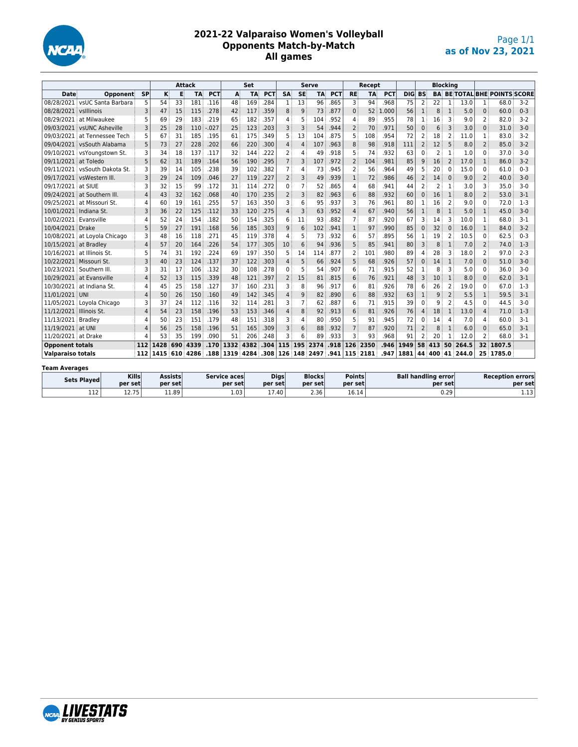

### **2021-22 Valparaiso Women's Volleyball Opponents Match-by-Match All games**

|                          |                               |                | <b>Attack</b> |     |               | Set        |           |           |            | <b>Serve</b>   |                |                                    | Recept     |                |           |            | <b>Blocking</b> |                |     |                |              |                 |                                     |         |
|--------------------------|-------------------------------|----------------|---------------|-----|---------------|------------|-----------|-----------|------------|----------------|----------------|------------------------------------|------------|----------------|-----------|------------|-----------------|----------------|-----|----------------|--------------|-----------------|-------------------------------------|---------|
| Date                     | Opponent                      | <b>SP</b>      | κ             | E   | <b>TA</b>     | <b>PCT</b> | A         | <b>TA</b> | <b>PCT</b> | <b>SA</b>      | <b>SE</b>      | <b>TA</b>                          | <b>PCT</b> | <b>RE</b>      | <b>TA</b> | <b>PCT</b> | <b>DIG</b>      | <b>BS</b>      |     |                |              |                 | <b>BA BE TOTAL BHE POINTS SCORE</b> |         |
|                          | 08/28/2021 vsUC Santa Barbara | 5              | 54            | 33  | 181           | .116       | 48        | 169       | .284       | $\mathbf{1}$   | 13             | 96                                 | .865       | 3              | 94        | .968       | 75              | $\overline{2}$ | 22  | $\mathbf{1}$   | 13.0         | 1               | 68.0                                | $3-2$   |
| 08/28/2021 vslllinois    |                               | 3              | 47            | 15  | 115           | .278       | 42        | 117       | .359       | 8              | 9              | 73                                 | .877       | $\mathbf{0}$   | 52        | .000       | 56              | $\mathbf{1}$   | 8   | $\mathbf{1}$   | 5.0          | $\mathbf{0}$    | 60.0                                | $0 - 3$ |
|                          | 08/29/2021 at Milwaukee       | 5              | 69            | 29  | 183           | .219       | 65        | 182       | .357       | 4              | 5              | 104                                | .952       | 4              | 89        | .955       | 78              | 1              | 16  | 3              | 9.0          | $\overline{2}$  | 82.0                                | $3-2$   |
|                          | 09/03/2021 vsUNC Asheville    | 3              | 25            | 28  | 110           | .027       | 25        | 123       | .203       | 3              | 3              | 54                                 | .944       | $\overline{2}$ | 70        | .971       | 50              | $\mathbf{0}$   | 6   | 3              | 3.0          | $\mathbf{0}$    | 31.0                                | $3 - 0$ |
|                          | 09/03/2021 at Tennessee Tech  | 5              | 67            | 31  | 185           | .195       | 61        | 175       | .349       | 5              | 13             | 104                                | .875       | 5              | 108       | .954       | 72              | 2              | 18  | 2              | 11.0         | 1               | 83.0                                | $3-2$   |
|                          | 09/04/2021 vsSouth Alabama    | 5              | 73            | 27  | 228           | .202       | 66        | 220       | .300       | $\overline{4}$ | $\overline{4}$ | 107                                | .963       | 8              | 98        | .918       | 111             | $\overline{2}$ | 12  | 5              | 8.0          | $\overline{2}$  | 85.0                                | $3-2$   |
|                          | 09/10/2021 vsYoungstown St.   | 3              | 34            | 18  | 137           | .117       | 32        | 144       | .222       | $\overline{2}$ | 4              | 49                                 | .918       | 5              | 74        | .932       | 63              | 0              | 2   | 1              | 1.0          | $\Omega$        | 37.0                                | $3-0$   |
| 09/11/2021 at Toledo     |                               | 5              | 62            | 31  | 189           | .164       | 56        | 190       | .295       | $\overline{7}$ | 3              | 107                                | .972       | $\overline{2}$ | 104       | .981       | 85              | 9              | 16  | $\overline{2}$ | 17.0         | $\mathbf{1}$    | 86.0                                | $3-2$   |
|                          | 09/11/2021 vsSouth Dakota St. | 3              | 39            | 14  | 105           | .238       | 39        | 102       | .382       | $\overline{7}$ | 4              | 73                                 | .945       | $\overline{2}$ | 56        | .964       | 49              | 5              | 20  | 0              | 15.0         | $\Omega$        | 61.0                                | $0 - 3$ |
|                          | 09/17/2021 vsWestern III.     | 3              | 29            | 24  | 109           | .046       | 27        | 119       | .227       | $\overline{2}$ | 3              | 49                                 | .939       | $\mathbf{1}$   | 72        | .986       | 46              | $\overline{2}$ | 14  | $\Omega$       | 9.0          | $\overline{2}$  | 40.0                                | $3 - 0$ |
| 09/17/2021 at SIUE       |                               | 3              | 32            | 15  | 99            | .172       | 31        | 114       | .272       | 0              | 7              | 52                                 | .865       | 4              | 68        | .941       | 44              | 2              | 2   | 1              | 3.0          | 3               | 35.0                                | $3-0$   |
|                          | 09/24/2021 at Southern III.   | $\overline{4}$ | 43            | 32  | 162           | .068       | 40        | 170       | .235       | $\overline{2}$ | 3              | 82                                 | .963       | 6              | 88        | .932       | 60              | $\mathbf{0}$   | 16  | $\mathbf{1}$   | 8.0          | $\overline{2}$  | 53.0                                | $3 - 1$ |
|                          | 09/25/2021 at Missouri St.    | 4              | 60            | 19  | 161           | .255       | 57        | 163       | .350       | 3              | 6              | 95                                 | .937       | 3              | 76        | .961       | 80              | 1              | 16  | 2              | 9.0          | $\Omega$        | 72.0                                | $1-3$   |
| 10/01/2021 Indiana St.   |                               | 3              | 36            | 22  | 125           | .112       | 33        | 120       | .275       | $\overline{4}$ | 3              | 63                                 | .952       | 4              | 67        | .940       | 56              | $\mathbf{1}$   | 8   |                | 5.0          | $\mathbf{1}$    | 45.0                                | $3-0$   |
| 10/02/2021 Evansville    |                               | 4              | 52            | 24  | 154           | .182       | 50        | 154       | .325       | 6              | 11             | 93                                 | .882       | $\overline{7}$ | 87        | .920       | 67              | 3              | 14  | 3              | 10.0         | 1               | 68.0                                | $3-1$   |
| 10/04/2021 Drake         |                               | 5              | 59            | 27  | 191           | .168       | 56        | 185       | .303       | 9              | 6              | 102                                | .941       | $\mathbf{1}$   | 97        | .990       | 85              | $\Omega$       | 32  | $\Omega$       | 16.0         | $\mathbf{1}$    | 84.0                                | $3-2$   |
|                          | 10/08/2021 at Loyola Chicago  | 3              | 48            | 16  | 118           | .271       | 45        | 119       | .378       | 4              | 5              | 73                                 | .932       | 6              | 57        | 895        | 56              | 1              | 19  | $\overline{2}$ | 10.5         | $\Omega$        | 62.5                                | $0 - 3$ |
| 10/15/2021 at Bradley    |                               | $\overline{4}$ | 57            | 20  | 164           | .226       | 54        | 177       | .305       | 10             | 6              | 94                                 | .936       | 5              | 85        | .941       | 80              | 3              | 8   | $\mathbf{1}$   | 7.0          | $\overline{2}$  | 74.0                                | $1-3$   |
|                          | 10/16/2021 at Illinois St.    | 5              | 74            | 31  | 192           | .224       | 69        | 197       | .350       | 5              | 14             | 114                                | .877       | 2              | 101       | .980       | 89              | 4              | 28  | 3              | 18.0         | 2               | 97.0                                | $2 - 3$ |
| 10/22/2021 Missouri St.  |                               | 3              | 40            | 23  | 124           | .137       | 37        | 122       | .303       | $\overline{4}$ | 5              | 66                                 | .924       | 5              | 68        | .926       | 57              | $\Omega$       | 14  | $\mathbf{1}$   | 7.0          | $\Omega$        | 51.0                                | $3-0$   |
|                          | 10/23/2021 Southern III.      | 3              | 31            | 17  | 106           | .132       | 30        | 108       | .278       | 0              | 5              | 54                                 | .907       | 6              | 71        | .915       | 52              | 1              | 8   | З              | 5.0          | $\Omega$        | 36.0                                | $3-0$   |
|                          | 10/29/2021 at Evansville      | $\overline{4}$ | 52            | 13  | 115           | .339       | 48        | 121       | .397       | $\overline{2}$ | 15             | 81                                 | .815       | 6              | 76        | .921       | 48              | $\overline{3}$ | 10  | $\mathbf{1}$   | 8.0          | $\mathbf{0}$    | 62.0                                | $3-1$   |
|                          | 10/30/2021 at Indiana St.     | 4              | 45            | 25  | 158           | .127       | 37        | 160       | .231       | 3              | 8              | 96                                 | .917       | 6              | 81        | .926       | 78              | 6              | 26  | 2              | 19.0         | $\Omega$        | 67.0                                | $1-3$   |
| 11/01/2021 UNI           |                               | $\Delta$       | 50            | 26  | 150           | .160       | 49        | 142       | .345       | $\overline{4}$ | 9              | 82                                 | .890       | 6              | 88        | .932       | 63              | $\mathbf{1}$   | 9   | $\overline{2}$ | 5.5          | $\mathbf{1}$    | 59.5                                | $3 - 1$ |
|                          | 11/05/2021 Lovola Chicago     | 3              | 37            | 24  | 112           | .116       | 32        | 114       | .281       | ٦              | 7              | 62                                 | .887       | 6              | 71        | .915       | 39              | $\Omega$       | q   | $\overline{2}$ | 4.5          | $\Omega$        | 44.5                                | $3-0$   |
| 11/12/2021 Illinois St.  |                               | $\overline{4}$ | 54            | 23  | 158           | .196       | 53        | 153       | .346       | $\overline{4}$ | 8              | 92                                 | .913       | 6              | 81        | .926       | 76              | $\overline{4}$ | 18  | 1              | 13.0         | $\overline{4}$  | 71.0                                | $1-3$   |
| 11/13/2021 Bradley       |                               | 4              | 50            | 23  | 151           | .179       | 48        | 151       | .318       | 3              | 4              | 80                                 | .950       | 5              | 91        | .945       | 72              | 0              | 14  | 4              | 7.0          | 4               | 60.0                                | $3-1$   |
| 11/19/2021 at UNI        |                               | $\Delta$       | 56            | 25  | 158           | .196       | 51        | 165       | .309       | 3              | 6              | 88                                 | .932       | $\overline{7}$ | 87        | .920       | 71              | $\overline{2}$ | 8   | $\mathbf{1}$   | 6.0          | $\Omega$        | 65.0                                | $3 - 1$ |
| 11/20/2021 at Drake      |                               | $\Delta$       | 53            | 35  | 199           | .090       | 51        | 206       | .248       | ٦              | 6              | 89                                 | .933       | 3              | 93        | .968       | 91              | 2              | 20  |                | 12.0         | $\overline{2}$  | 68.0                                | $3-1$   |
| <b>Opponent totals</b>   |                               | 112            | 1428          | 690 | 4339          | .170       | 1332      | 4382      | .304       | 115            | 195            | 2374                               | .918       | 126            | 2350      | .946       | 1949            | 58             | 413 | 50             | 264.5        | 32 <sub>1</sub> | 1807.5                              |         |
| <b>Valparaiso totals</b> |                               | 112            |               |     | 1415 610 4286 |            | .188 1319 | 4284      |            |                |                | $.308 \mid 126 \mid 148 \mid 2497$ | .941       |                | 115 2181  | .947       | 1881            | 44             |     |                | 400 41 244.0 |                 | 25 1785.0                           |         |
| Team Averages            |                               |                |               |     |               |            |           |           |            |                |                |                                    |            |                |           |            |                 |                |     |                |              |                 |                                     |         |

| .                  |                    |         |              |                              |         |               |                            |                         |  |  |  |  |  |  |  |
|--------------------|--------------------|---------|--------------|------------------------------|---------|---------------|----------------------------|-------------------------|--|--|--|--|--|--|--|
| <b>Sets Plaved</b> | <b>Kills</b>       | Assists | Service aces | <b>Digs</b><br><b>Blocks</b> |         | <b>Points</b> | <b>Ball handling error</b> | <b>Reception errors</b> |  |  |  |  |  |  |  |
|                    | per set            | per set | per set      | per set                      | per set | per set       | per set                    | per set                 |  |  |  |  |  |  |  |
| 112                | 1 7 7 5<br>12. I J | 11.89   | 1.03         | 17.40                        | 2.36    | 16.14         | 0.29                       | 12<br><b></b>           |  |  |  |  |  |  |  |

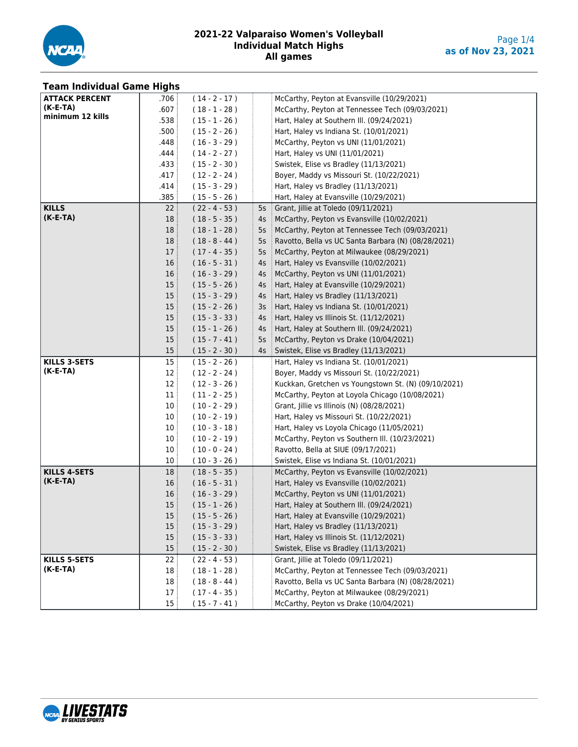

| <b>Team Individual Game Highs</b> |                 |                 |    |                                                                                         |
|-----------------------------------|-----------------|-----------------|----|-----------------------------------------------------------------------------------------|
| <b>ATTACK PERCENT</b>             | .706            | $(14 - 2 - 17)$ |    | McCarthy, Peyton at Evansville (10/29/2021)                                             |
| $(K-E-TA)$                        | .607            | $(18 - 1 - 28)$ |    | McCarthy, Peyton at Tennessee Tech (09/03/2021)                                         |
| minimum 12 kills                  | .538            | $(15 - 1 - 26)$ |    | Hart, Haley at Southern III. (09/24/2021)                                               |
|                                   | .500            | $(15 - 2 - 26)$ |    | Hart, Haley vs Indiana St. (10/01/2021)                                                 |
|                                   | .448            | $(16 - 3 - 29)$ |    | McCarthy, Peyton vs UNI (11/01/2021)                                                    |
|                                   | .444            | $(14 - 2 - 27)$ |    | Hart, Haley vs UNI (11/01/2021)                                                         |
|                                   | .433            | $(15 - 2 - 30)$ |    | Swistek, Elise vs Bradley (11/13/2021)                                                  |
|                                   | .417            | $(12 - 2 - 24)$ |    | Boyer, Maddy vs Missouri St. (10/22/2021)                                               |
|                                   | .414            | $(15 - 3 - 29)$ |    | Hart, Haley vs Bradley (11/13/2021)                                                     |
|                                   | .385            | $(15 - 5 - 26)$ |    | Hart, Haley at Evansville (10/29/2021)                                                  |
| <b>KILLS</b>                      | 22:             | $(22 - 4 - 53)$ | 5s | Grant, Jillie at Toledo (09/11/2021)                                                    |
| $(K-E-TA)$                        | 18 <sup>3</sup> | $(18 - 5 - 35)$ | 4s | McCarthy, Peyton vs Evansville (10/02/2021)                                             |
|                                   | 18              | $(18 - 1 - 28)$ | 5s | McCarthy, Peyton at Tennessee Tech (09/03/2021)                                         |
|                                   | 18              | $(18 - 8 - 44)$ | 5s | Ravotto, Bella vs UC Santa Barbara (N) (08/28/2021)                                     |
|                                   | 17              | $(17 - 4 - 35)$ | 5s | McCarthy, Peyton at Milwaukee (08/29/2021)                                              |
|                                   | 16              | $(16 - 5 - 31)$ | 4s | Hart, Haley vs Evansville (10/02/2021)                                                  |
|                                   | 16              | $(16 - 3 - 29)$ | 4s | McCarthy, Peyton vs UNI (11/01/2021)                                                    |
|                                   | 15 <sup>1</sup> | $(15 - 5 - 26)$ | 4s | Hart, Haley at Evansville (10/29/2021)                                                  |
|                                   | 15:             | $(15 - 3 - 29)$ | 4s | Hart, Haley vs Bradley (11/13/2021)                                                     |
|                                   | 15:             | $(15 - 2 - 26)$ | 3s | Hart, Haley vs Indiana St. (10/01/2021)                                                 |
|                                   | 15 <sup>3</sup> | $(15 - 3 - 33)$ | 4s | Hart, Haley vs Illinois St. (11/12/2021)                                                |
|                                   | 15 <sup>1</sup> | $(15 - 1 - 26)$ | 4s | Hart, Haley at Southern III. (09/24/2021)                                               |
|                                   | 15              | $(15 - 7 - 41)$ | 5s | McCarthy, Peyton vs Drake (10/04/2021)                                                  |
|                                   | 15 <sup>3</sup> | $(15 - 2 - 30)$ | 4s | Swistek, Elise vs Bradley (11/13/2021)                                                  |
| <b>KILLS 3-SETS</b>               | 15 <sup>1</sup> | $(15 - 2 - 26)$ |    | Hart, Haley vs Indiana St. (10/01/2021)                                                 |
| (K-E-TA)                          | 12              | $(12 - 2 - 24)$ |    | Boyer, Maddy vs Missouri St. (10/22/2021)                                               |
|                                   | 12              | $(12 - 3 - 26)$ |    | Kuckkan, Gretchen vs Youngstown St. (N) (09/10/2021)                                    |
|                                   | 11:             | $(11 - 2 - 25)$ |    | McCarthy, Peyton at Loyola Chicago (10/08/2021)                                         |
|                                   | 10              | $(10 - 2 - 29)$ |    | Grant, Jillie vs Illinois (N) (08/28/2021)                                              |
|                                   | 10 <sup>°</sup> | $(10 - 2 - 19)$ |    | Hart, Haley vs Missouri St. (10/22/2021)                                                |
|                                   | 10 <sup>3</sup> | $(10 - 3 - 18)$ |    | Hart, Haley vs Loyola Chicago (11/05/2021)                                              |
|                                   | 10              | $(10 - 2 - 19)$ |    | McCarthy, Peyton vs Southern III. (10/23/2021)                                          |
|                                   | 10              | $(10 - 0 - 24)$ |    | Ravotto, Bella at SIUE (09/17/2021)                                                     |
|                                   | 10 <sup>3</sup> | $(10 - 3 - 26)$ |    | Swistek, Elise vs Indiana St. (10/01/2021)                                              |
| <b>KILLS 4-SETS</b>               | 18 <sup>3</sup> | $(18 - 5 - 35)$ |    | McCarthy, Peyton vs Evansville (10/02/2021)                                             |
| $(K-E-TA)$                        | 16              | $(16 - 5 - 31)$ |    | Hart, Haley vs Evansville (10/02/2021)                                                  |
|                                   | 16:             | $(16 - 3 - 29)$ |    | McCarthy, Peyton vs UNI (11/01/2021)                                                    |
|                                   | 15              | $(15 - 1 - 26)$ |    | Hart, Haley at Southern III. (09/24/2021)                                               |
|                                   | 15              | $(15 - 5 - 26)$ |    | Hart, Haley at Evansville (10/29/2021)                                                  |
|                                   | 15              |                 |    | Hart, Haley vs Bradley (11/13/2021)                                                     |
|                                   | 15              | $(15 - 3 - 29)$ |    | Hart, Haley vs Illinois St. (11/12/2021)                                                |
|                                   | 15              | $(15 - 3 - 33)$ |    | Swistek, Elise vs Bradley (11/13/2021)                                                  |
| <b>KILLS 5-SETS</b>               | 22:             | $(15 - 2 - 30)$ |    |                                                                                         |
| (K-E-TA)                          |                 | $(22 - 4 - 53)$ |    | Grant, Jillie at Toledo (09/11/2021)<br>McCarthy, Peyton at Tennessee Tech (09/03/2021) |
|                                   | 18              | $(18 - 1 - 28)$ |    |                                                                                         |
|                                   | 18              | $(18 - 8 - 44)$ |    | Ravotto, Bella vs UC Santa Barbara (N) (08/28/2021)                                     |
|                                   | 17:             | $(17 - 4 - 35)$ |    | McCarthy, Peyton at Milwaukee (08/29/2021)                                              |
|                                   | 15:             | $(15 - 7 - 41)$ |    | McCarthy, Peyton vs Drake (10/04/2021)                                                  |

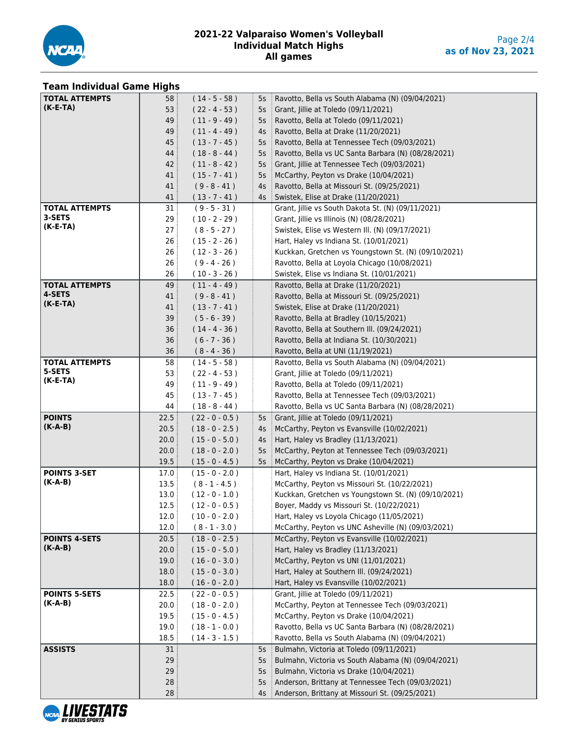

# **Team Individual Game Highs**

| <b>TOTAL ATTEMPTS</b> | 58:               | $(14 - 5 - 58)$  | $5s$ :   | Ravotto, Bella vs South Alabama (N) (09/04/2021)     |
|-----------------------|-------------------|------------------|----------|------------------------------------------------------|
| $(K-E-TA)$            | 53                | $(22 - 4 - 53)$  | $5s$ :   | Grant, Jillie at Toledo (09/11/2021)                 |
|                       | 49                | $(11 - 9 - 49)$  | $5s$ :   | Ravotto, Bella at Toledo (09/11/2021)                |
|                       | 49                | $(11 - 4 - 49)$  | $4s$ :   | Ravotto, Bella at Drake (11/20/2021)                 |
|                       | 45                | $(13 - 7 - 45)$  | $5s$ :   | Ravotto, Bella at Tennessee Tech (09/03/2021)        |
|                       | 44                | $(18 - 8 - 44)$  | $5s$ :   | Ravotto, Bella vs UC Santa Barbara (N) (08/28/2021)  |
|                       | 42:               | $(11 - 8 - 42)$  | $5s$ :   | Grant, Jillie at Tennessee Tech (09/03/2021)         |
|                       | 41:               | $(15 - 7 - 41)$  | $5s$ :   | McCarthy, Peyton vs Drake (10/04/2021)               |
|                       | 41                | $(9 - 8 - 41)$   | $4s$ :   | Ravotto, Bella at Missouri St. (09/25/2021)          |
|                       | 41:               | $(13 - 7 - 41)$  | $4s$ :   | Swistek, Elise at Drake (11/20/2021)                 |
| <b>TOTAL ATTEMPTS</b> | 31:               | $(9 - 5 - 31)$   |          | Grant, Jillie vs South Dakota St. (N) (09/11/2021)   |
| 3-SETS                | 29:               | $(10 - 2 - 29)$  |          | Grant, Jillie vs Illinois (N) (08/28/2021)           |
| $(K-E-TA)$            | 27 <sup>3</sup>   | $(8 - 5 - 27)$   |          | Swistek, Elise vs Western III. (N) (09/17/2021)      |
|                       | 26                | $(15 - 2 - 26)$  |          | Hart, Haley vs Indiana St. (10/01/2021)              |
|                       | 26:               | $(12 - 3 - 26)$  |          | Kuckkan, Gretchen vs Youngstown St. (N) (09/10/2021) |
|                       | 26:               | $(9 - 4 - 26)$   |          | Ravotto, Bella at Loyola Chicago (10/08/2021)        |
|                       | 26                | $(10 - 3 - 26)$  |          | Swistek, Elise vs Indiana St. (10/01/2021)           |
| <b>TOTAL ATTEMPTS</b> | 49                | $(11 - 4 - 49)$  |          | Ravotto, Bella at Drake (11/20/2021)                 |
| 4-SETS                | 41                | $(9 - 8 - 41)$   |          | Ravotto, Bella at Missouri St. (09/25/2021)          |
| $(K-E-TA)$            | 41:               | $(13 - 7 - 41)$  |          | Swistek, Elise at Drake (11/20/2021)                 |
|                       | 39:               | $(5 - 6 - 39)$   |          | Ravotto, Bella at Bradley (10/15/2021)               |
|                       | 36                | $(14 - 4 - 36)$  |          | Ravotto, Bella at Southern III. (09/24/2021)         |
|                       | 36                | $(6 - 7 - 36)$   |          | Ravotto, Bella at Indiana St. (10/30/2021)           |
|                       | 36:               | $(8 - 4 - 36)$   |          | Ravotto, Bella at UNI (11/19/2021)                   |
| <b>TOTAL ATTEMPTS</b> | 58:               | $(14 - 5 - 58)$  |          | Ravotto, Bella vs South Alabama (N) (09/04/2021)     |
| 5-SETS                | 53:               | $(22 - 4 - 53)$  |          | Grant, Jillie at Toledo (09/11/2021)                 |
| $(K-E-TA)$            | 49 :              | $(11 - 9 - 49)$  |          | Ravotto, Bella at Toledo (09/11/2021)                |
|                       | 45                | $(13 - 7 - 45)$  |          | Ravotto, Bella at Tennessee Tech (09/03/2021)        |
|                       | 44 :              | $(18 - 8 - 44)$  |          | Ravotto, Bella vs UC Santa Barbara (N) (08/28/2021)  |
| <b>POINTS</b>         | 22.5              | $(22 - 0 - 0.5)$ | $5s \pm$ | Grant, Jillie at Toledo (09/11/2021)                 |
| $(K-A-B)$             | 20.5              | $(18 - 0 - 2.5)$ | $4s$ :   | McCarthy, Peyton vs Evansville (10/02/2021)          |
|                       | 20.0              | $(15 - 0 - 5.0)$ | $4s$ :   | Hart, Haley vs Bradley (11/13/2021)                  |
|                       | 20.0              | $(18 - 0 - 2.0)$ | $5s$ :   | McCarthy, Peyton at Tennessee Tech (09/03/2021)      |
|                       | 19.5              | $(15 - 0 - 4.5)$ | $5s$ :   | McCarthy, Peyton vs Drake (10/04/2021)               |
| <b>POINTS 3-SET</b>   | 17.0              | $(15 - 0 - 2.0)$ |          | Hart, Haley vs Indiana St. (10/01/2021)              |
| $(K-A-B)$             | 13.5              | $(8 - 1 - 4.5)$  |          | McCarthy, Peyton vs Missouri St. (10/22/2021)        |
|                       | 13.0 <sup>°</sup> | $(12 - 0 - 1.0)$ |          | Kuckkan, Gretchen vs Youngstown St. (N) (09/10/2021) |
|                       | 12.5              | $(12 - 0 - 0.5)$ |          | Boyer, Maddy vs Missouri St. (10/22/2021)            |
|                       | 12.0              | $(10 - 0 - 2.0)$ |          | Hart, Haley vs Loyola Chicago (11/05/2021)           |
|                       | 12.0              | $(8 - 1 - 3.0)$  |          | McCarthy, Peyton vs UNC Asheville (N) (09/03/2021)   |
| <b>POINTS 4-SETS</b>  | 20.5              | $(18 - 0 - 2.5)$ |          | McCarthy, Peyton vs Evansville (10/02/2021)          |
| $(K-A-B)$             | 20.0              | $(15 - 0 - 5.0)$ |          | Hart, Haley vs Bradley (11/13/2021)                  |
|                       | 19.0              | $(16 - 0 - 3.0)$ |          | McCarthy, Peyton vs UNI (11/01/2021)                 |
|                       | 18.0              | $(15 - 0 - 3.0)$ |          | Hart, Haley at Southern III. (09/24/2021)            |
|                       | 18.0              | $(16 - 0 - 2.0)$ |          | Hart, Haley vs Evansville (10/02/2021)               |
| <b>POINTS 5-SETS</b>  | 22.5              | $(22 - 0 - 0.5)$ |          | Grant, Jillie at Toledo (09/11/2021)                 |
| $(K-A-B)$             | 20.0              | $(18 - 0 - 2.0)$ |          | McCarthy, Peyton at Tennessee Tech (09/03/2021)      |
|                       | 19.5              | $(15 - 0 - 4.5)$ |          | McCarthy, Peyton vs Drake (10/04/2021)               |
|                       | 19.0              | $(18 - 1 - 0.0)$ |          | Ravotto, Bella vs UC Santa Barbara (N) (08/28/2021)  |
|                       | 18.5              | $(14 - 3 - 1.5)$ |          | Ravotto, Bella vs South Alabama (N) (09/04/2021)     |
| <b>ASSISTS</b>        | 31                |                  | 5s       | Bulmahn, Victoria at Toledo (09/11/2021)             |
|                       | 29                |                  | 5s       | Bulmahn, Victoria vs South Alabama (N) (09/04/2021)  |
|                       | 29                |                  | 5s       | Bulmahn, Victoria vs Drake (10/04/2021)              |
|                       | 28                |                  | 5s       | Anderson, Brittany at Tennessee Tech (09/03/2021)    |
|                       | 28                |                  | 4s       | Anderson, Brittany at Missouri St. (09/25/2021)      |
|                       |                   |                  |          |                                                      |

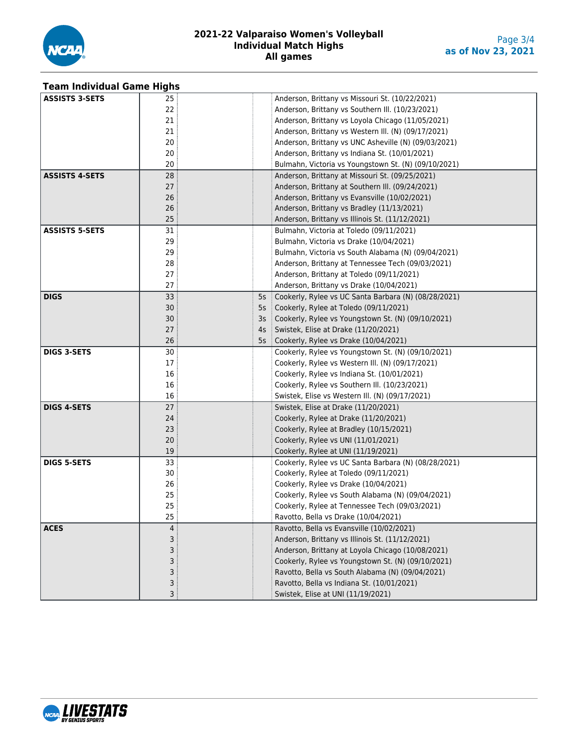

| <b>Team Individual Game Highs</b> |    |    |                                                      |
|-----------------------------------|----|----|------------------------------------------------------|
| <b>ASSISTS 3-SETS</b>             | 25 |    | Anderson, Brittany vs Missouri St. (10/22/2021)      |
|                                   | 22 |    | Anderson, Brittany vs Southern III. (10/23/2021)     |
|                                   | 21 |    | Anderson, Brittany vs Loyola Chicago (11/05/2021)    |
|                                   | 21 |    | Anderson, Brittany vs Western III. (N) (09/17/2021)  |
|                                   | 20 |    | Anderson, Brittany vs UNC Asheville (N) (09/03/2021) |
|                                   | 20 |    | Anderson, Brittany vs Indiana St. (10/01/2021)       |
|                                   | 20 |    | Bulmahn, Victoria vs Youngstown St. (N) (09/10/2021) |
| <b>ASSISTS 4-SETS</b>             | 28 |    | Anderson, Brittany at Missouri St. (09/25/2021)      |
|                                   | 27 |    | Anderson, Brittany at Southern III. (09/24/2021)     |
|                                   | 26 |    | Anderson, Brittany vs Evansville (10/02/2021)        |
|                                   | 26 |    | Anderson, Brittany vs Bradley (11/13/2021)           |
|                                   | 25 |    | Anderson, Brittany vs Illinois St. (11/12/2021)      |
| <b>ASSISTS 5-SETS</b>             | 31 |    | Bulmahn, Victoria at Toledo (09/11/2021)             |
|                                   | 29 |    | Bulmahn, Victoria vs Drake (10/04/2021)              |
|                                   | 29 |    | Bulmahn, Victoria vs South Alabama (N) (09/04/2021)  |
|                                   | 28 |    | Anderson, Brittany at Tennessee Tech (09/03/2021)    |
|                                   | 27 |    | Anderson, Brittany at Toledo (09/11/2021)            |
|                                   | 27 |    | Anderson, Brittany vs Drake (10/04/2021)             |
| <b>DIGS</b>                       | 33 | 5s | Cookerly, Rylee vs UC Santa Barbara (N) (08/28/2021) |
|                                   | 30 | 5s | Cookerly, Rylee at Toledo (09/11/2021)               |
|                                   | 30 | 3s | Cookerly, Rylee vs Youngstown St. (N) (09/10/2021)   |
|                                   | 27 | 4s | Swistek, Elise at Drake (11/20/2021)                 |
|                                   | 26 | 5s | Cookerly, Rylee vs Drake (10/04/2021)                |
| <b>DIGS 3-SETS</b>                | 30 |    | Cookerly, Rylee vs Youngstown St. (N) (09/10/2021)   |
|                                   | 17 |    | Cookerly, Rylee vs Western III. (N) (09/17/2021)     |
|                                   | 16 |    | Cookerly, Rylee vs Indiana St. (10/01/2021)          |
|                                   | 16 |    | Cookerly, Rylee vs Southern III. (10/23/2021)        |
|                                   | 16 |    | Swistek, Elise vs Western III. (N) (09/17/2021)      |
| <b>DIGS 4-SETS</b>                | 27 |    | Swistek, Elise at Drake (11/20/2021)                 |
|                                   | 24 |    | Cookerly, Rylee at Drake (11/20/2021)                |
|                                   | 23 |    | Cookerly, Rylee at Bradley (10/15/2021)              |
|                                   | 20 |    | Cookerly, Rylee vs UNI (11/01/2021)                  |
|                                   | 19 |    | Cookerly, Rylee at UNI (11/19/2021)                  |
| <b>DIGS 5-SETS</b>                | 33 |    | Cookerly, Rylee vs UC Santa Barbara (N) (08/28/2021) |
|                                   | 30 |    | Cookerly, Rylee at Toledo (09/11/2021)               |
|                                   | 26 |    | Cookerly, Rylee vs Drake (10/04/2021)                |
|                                   | 25 |    | Cookerly, Rylee vs South Alabama (N) (09/04/2021)    |
|                                   | 25 |    | Cookerly, Rylee at Tennessee Tech (09/03/2021)       |
|                                   | 25 |    | Ravotto, Bella vs Drake (10/04/2021)                 |
| <b>ACES</b>                       | 4  |    | Ravotto, Bella vs Evansville (10/02/2021)            |
|                                   | 3  |    | Anderson, Brittany vs Illinois St. (11/12/2021)      |
|                                   |    |    | Anderson, Brittany at Loyola Chicago (10/08/2021)    |
|                                   |    |    | Cookerly, Rylee vs Youngstown St. (N) (09/10/2021)   |
|                                   |    |    | Ravotto, Bella vs South Alabama (N) (09/04/2021)     |
|                                   | 3  |    | Ravotto, Bella vs Indiana St. (10/01/2021)           |
|                                   | 3  |    | Swistek, Elise at UNI (11/19/2021)                   |

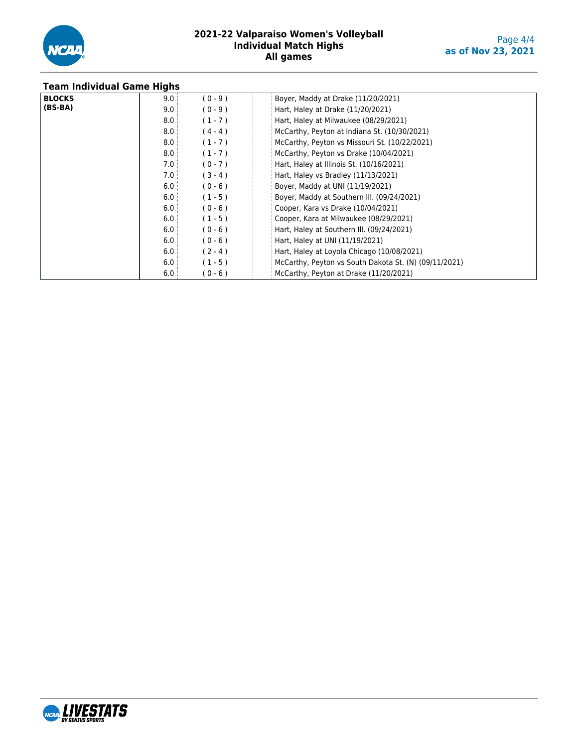

| <b>Team Individual Game Highs</b> |      |           |                                                       |
|-----------------------------------|------|-----------|-------------------------------------------------------|
| <b>BLOCKS</b>                     | 9.0  | $(0 - 9)$ | Boyer, Maddy at Drake (11/20/2021)                    |
| $(BS-BA)$                         | 9.0  | $(0 - 9)$ | Hart, Haley at Drake (11/20/2021)                     |
|                                   | 8.0: | $(1 - 7)$ | Hart, Haley at Milwaukee (08/29/2021)                 |
|                                   | 8.0  | $(4 - 4)$ | McCarthy, Peyton at Indiana St. (10/30/2021)          |
|                                   | 8.0: | $(1 - 7)$ | McCarthy, Peyton vs Missouri St. (10/22/2021)         |
|                                   | 8.0: | $(1 - 7)$ | McCarthy, Peyton vs Drake (10/04/2021)                |
|                                   | 7.0: | $(0 - 7)$ | Hart, Haley at Illinois St. (10/16/2021)              |
|                                   | 7.0: | $(3 - 4)$ | Hart, Haley vs Bradley (11/13/2021)                   |
|                                   | 6.0: | $(0 - 6)$ | Boyer, Maddy at UNI (11/19/2021)                      |
|                                   | 6.0: | $(1 - 5)$ | Boyer, Maddy at Southern III. (09/24/2021)            |
|                                   | 6.0  | $(0 - 6)$ | Cooper, Kara vs Drake (10/04/2021)                    |
|                                   | 6.0: | $(1 - 5)$ | Cooper, Kara at Milwaukee (08/29/2021)                |
|                                   | 6.0: | $(0 - 6)$ | Hart, Haley at Southern III. (09/24/2021)             |
|                                   | 6.0: | $(0 - 6)$ | Hart, Haley at UNI (11/19/2021)                       |
|                                   | 6.0  | $(2 - 4)$ | Hart, Haley at Loyola Chicago (10/08/2021)            |
|                                   | 6.0: | $(1 - 5)$ | McCarthy, Peyton vs South Dakota St. (N) (09/11/2021) |
|                                   | 6.0  | $(0 - 6)$ | McCarthy, Peyton at Drake (11/20/2021)                |

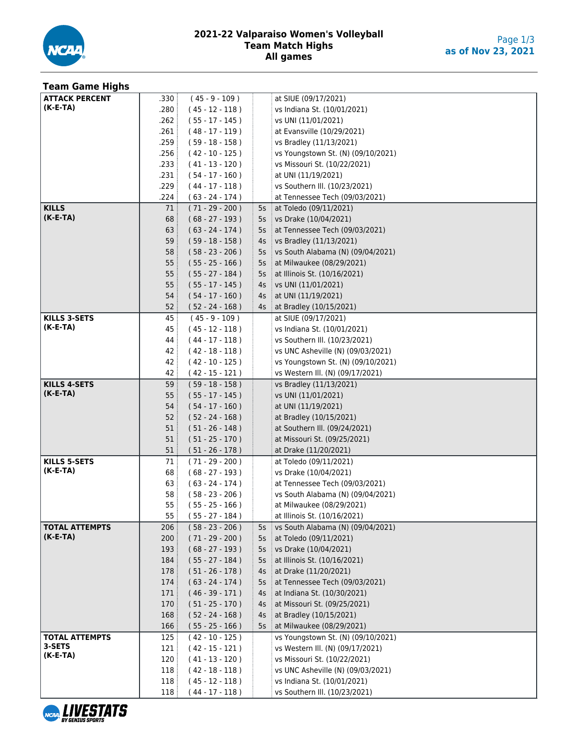

| <b>Team Game Highs</b> |                 |                                        |    |                                                           |
|------------------------|-----------------|----------------------------------------|----|-----------------------------------------------------------|
| <b>ATTACK PERCENT</b>  | .330            | $(45 - 9 - 109)$                       |    | at SIUE (09/17/2021)                                      |
| $(K-E-TA)$             | .280            | $(45 - 12 - 118)$                      |    | vs Indiana St. (10/01/2021)                               |
|                        | .262            | $(55 - 17 - 145)$                      |    | vs UNI (11/01/2021)                                       |
|                        | .261            | $(48 - 17 - 119)$                      |    | at Evansville (10/29/2021)                                |
|                        | .259            | $(59 - 18 - 158)$                      |    | vs Bradley (11/13/2021)                                   |
|                        | .256            | $(42 - 10 - 125)$                      |    | vs Youngstown St. (N) (09/10/2021)                        |
|                        | .233            | $(41 - 13 - 120)$                      |    | vs Missouri St. (10/22/2021)                              |
|                        | .231            | $(54 - 17 - 160)$                      |    | at UNI (11/19/2021)                                       |
|                        | .229            | $(44 - 17 - 118)$                      |    | vs Southern III. (10/23/2021)                             |
|                        | .224            | $(63 - 24 - 174)$                      |    | at Tennessee Tech (09/03/2021)                            |
| <b>KILLS</b>           | 71              | $(71 - 29 - 200)$                      | 5s | at Toledo (09/11/2021)                                    |
| $(K-E-TA)$             | 68              | $(68 - 27 - 193)$                      | 5s | vs Drake (10/04/2021)                                     |
|                        | 63:             | $(63 - 24 - 174)$                      | 5s | at Tennessee Tech (09/03/2021)                            |
|                        | 59              | $(59 - 18 - 158)$                      | 4s | vs Bradley (11/13/2021)                                   |
|                        | 58 <sup>3</sup> | $(58 - 23 - 206)$                      | 5s | vs South Alabama (N) (09/04/2021)                         |
|                        | 55              | $(55 - 25 - 166)$                      | 5s | at Milwaukee (08/29/2021)                                 |
|                        | 55:             | $(55 - 27 - 184)$                      | 5s | at Illinois St. (10/16/2021)                              |
|                        | 55              | $(55 - 17 - 145)$                      | 4s | vs UNI (11/01/2021)                                       |
|                        | 54:             | $(54 - 17 - 160)$                      | 4s | at UNI (11/19/2021)                                       |
|                        | 52:             | $(52 - 24 - 168)$                      | 4s | at Bradley (10/15/2021)                                   |
| <b>KILLS 3-SETS</b>    | 45              | $(45 - 9 - 109)$                       |    | at SIUE (09/17/2021)                                      |
| $(K-E-TA)$             | 45              | $(45 - 12 - 118)$                      |    | vs Indiana St. (10/01/2021)                               |
|                        | 44              | $(44 - 17 - 118)$                      |    | vs Southern III. (10/23/2021)                             |
|                        | 42              | $(42 - 18 - 118)$                      |    | vs UNC Asheville (N) (09/03/2021)                         |
|                        | 42              | $(42 - 10 - 125)$                      |    | vs Youngstown St. (N) (09/10/2021)                        |
|                        | 42 :            | $(42 - 15 - 121)$                      |    | vs Western III. (N) (09/17/2021)                          |
| <b>KILLS 4-SETS</b>    | 59:             | $(59 - 18 - 158)$                      |    | vs Bradley (11/13/2021)                                   |
| $(K-E-TA)$             | 55              | $(55 - 17 - 145)$                      |    | vs UNI (11/01/2021)                                       |
|                        | 54:             | $(54 - 17 - 160)$                      |    | at UNI (11/19/2021)                                       |
|                        | 52              | $(52 - 24 - 168)$                      |    | at Bradley (10/15/2021)                                   |
|                        | 51              | $(51 - 26 - 148)$                      |    | at Southern III. (09/24/2021)                             |
|                        | 51              | $(51 - 25 - 170)$                      |    | at Missouri St. (09/25/2021)                              |
|                        | 51              | $(51 - 26 - 178)$                      |    | at Drake (11/20/2021)                                     |
| <b>KILLS 5-SETS</b>    | 71 :            | $(71 - 29 - 200)$                      |    | at Toledo (09/11/2021)                                    |
| $(K-E-TA)$             | 68              | $(68 - 27 - 193)$                      |    | vs Drake (10/04/2021)                                     |
|                        | 63              | $(63 - 24 - 174)$                      |    | at Tennessee Tech (09/03/2021)                            |
|                        | 58              | $(58 - 23 - 206)$                      |    | vs South Alabama (N) (09/04/2021)                         |
|                        | 55              | $(55 - 25 - 166)$                      |    | at Milwaukee (08/29/2021)<br>at Illinois St. (10/16/2021) |
| <b>TOTAL ATTEMPTS</b>  | 55<br>206       | $(55 - 27 - 184)$<br>$(58 - 23 - 206)$ | 5s | vs South Alabama (N) (09/04/2021)                         |
| $(K-E-TA)$             | 200             | $(71 - 29 - 200)$                      | 5s | at Toledo (09/11/2021)                                    |
|                        | 193             | $(68 - 27 - 193)$                      | 5s | vs Drake (10/04/2021)                                     |
|                        | 184             | $(55 - 27 - 184)$                      | 5s | at Illinois St. (10/16/2021)                              |
|                        | 178             | $(51 - 26 - 178)$                      | 4s | at Drake (11/20/2021)                                     |
|                        | 174             | $(63 - 24 - 174)$                      | 5s | at Tennessee Tech (09/03/2021)                            |
|                        | 171             | $(46 - 39 - 171)$                      | 4s | at Indiana St. (10/30/2021)                               |
|                        | 170             | $(51 - 25 - 170)$                      | 4s | at Missouri St. (09/25/2021)                              |
|                        | 168             | $(52 - 24 - 168)$                      | 4s | at Bradley (10/15/2021)                                   |
|                        | 166             | $(55 - 25 - 166)$                      | 5s | at Milwaukee (08/29/2021)                                 |
| <b>TOTAL ATTEMPTS</b>  | 125             | $(42 - 10 - 125)$                      |    | vs Youngstown St. (N) (09/10/2021)                        |
| 3-SETS                 | 121             | $(42 - 15 - 121)$                      |    | vs Western III. (N) (09/17/2021)                          |
| $(K-E-TA)$             | 120             | $(41 - 13 - 120)$                      |    | vs Missouri St. (10/22/2021)                              |
|                        | 118             | $(42 - 18 - 118)$                      |    | vs UNC Asheville (N) (09/03/2021)                         |
|                        | 118             | $(45 - 12 - 118)$                      |    | vs Indiana St. (10/01/2021)                               |
|                        | 118:            | $(44 - 17 - 118)$                      |    | vs Southern III. (10/23/2021)                             |

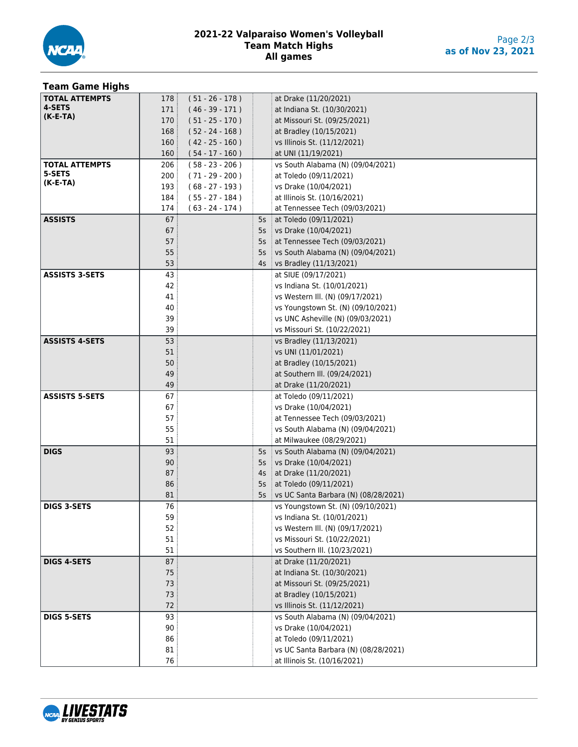

| <b>Team Game Highs</b> |                 |                   |    |                                      |
|------------------------|-----------------|-------------------|----|--------------------------------------|
| <b>TOTAL ATTEMPTS</b>  | 178:            | $(51 - 26 - 178)$ |    | at Drake (11/20/2021)                |
| 4-SETS                 | 171             | $(46 - 39 - 171)$ |    | at Indiana St. (10/30/2021)          |
| $(K-E-TA)$             | 170:            | $(51 - 25 - 170)$ |    | at Missouri St. (09/25/2021)         |
|                        | 168:            | $(52 - 24 - 168)$ |    | at Bradley (10/15/2021)              |
|                        | 160:            | $(42 - 25 - 160)$ |    | vs Illinois St. (11/12/2021)         |
|                        | 160:            | $(54 - 17 - 160)$ |    | at UNI (11/19/2021)                  |
| <b>TOTAL ATTEMPTS</b>  | 206:            | $(58 - 23 - 206)$ |    | vs South Alabama (N) (09/04/2021)    |
| 5-SETS                 | 200:            | $(71 - 29 - 200)$ |    | at Toledo (09/11/2021)               |
| $(K-E-TA)$             | 193:            | $(68 - 27 - 193)$ |    | vs Drake (10/04/2021)                |
|                        | 184             | $(55 - 27 - 184)$ |    | at Illinois St. (10/16/2021)         |
|                        | 174             | $(63 - 24 - 174)$ |    | at Tennessee Tech (09/03/2021)       |
| <b>ASSISTS</b>         | 67              |                   | 5s | at Toledo (09/11/2021)               |
|                        | 67              |                   | 5s | vs Drake (10/04/2021)                |
|                        | 57              |                   | 5s | at Tennessee Tech (09/03/2021)       |
|                        | 55              |                   | 5s | vs South Alabama (N) (09/04/2021)    |
|                        | 53              |                   | 4s | vs Bradley (11/13/2021)              |
| <b>ASSISTS 3-SETS</b>  | 43              |                   |    | at SIUE (09/17/2021)                 |
|                        | 42              |                   |    | vs Indiana St. (10/01/2021)          |
|                        | 41              |                   |    | vs Western III. (N) (09/17/2021)     |
|                        | 40              |                   |    | vs Youngstown St. (N) (09/10/2021)   |
|                        | 39              |                   |    | vs UNC Asheville (N) (09/03/2021)    |
|                        | 39              |                   |    | vs Missouri St. (10/22/2021)         |
| <b>ASSISTS 4-SETS</b>  | 53              |                   |    | vs Bradley (11/13/2021)              |
|                        | 51              |                   |    | vs UNI (11/01/2021)                  |
|                        | 50              |                   |    | at Bradley (10/15/2021)              |
|                        | 49              |                   |    | at Southern III. (09/24/2021)        |
|                        | 49              |                   |    | at Drake (11/20/2021)                |
| <b>ASSISTS 5-SETS</b>  | 67              |                   |    | at Toledo (09/11/2021)               |
|                        | 67              |                   |    | vs Drake (10/04/2021)                |
|                        | 57              |                   |    | at Tennessee Tech (09/03/2021)       |
|                        | 55              |                   |    | vs South Alabama (N) (09/04/2021)    |
|                        | 51              |                   |    | at Milwaukee (08/29/2021)            |
| <b>DIGS</b>            | 93              |                   | 5s | vs South Alabama (N) (09/04/2021)    |
|                        | 90              |                   | 5s | vs Drake (10/04/2021)                |
|                        | 87              |                   | 4s | at Drake $(11/20/2021)$              |
|                        | 86              |                   | 5s | at Toledo (09/11/2021)               |
|                        | 81              |                   | 5s | vs UC Santa Barbara (N) (08/28/2021) |
| <b>DIGS 3-SETS</b>     | $\overline{76}$ |                   |    | vs Youngstown St. (N) (09/10/2021)   |
|                        | 59              |                   |    | vs Indiana St. (10/01/2021)          |
|                        | 52              |                   |    | vs Western III. (N) (09/17/2021)     |
|                        | 51              |                   |    | vs Missouri St. (10/22/2021)         |
|                        | 51              |                   |    | vs Southern III. (10/23/2021)        |
| <b>DIGS 4-SETS</b>     | 87              |                   |    | at Drake (11/20/2021)                |
|                        | 75              |                   |    | at Indiana St. (10/30/2021)          |
|                        | 73              |                   |    | at Missouri St. (09/25/2021)         |
|                        | 73              |                   |    | at Bradley (10/15/2021)              |
|                        | 72              |                   |    | vs Illinois St. (11/12/2021)         |
| <b>DIGS 5-SETS</b>     | 93              |                   |    | vs South Alabama (N) (09/04/2021)    |
|                        | 90              |                   |    | vs Drake (10/04/2021)                |
|                        | 86              |                   |    | at Toledo (09/11/2021)               |
|                        | 81              |                   |    | vs UC Santa Barbara (N) (08/28/2021) |
|                        | 76              |                   |    | at Illinois St. (10/16/2021)         |

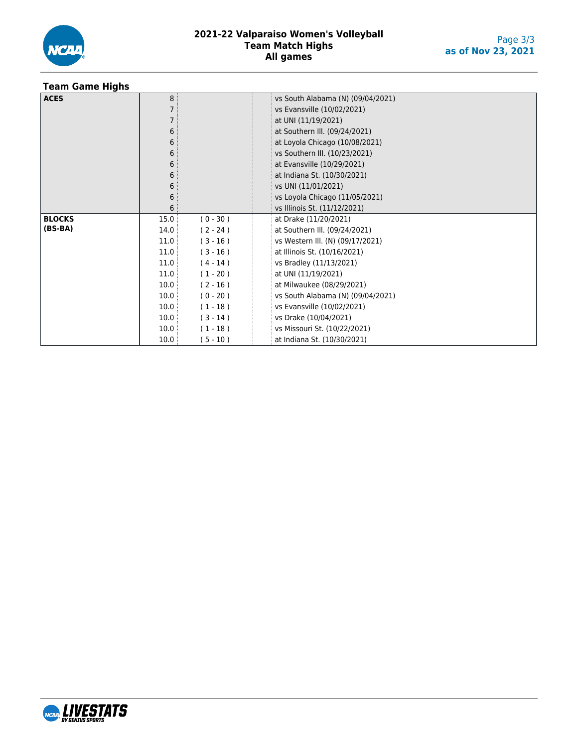

## **Team Game Highs**

| <b>ACES</b>   | 8 <sup>3</sup> |            | vs South Alabama (N) (09/04/2021) |  |  |  |  |  |  |  |
|---------------|----------------|------------|-----------------------------------|--|--|--|--|--|--|--|
|               |                |            | vs Evansville (10/02/2021)        |  |  |  |  |  |  |  |
|               |                |            | at UNI (11/19/2021)               |  |  |  |  |  |  |  |
|               | 6              |            | at Southern III. (09/24/2021)     |  |  |  |  |  |  |  |
|               | 6              |            | at Loyola Chicago (10/08/2021)    |  |  |  |  |  |  |  |
|               | 6              |            | vs Southern III. (10/23/2021)     |  |  |  |  |  |  |  |
|               | 6              |            | at Evansville (10/29/2021)        |  |  |  |  |  |  |  |
|               | 6              |            | at Indiana St. (10/30/2021)       |  |  |  |  |  |  |  |
|               | 6              |            | vs UNI (11/01/2021)               |  |  |  |  |  |  |  |
|               | 6              |            | vs Loyola Chicago (11/05/2021)    |  |  |  |  |  |  |  |
|               | 6              |            | vs Illinois St. (11/12/2021)      |  |  |  |  |  |  |  |
| <b>BLOCKS</b> | 15.0           | $(0 - 30)$ | at Drake (11/20/2021)             |  |  |  |  |  |  |  |
| $(BS-BA)$     | 14.0           | $(2 - 24)$ | at Southern III. (09/24/2021)     |  |  |  |  |  |  |  |
|               | 11.0           | $(3 - 16)$ | vs Western III. (N) (09/17/2021)  |  |  |  |  |  |  |  |
|               | 11.0           | $(3 - 16)$ | at Illinois St. (10/16/2021)      |  |  |  |  |  |  |  |
|               | 11.0           | $(4 - 14)$ | vs Bradley (11/13/2021)           |  |  |  |  |  |  |  |
|               | 11.0           | $(1 - 20)$ | at UNI (11/19/2021)               |  |  |  |  |  |  |  |
|               | 10.0           | $(2 - 16)$ | at Milwaukee (08/29/2021)         |  |  |  |  |  |  |  |
|               | 10.0           | $(0 - 20)$ | vs South Alabama (N) (09/04/2021) |  |  |  |  |  |  |  |
|               | 10.0           | $(1 - 18)$ | vs Evansville (10/02/2021)        |  |  |  |  |  |  |  |
|               | 10.0           | $(3 - 14)$ | vs Drake (10/04/2021)             |  |  |  |  |  |  |  |
|               | 10.0           | $(1 - 18)$ | vs Missouri St. (10/22/2021)      |  |  |  |  |  |  |  |
|               | 10.0           | $(5 - 10)$ | at Indiana St. (10/30/2021)       |  |  |  |  |  |  |  |

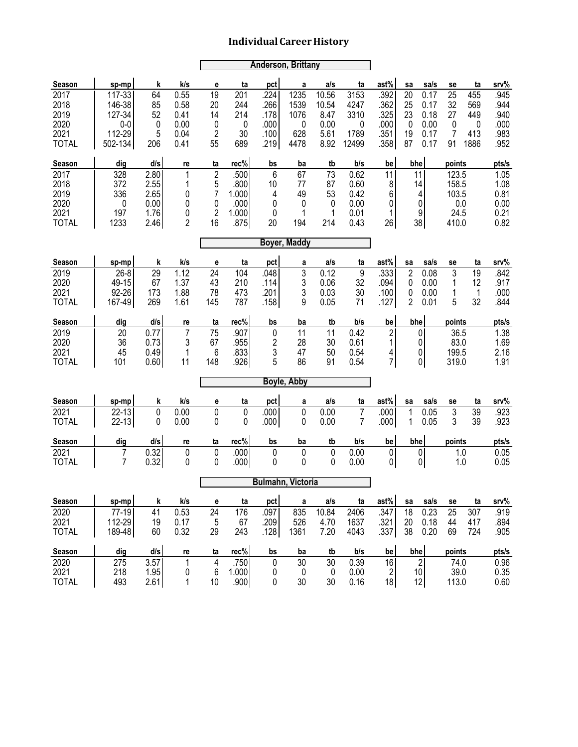|                                                      | <b>Anderson, Brittany</b>                       |                                              |                                      |                                                       |                                                |                                      |                                  |                                        |                                              |                                            |                               |                                         |                                                 |                                         |                                              |
|------------------------------------------------------|-------------------------------------------------|----------------------------------------------|--------------------------------------|-------------------------------------------------------|------------------------------------------------|--------------------------------------|----------------------------------|----------------------------------------|----------------------------------------------|--------------------------------------------|-------------------------------|-----------------------------------------|-------------------------------------------------|-----------------------------------------|----------------------------------------------|
| Season                                               | sp-mp                                           | k                                            | k/s                                  | e                                                     | ta                                             | pct                                  | a                                | a/s                                    | ta                                           | ast%                                       | sa                            | sa/s                                    | se                                              | ta                                      | srv%                                         |
| 2017<br>2018<br>2019<br>2020<br>2021                 | 117-33<br>146-38<br>127-34<br>$0-0$<br>112-29   | 64<br>85<br>52<br>0<br>5                     | 0.55<br>0.58<br>0.41<br>0.00<br>0.04 | 19<br>20<br>14<br>0<br>2                              | 201<br>244<br>214<br>0<br>30                   | .224<br>.266<br>.178<br>.000<br>.100 | 1235<br>1539<br>1076<br>0<br>628 | 10.56<br>10.54<br>8.47<br>0.00<br>5.61 | 3153<br>4247<br>3310<br>0<br>1789            | .392<br>.362<br>.325<br>.000<br>.351       | 20<br>25<br>23<br>0<br>19     | 0.17<br>0.17<br>0.18<br>0.00<br>0.17    | 25<br>32<br>27<br>0<br>7                        | 455<br>569<br>449<br>$\mathbf 0$<br>413 | .945<br>.944<br>.940<br>.000<br>.983         |
| <b>TOTAL</b>                                         | 502-134                                         | 206                                          | 0.41                                 | 55                                                    | 689                                            | .219                                 | 4478                             | 8.92                                   | 12499                                        | .358                                       | 87                            | 0.17                                    | 91                                              | 1886                                    | .952                                         |
| Season                                               | dig                                             | d/s                                          | re                                   | ta                                                    | rec%                                           | bs                                   | ba                               | tb                                     | b/s                                          | be                                         | bhe                           |                                         | points                                          |                                         | pts/s                                        |
| 2017<br>2018<br>2019<br>2020<br>2021<br><b>TOTAL</b> | 328<br>372<br>336<br>$\mathbf 0$<br>197<br>1233 | 2.80<br>2.55<br>2.65<br>0.00<br>1.76<br>2.46 | 1<br>1<br>0<br>0<br>0<br>2           | $\overline{2}$<br>5<br>7<br>0<br>$\overline{2}$<br>16 | .500<br>.800<br>1.000<br>.000<br>1.000<br>.875 | 6<br>10<br>4<br>0<br>0<br>20         | 67<br>77<br>49<br>0<br>1<br>194  | 73<br>87<br>53<br>0<br>1<br>214        | 0.62<br>0.60<br>0.42<br>0.00<br>0.01<br>0.43 | 11<br>8<br>6<br>0<br>1<br>26               |                               | 11<br>14<br>4<br>0<br>9<br>38           | 123.5<br>158.5<br>103.5<br>0.0<br>24.5<br>410.0 |                                         | 1.05<br>1.08<br>0.81<br>0.00<br>0.21<br>0.82 |
| <b>Boyer, Maddy</b>                                  |                                                 |                                              |                                      |                                                       |                                                |                                      |                                  |                                        |                                              |                                            |                               |                                         |                                                 |                                         |                                              |
| Season                                               | sp-mp                                           | k                                            | k/s                                  | е                                                     | ta                                             | pct                                  | a                                | a/s                                    | ta                                           | ast%                                       | sa                            | sa/s                                    | se                                              | ta                                      | srv%                                         |
| 2019<br>2020<br>2021<br><b>TOTAL</b>                 | $26 - 8$<br>49-15<br>92-26<br>167-49            | 29<br>67<br>173<br>269                       | 1.12<br>1.37<br>1.88<br>1.61         | 24<br>43<br>78<br>145                                 | 104<br>210<br>473<br>787                       | .048<br>.114<br>.201<br>.158         | 3<br>3<br>3<br>9                 | 0.12<br>0.06<br>0.03<br>0.05           | 9<br>32<br>30<br>71                          | .333<br>.094<br>.100<br>.127               | $\overline{2}$<br>0<br>0<br>2 | 0.08<br>0.00<br>0.00<br>0.01            | 3<br>1<br>1<br>5                                | 19<br>12<br>$\mathbf{1}$<br>32          | .842<br>.917<br>.000<br>.844                 |
| Season                                               | dig                                             | d/s                                          | re                                   | ta                                                    | rec%                                           | bs                                   | ba                               | tb                                     | b/s                                          | be                                         | bhe                           |                                         | points                                          |                                         | pts/s                                        |
| 2019<br>2020<br>2021<br><b>TOTAL</b>                 | 20<br>36<br>45<br>101                           | 0.77<br>0.73<br>0.49<br>0.60                 | 7<br>3<br>1<br>11                    | 75<br>67<br>6<br>148                                  | .907<br>.955<br>.833<br>.926                   | 0<br>2<br>3<br>5                     | 11<br>28<br>47<br>86             | 11<br>30<br>50<br>91                   | 0.42<br>0.61<br>0.54<br>0.54                 | $\overline{c}$<br>1<br>4<br>$\overline{7}$ |                               | 0<br>0<br>0<br> 0                       | 36.5<br>83.0<br>199.5<br>319.0                  |                                         | 1.38<br>1.69<br>2.16<br>1.91                 |
|                                                      |                                                 |                                              |                                      |                                                       |                                                |                                      | Boyle, Abby                      |                                        |                                              |                                            |                               |                                         |                                                 |                                         |                                              |
| Season                                               | sp-mp                                           | k                                            | k/s                                  | е                                                     | ta                                             | pct                                  | a                                | a/s                                    | ta                                           | ast%                                       | sa                            | sa/s                                    | se                                              | ta                                      | srv%                                         |
| 2021<br><b>TOTAL</b>                                 | $22 - 13$<br>$22 - 13$                          | $\mathbf 0$<br>0                             | 0.00<br>0.00                         | 0<br>0                                                | $\mathbf 0$<br>0                               | .000<br>.000                         | 0<br>0                           | 0.00<br>0.00                           | $\overline{7}$<br>7                          | .000<br>.000                               | 1<br>1                        | 0.05<br>0.05                            | 3<br>3                                          | 39<br>39                                | .923<br>.923                                 |
| Season                                               | dig                                             | d/s                                          | re                                   | ta                                                    | rec%                                           | bs                                   | ba                               | tb                                     | b/s                                          | be                                         | bhe                           |                                         | points                                          |                                         | pts/s                                        |
| 2021<br><b>TOTAL</b>                                 | $\overline{7}$<br>$\overline{7}$                | 0.32<br>0.32                                 | 0<br>0                               | 0<br>0                                                | .000<br>.000                                   | 0<br>0                               | $\mathbf 0$<br>0                 | 0<br>0                                 | 0.00<br>0.00                                 | 0<br>$\overline{0}$                        |                               | $\pmb{0}$<br>$\pmb{0}$                  | 1.0<br>1.0                                      |                                         | 0.05<br>0.05                                 |
|                                                      |                                                 |                                              |                                      |                                                       |                                                |                                      | <b>Bulmahn, Victoria</b>         |                                        |                                              |                                            |                               |                                         |                                                 |                                         |                                              |
| Season                                               | sp-mp                                           | k                                            | k/s                                  | е                                                     | ta                                             | pct                                  | a                                | a/s                                    | ta                                           | ast%                                       | sa                            | sa/s                                    | se                                              | ta                                      | srv%                                         |
| 2020<br>2021<br><b>TOTAL</b>                         | 77-19<br>112-29<br>189-48                       | 41<br>19<br>60                               | 0.53<br>0.17<br>0.32                 | 24<br>5<br>29                                         | 176<br>67<br>243                               | .097<br>.209<br>.128                 | 835<br>526<br>1361               | 10.84<br>4.70<br>7.20                  | 2406<br>1637<br>4043                         | .347<br>.321<br>.337                       | 18<br>20<br>38                | 0.23<br>0.18<br>0.20                    | 25<br>44<br>69                                  | 307<br>417<br>724                       | .919<br>.894<br>.905                         |
| Season                                               | dig                                             | d/s                                          | re                                   | ta                                                    | rec%                                           | bs                                   | ba                               | tb                                     | b/s                                          | be                                         | bhe                           |                                         | points                                          |                                         | pts/s                                        |
| 2020<br>2021<br><b>TOTAL</b>                         | 275<br>218<br>493                               | 3.57<br>1.95<br>2.61                         | 1<br>0<br>1                          | $\overline{4}$<br>6<br>10                             | .750<br>1.000<br>.900                          | 0<br>0<br>0                          | 30<br>0<br>30                    | 30<br>$\pmb{0}$<br>30                  | 0.39<br>0.00<br>0.16                         | 16<br>$\overline{2}$<br>18                 |                               | $\overline{2}$<br>10 <sup>1</sup><br>12 | 74.0<br>39.0<br>113.0                           |                                         | 0.96<br>0.35<br>0.60                         |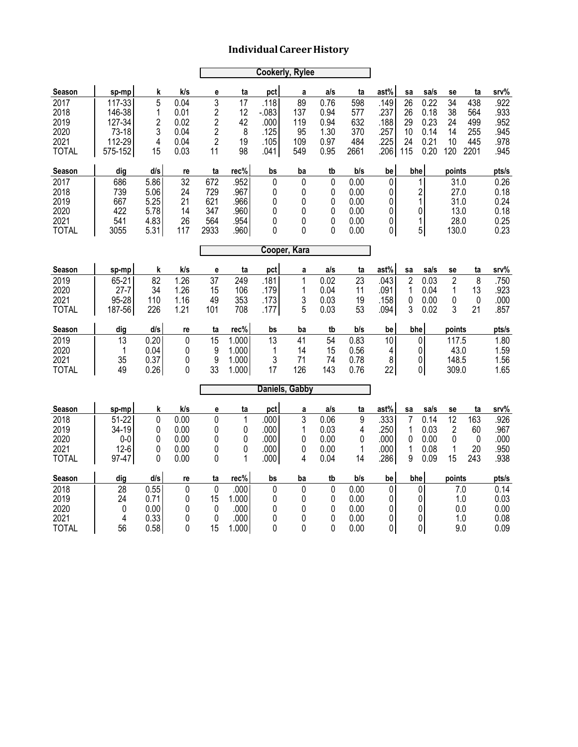|                                                      |                                                          | <b>Cookerly, Rylee</b>                       |                                               |                                                                    |                                              |                                                |                                             |                                              |                                              |                                                              |                                    |                                                  |                                                        |                                         |                                              |
|------------------------------------------------------|----------------------------------------------------------|----------------------------------------------|-----------------------------------------------|--------------------------------------------------------------------|----------------------------------------------|------------------------------------------------|---------------------------------------------|----------------------------------------------|----------------------------------------------|--------------------------------------------------------------|------------------------------------|--------------------------------------------------|--------------------------------------------------------|-----------------------------------------|----------------------------------------------|
| Season                                               | sp-mp                                                    | k                                            | k/s                                           | e                                                                  | ta                                           | pct                                            | a                                           | a/s                                          | ta                                           | ast%                                                         | sa                                 | sa/s                                             | se                                                     | ta                                      | srv%                                         |
| 2017<br>2018<br>2019<br>2020<br>2021<br><b>TOTAL</b> | 117-33<br>146-38<br>127-34<br>73-18<br>112-29<br>575-152 | 5<br>1<br>$\overline{c}$<br>3<br>4<br>15     | 0.04<br>0.01<br>0.02<br>0.04<br>0.04<br>0.03  | 3<br>$\overline{c}$<br>2<br>$\overline{c}$<br>$\overline{2}$<br>11 | 17<br>12<br>42<br>8<br>19<br>98              | .118<br>$-083$<br>.000<br>.125<br>.105<br>.041 | 89<br>137<br>119<br>95<br>109<br>549        | 0.76<br>0.94<br>0.94<br>1.30<br>0.97<br>0.95 | 598<br>577<br>632<br>370<br>484<br>2661      | .149<br>.237<br>.188<br>.257<br>.225<br>.206                 | 26<br>26<br>29<br>10<br>24<br>115  | 0.22<br>0.18<br>0.23<br>0.14<br>0.21<br>0.20     | 34<br>38<br>24<br>14<br>10<br>120                      | 438<br>564<br>499<br>255<br>445<br>2201 | .922<br>.933<br>.952<br>.945<br>.978<br>.945 |
| Season                                               | dig                                                      | d/s                                          | re                                            | ta                                                                 | rec%                                         | bs                                             | ba                                          | tb                                           | b/s                                          | be                                                           | bhe                                |                                                  | points                                                 |                                         | pts/s                                        |
| 2017<br>2018<br>2019<br>2020<br>2021<br><b>TOTAL</b> | 686<br>739<br>667<br>422<br>541<br>3055                  | 5.86<br>5.06<br>5.25<br>5.78<br>4.83<br>5.31 | 32<br>24<br>21<br>14<br>26<br>117             | 672<br>729<br>621<br>347<br>564<br>2933                            | .952<br>.967<br>.966<br>.960<br>.954<br>.960 | $\pmb{0}$<br>0<br>0<br>0<br>0<br>0             | $\mathbf 0$<br>0<br>0<br>0<br>0<br>$\Omega$ | 0<br>0<br>0<br>0<br>0<br>0                   | 0.00<br>0.00<br>0.00<br>0.00<br>0.00<br>0.00 | 0<br>0<br>0<br>0<br>$\overline{0}$<br>$\overline{0}$         |                                    | 1<br>$\overline{\mathbf{c}}$<br>1<br>0<br>1<br>5 | 31.0<br>27.0<br>31.0<br>13.0<br>28.0<br>130.0          |                                         | 0.26<br>0.18<br>0.24<br>0.18<br>0.25<br>0.23 |
|                                                      |                                                          |                                              |                                               |                                                                    |                                              |                                                |                                             |                                              |                                              |                                                              |                                    |                                                  |                                                        |                                         |                                              |
| <b>Season</b>                                        | sp-mp                                                    | k                                            | k/s                                           | e                                                                  | ta                                           | pct                                            | a                                           | a/s                                          | ta                                           | ast%                                                         | sa                                 | sa/s                                             | se                                                     | ta                                      | srv%                                         |
| 2019<br>2020<br>2021<br><b>TOTAL</b>                 | 65-21<br>$27 - 7$<br>95-28<br>187-56                     | 82<br>34<br>110<br>226                       | 1.26<br>1.26<br>1.16<br>1.21                  | 37<br>15<br>49<br>101                                              | 249<br>106<br>353<br>708                     | .181<br>.179<br>.173<br>.177                   | $\mathbf{1}$<br>1<br>3<br>5                 | 0.02<br>0.04<br>0.03<br>0.03                 | 23<br>11<br>19<br>53                         | .043<br>.091<br>.158<br>.094                                 | $\overline{2}$<br>1<br>0<br>3      | 0.03<br>0.04<br>0.00<br>0.02                     | $\overline{2}$<br>1<br>0<br>3                          | 8<br>13<br>$\pmb{0}$<br>21              | .750<br>.923<br>.000<br>.857                 |
| Season                                               | dig                                                      | d/s                                          | re                                            | ta                                                                 | rec%                                         | bs                                             | ba                                          | tb                                           | b/s                                          | be                                                           | bhe                                |                                                  | points                                                 |                                         | pts/s                                        |
| 2019<br>2020<br>2021<br><b>TOTAL</b>                 | 13<br>1<br>35<br>49                                      | 0.20<br>0.04<br>0.37<br>0.26                 | $\pmb{0}$<br>$\mathbf{0}$<br>$\mathbf 0$<br>0 | 15<br>9<br>9<br>33                                                 | 1.000<br>1.000<br>1.000<br>1.000             | $\overline{13}$<br>1<br>3<br>17                | $\overline{41}$<br>14<br>71<br>126          | $\overline{54}$<br>15<br>74<br>143           | 0.83<br>0.56<br>0.78<br>0.76                 | 10 <sup>1</sup><br>$\vert 4 \vert$<br>8 <sup>1</sup><br>22   |                                    | 0<br>0<br>0<br>0                                 | 117.5<br>43.0<br>148.5<br>309.0                        |                                         | 1.80<br>1.59<br>1.56<br>1.65                 |
|                                                      |                                                          |                                              |                                               |                                                                    |                                              | Daniels, Gabby                                 |                                             |                                              |                                              |                                                              |                                    |                                                  |                                                        |                                         |                                              |
| Season                                               | sp-mp                                                    | k                                            | k/s                                           | e                                                                  | ta                                           | pct                                            | a                                           | a/s                                          | ta                                           | ast%                                                         | sa                                 | sa/s                                             | se                                                     | ta                                      | srv%                                         |
| 2018<br>2019<br>2020<br>2021<br><b>TOTAL</b>         | $51 - 22$<br>34-19<br>$0-0$<br>$12-6$<br>97-47           | 0<br>0<br>0<br>0<br>0                        | 0.00<br>0.00<br>0.00<br>0.00<br>0.00          | 0<br>0<br>0<br>0<br>0                                              | 1<br>0<br>0<br>0<br>1                        | .000<br>.000<br>.000<br>.000<br>.000           | 3<br>1<br>0<br>0<br>4                       | 0.06<br>0.03<br>0.00<br>0.00<br>0.04         | 9<br>4<br>0<br>$\mathbf{1}$<br>14            | .333<br>.250<br>.000<br>.000<br>.286                         | $\overline{7}$<br>1<br>0<br>1<br>9 | 0.14<br>0.03<br>0.00<br>0.08<br>0.09             | 12<br>$\overline{2}$<br>$\Omega$<br>$\mathbf{1}$<br>15 | 163<br>60<br>0<br>20<br>243             | .926<br>.967<br>.000<br>.950<br>.938         |
| Season                                               | dig                                                      | d/s                                          | re                                            | ta                                                                 | rec%                                         | bs                                             | ba                                          | tb                                           | b/s                                          | be                                                           | bhe                                |                                                  | points                                                 |                                         | pts/s                                        |
| 2018<br>2019<br>2020<br>2021<br><b>TOTAL</b>         | 28<br>24<br>0<br>4<br>56                                 | 0.55<br>0.71<br>0.00<br>0.33<br>0.58         | $\mathbf{0}$<br>0<br>0<br>0<br>0              | $\mathbf 0$<br>15<br>0<br>0<br>15                                  | .000<br>1.000<br>.000<br>.000<br>1.000       | $\pmb{0}$<br>0<br>0<br>0<br>0                  | $\mathbf 0$<br>0<br>0<br>0<br>0             | $\mathbf 0$<br>0<br>0<br>0<br>0              | 0.00<br>0.00<br>0.00<br>0.00<br>0.00         | $\overline{0}$<br>$\overline{0}$<br>0<br>0<br>$\overline{0}$ |                                    | 0<br>0<br>0<br>0<br>0                            | 7.0<br>1.0<br>0.0<br>1.0<br>9.0                        |                                         | 0.14<br>0.03<br>0.00<br>0.08<br>0.09         |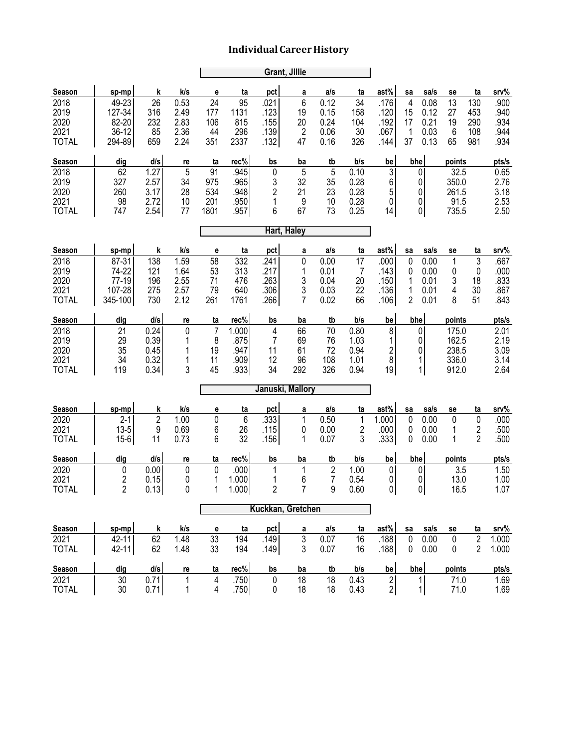|                      | <b>Grant, Jillie</b> |                |                 |                     |              |                     |                   |                      |              |                              |                |                   |                |                     |               |
|----------------------|----------------------|----------------|-----------------|---------------------|--------------|---------------------|-------------------|----------------------|--------------|------------------------------|----------------|-------------------|----------------|---------------------|---------------|
| Season               | sp-mp                | k              | k/s             | e                   | ta           | pct                 | a                 | a/s                  | ta           | ast%                         | sa             | sa/s              | se             | ta                  | srv%          |
| 2018                 | 49-23                | 26             | 0.53            | 24                  | 95           | .021                | 6                 | 0.12                 | 34           | .176                         | $\overline{4}$ | 0.08              | 13             | 130                 | .900          |
| 2019<br>2020         | 127-34<br>82-20      | 316<br>232     | 2.49<br>2.83    | 177<br>106          | 1131<br>815  | .123<br>.155        | 19<br>20          | 0.15<br>0.24         | 158<br>104   | .120<br>.192                 | 15<br>17       | 0.12<br>0.21      | 27<br>19       | 453<br>290          | .940<br>.934  |
| 2021                 | 36-12                | 85             | 2.36            | 44                  | 296          | .139                | 2                 | 0.06                 | 30           | .067                         | 1              | 0.03              | 6              | 108                 | .944          |
| <b>TOTAL</b>         | 294-89               | 659            | 2.24            | 351                 | 2337         | .132                | 47                | 0.16                 | 326          | .144                         | 37             | 0.13              | 65             | 981                 | .934          |
| Season               | dig                  | d/s            | re              | ta                  | rec%         | bs                  | ba                | tb                   | b/s          | be                           | bhe            |                   | points         |                     | pts/s         |
| 2018                 | 62                   | 1.27           | 5               | 91                  | .945<br>.965 | 0                   | 5<br>32           | 5                    | 0.10         | 3 <sup>1</sup>               |                | $\overline{0}$    | 32.5           |                     | 0.65          |
| 2019<br>2020         | 327<br>260           | 2.57<br>3.17   | 34<br>28        | 975<br>534          | .948         | 3<br>$\overline{c}$ | 21                | 35<br>23             | 0.28<br>0.28 | 6<br>5                       |                | 0<br>0            | 350.0<br>261.5 |                     | 2.76<br>3.18  |
| 2021                 | 98                   | 2.72           | 10              | 201                 | .950         | 1                   | 9                 | 10                   | 0.28         | $\overline{0}$               |                | 0                 | 91.5           |                     | 2.53          |
| <b>TOTAL</b>         | 747                  | 2.54           | 77              | 1801                | .957         | 6                   | 67                | 73                   | 0.25         | 4                            |                | 0                 | 735.5          |                     | 2.50          |
| Hart, Haley          |                      |                |                 |                     |              |                     |                   |                      |              |                              |                |                   |                |                     |               |
| Season               | sp-mp                | k              | k/s             | e                   | ta           | pct                 | a                 | a/s                  | ta           | ast%                         | sa             | sa/s              | se             | ta                  | srv%          |
| 2018                 | 87-31                | 138            | 1.59            | 58                  | 332          | .241                | 0                 | 0.00                 | 17           | .000                         | 0              | 0.00              | 1              | 3                   | .667          |
| 2019<br>2020         | 74-22<br>77-19       | 121<br>196     | 1.64<br>2.55    | 53<br>71            | 313<br>476   | .217<br>.263        | 1<br>3            | 0.01<br>0.04         | 7<br>20      | .143<br>.150                 | 0<br>1         | 0.00<br>0.01      | 0<br>3         | 0<br>18             | .000<br>.833  |
| 2021                 | 107-28               | 275            | 2.57            | 79                  | 640          | .306                | 3                 | 0.03                 | 22           | .136                         | 1              | 0.01              | 4              | 30                  | .867          |
| <b>TOTAL</b>         | 345-100              | 730            | 2.12            | 261                 | 1761         | .266                | 7                 | 0.02                 | 66           | .106                         | 2              | 0.01              | 8              | 51                  | .843          |
| Season               | dig                  | d/s            | re              | ta                  | rec%         | bs                  | ba                | tb                   | b/s          | be                           | bhe            |                   | points         |                     | pts/s         |
| 2018                 | 21                   | 0.24           | 0               | $\overline{7}$      | 1.000        | 4                   | 66                | 70                   | 0.80         | 8 <sup>1</sup>               |                | 0                 | 175.0          |                     | 2.01          |
| 2019<br>2020         | 29<br>35             | 0.39<br>0.45   | 1               | 8<br>19             | .875<br>.947 | 7<br>11             | 69<br>61          | 76<br>72             | 1.03<br>0.94 | 1<br>$\overline{\mathbf{c}}$ |                | 0<br>0            | 162.5<br>238.5 |                     | 2.19<br>3.09  |
| 2021                 | 34                   | 0.32           | 1               | 11                  | .909         | 12                  | 96                | 108                  | 1.01         | 8                            |                | 1                 | 336.0          |                     | 3.14          |
| <b>TOTAL</b>         | 119                  | 0.34           | 3               | 45                  | .933         | 34                  | 292               | 326                  | 0.94         | 19                           |                | 1                 | 912.0          |                     | 2.64          |
|                      |                      |                |                 |                     |              | Januski, Mallory    |                   |                      |              |                              |                |                   |                |                     |               |
| Season               | sp-mp                | k              | k/s             | e                   | ta           | pct                 | a                 | a/s                  | ta           | ast%                         | sa             | sa/s              | se             | ta                  | srv%          |
| 2020                 | $2 - 1$              | $\overline{2}$ | 1.00            | 0                   | 6            | .333                | 1                 | 0.50                 | 1            | 1.000                        | 0              | 0.00              | 0              | 0                   | .000          |
| 2021<br><b>TOTAL</b> | $13 - 5$<br>$15 - 6$ | 9<br>11        | 0.69<br>0.73    | 6<br>6              | 26<br>32     | .115<br>.156        | 0<br>1            | 0.00<br>0.07         | 2<br>3       | .000<br>.333                 | 0<br>0         | 0.00<br>0.00      | 1<br>1         | 2<br>$\overline{2}$ | .500<br>.500  |
|                      |                      |                |                 |                     |              |                     |                   |                      |              |                              |                |                   |                |                     |               |
| Season<br>2020       | dig<br>0             | d/s<br>0.00    | re<br>$\pmb{0}$ | ta<br>$\pmb{0}$     | rec%<br>.000 | bs<br>1             | ba<br>$\mathbf 1$ | tb<br>$\overline{c}$ | b/s<br>1.00  | be<br>$\pmb{0}$              | bhe            | $\pmb{0}$         | points<br>3.5  |                     | pts/s<br>1.50 |
| 2021                 | 2                    | 0.15           | 0               | 1                   | 1.000        | 1                   | 6                 | 7                    | 0.54         | 0                            |                | 0                 | 13.0           |                     | 1.00          |
| <b>TOTAL</b>         | $\overline{2}$       | 0.13           | $\pmb{0}$       | 1                   | 1.000        | $\overline{c}$      | $\overline{7}$    | 9                    | 0.60         | 0                            |                | 0                 | 16.5           |                     | 1.07          |
|                      |                      |                |                 |                     |              | Kuckkan, Gretchen   |                   |                      |              |                              |                |                   |                |                     |               |
| Season               | sp-mp                | k              | k/s             | е                   | ta           | pct                 | a                 | a/s                  | ta           | ast%                         | sa             | sa/s              | se             | ta                  | srv%          |
| 2021                 | 42-11                | 62             | 1.48            | 33                  | 194          | .149                | 3                 | 0.07                 | 16           | .188                         | $\pmb{0}$      | 0.00              | $\pmb{0}$      | $\overline{2}$      | 1.000         |
| <b>TOTAL</b>         | 42-11                | 62             | 1.48            | 33                  | 194          | .149                | 3                 | 0.07                 | 16           | .188                         | 0              | 0.00              | 0              | $\overline{2}$      | 1.000         |
| Season               | dig                  | d/s            | re              | ta                  | rec%         | bs                  | ba                | tb                   | b/s          | be                           |                | bhe               | points         |                     | pts/s         |
| 2021<br><b>TOTAL</b> | 30<br>30             | 0.71<br>0.71   | 1<br>1          | $\overline{4}$<br>4 | .750<br>.750 | 0<br>0              | 18<br>18          | 18<br>18             | 0.43<br>0.43 | 2 <br>$2\vert$               |                | $\mathbf{1}$<br>1 | 71.0<br>71.0   |                     | 1.69<br>1.69  |
|                      |                      |                |                 |                     |              |                     |                   |                      |              |                              |                |                   |                |                     |               |